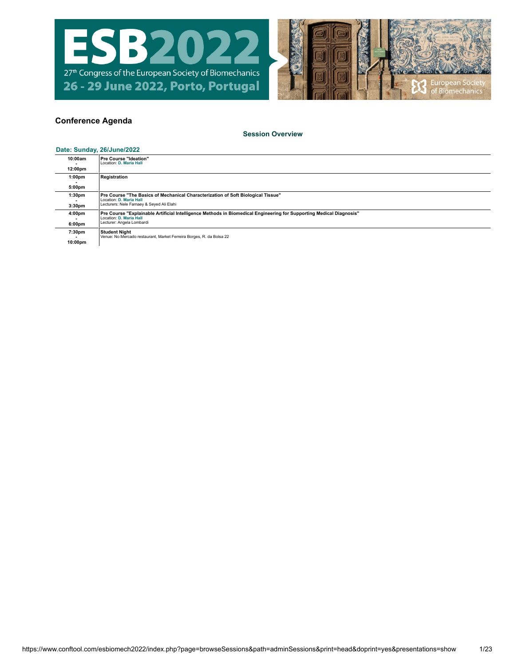



# **Conference Agenda**

## **[Session Overview](https://www.conftool.com/esbiomech2022/index.php?page=browseSessions&path=adminSessions&print=head&doprint=yes&presentations=show)**

### **Date: Sunday, [26/June/2022](https://www.conftool.com/esbiomech2022/index.php?page=browseSessions&path=adminSessions&print=head&doprint=yes&form_date=2022-06-26&presentations=show)**

| 10:00am                                  | Pre Course "Ideation"<br>Location: D. Maria Hall                                                                                                                            |
|------------------------------------------|-----------------------------------------------------------------------------------------------------------------------------------------------------------------------------|
| 12:00pm                                  |                                                                                                                                                                             |
| 1:00 <sub>pm</sub>                       | Registration                                                                                                                                                                |
| 5:00pm                                   |                                                                                                                                                                             |
| 1:30 <sub>pm</sub><br>3:30 <sub>pm</sub> | Pre Course "The Basics of Mechanical Characterization of Soft Biological Tissue"<br>Location: D. Maria Hall<br>Lecturers: Nele Famaey & Seyed Ali Elahi                     |
| 4:00pm<br>6:00pm                         | Pre Course "Explainable Artificial Intelligence Methods in Biomedical Engineering for Supporting Medical Diagnosis"<br>Location: D. Maria Hall<br>Lecturer: Angela Lombardi |
| 7:30pm<br>10:00pm                        | <b>Student Night</b><br>Venue: No Mercado restaurant, Market Ferreira Borges, R. da Bolsa 22                                                                                |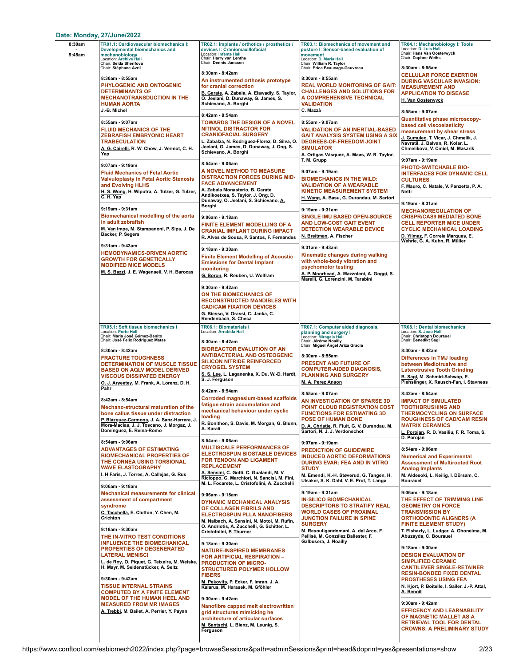### **Date: Monday, [27/June/2022](https://www.conftool.com/esbiomech2022/index.php?page=browseSessions&path=adminSessions&print=head&doprint=yes&form_date=2022-06-27&presentations=show)**

| 8:30am<br>9:45am | TR01.1: Cardiovascular biomechanics I:<br>Developmental biomechanics and<br>mechanobiology<br>Location: Archive Hall<br>Chair: Selda Sherifova                                                                                                                                                                                              | TR02.1: Implants / orthotics / prosthetics /<br>devices I: Craniomaxillofacial<br>Location: Infante Hall<br>Chair: Harry van Lenthe<br>Chair: Dennis Janssen                                                                                                                     | TR03.1: Biomechanics of movement and<br>posture I: Sensor-based evaluation of<br>movement<br>Location: D. Maria Hall<br>Chair: William R. Taylor                                                                                                                                               | TR04.1: Mechanobiology I: Tools<br>Location: D. Luis Hall<br>Chair: Hans Van Oosterwyck<br>Chair: Daphne Weihs                                                                                                                                                                                                    |
|------------------|---------------------------------------------------------------------------------------------------------------------------------------------------------------------------------------------------------------------------------------------------------------------------------------------------------------------------------------------|----------------------------------------------------------------------------------------------------------------------------------------------------------------------------------------------------------------------------------------------------------------------------------|------------------------------------------------------------------------------------------------------------------------------------------------------------------------------------------------------------------------------------------------------------------------------------------------|-------------------------------------------------------------------------------------------------------------------------------------------------------------------------------------------------------------------------------------------------------------------------------------------------------------------|
|                  | Chair: Stéphane Avril<br>8:30am - 8:55am<br>PHYLOGENIC AND ONTOGENIC<br><b>DETERMINANTS OF</b><br><b>MECHANOTRANSDUCTION IN THE</b><br>HUMAN AORTA                                                                                                                                                                                          | 8:30am - 8:42am<br>An instrumented orthosis prototype<br>for cranial correction<br>B. Garate, A. Zabala, A. Elawadly, S. Taylor,<br>O. Jeelani, D. Dunaway, G. James, S.<br>Schievano, A. Borghi                                                                                 | Chair: Erica Beaucage-Gauvreau<br>8:30am - 8:55am<br><b>REAL WORLD MONITORING OF GAIT:</b><br><b>CHALLENGES AND SOLUTIONS FOR</b><br>A COMPREHENSIVE TECHNICAL<br><b>VALIDATION</b>                                                                                                            | 8:30am - 8:55am<br><b>CELLULAR FORCE EXERTION</b><br><b>DURING VASCULAR INVASION:</b><br><b>MEASUREMENT AND</b><br><b>APPLICATION TO DISEASE</b><br>H. Van Oosterwyck                                                                                                                                             |
|                  | J.-B. Michel<br>8:55am - 9:07am<br><b>FLUID MECHANICS OF THE</b><br><b>ZEBRAFISH EMBRYONIC HEART</b><br>TRABECULATION<br>A. G. Cairelli, R. W. Chow, J. Vermot, C. H.<br>Yap                                                                                                                                                                | 8:42am - 8:54am<br><b>TOWARDS THE DESIGN OF A NOVEL</b><br><b>NITINOL DISTRACTOR FOR</b><br><b>CRANIOFACIAL SURGERY</b><br>L. Zabalza, N. Rodriguez-Florez, D. Silva, O.<br>Jeelani, G. James, D. Dunaway, J. Ong, S.<br>Schievano, A. Borghi                                    | C. Mazzà<br>8:55am - 9:07am<br><b>VALIDATION OF AN INERTIAL-BASED</b><br><b>GAIT ANALYSIS SYSTEM USING A SIX</b><br>DEGREES-OF-FREEDOM JOINT<br><b>SIMULATOR</b><br>A. Ortig <u>as Vásquez,</u> A. Maas, W. R. Taylor,                                                                         | 8:55am - 9:07am<br><b>Quantitative phase microscopy-</b><br>based cell viscoelasticity<br>measurement by shear stress<br>J. Gumulec, T. Vicar, J. Chmelik, J.<br>Navratil, J. Balvan, R. Kolar, L.<br>Chmelikova, V. Cmiel, M. Masarik                                                                            |
|                  | 9:07am - 9:19am<br><b>Fluid Mechanics of Fetal Aortic</b><br><b>Valvuloplasty in Fetal Aortic Stenosis</b><br>and Evolving HLHS<br>H. S. Wong, H. Wiputra, A. Tulzer, G. Tulzer,<br>C.H. Yap                                                                                                                                                | 8:54am - 9:06am<br>A NOVEL METHOD TO MEASURE<br><b>DISTRACTION FORCES DURING MID-</b><br><b>FACE ADVANCEMENT</b><br>A. Zabala Monasterio, B. Garate<br>Andikoetxea, S. Taylor, J. Ong, D.<br>Dunaway, O. Jeelani, S. Schievano, A.                                               | T. M. Grupp<br>9:07am - 9:19am<br><b>BIOMECHANICS IN THE WILD:</b><br><b>VALIDATION OF A WEARABLE</b><br><b>KINETIC MEASUREMENT SYSTEM</b><br>H. Wang, A. Basu, G. Durandau, M. Sartori                                                                                                        | 9:07am - 9:19am<br>PHOTO-SWITCHABLE BIO-<br><b>INTERFACES FOR DYNAMIC CELL</b><br><b>CULTURES</b><br>F. Mauro, C. Natale, V. Panzetta, P. A.<br>Netti<br>9:19am - 9:31am                                                                                                                                          |
|                  | 9:19am - 9:31am<br><b>Biomechanical modelling of the aorta</b><br>in adult zebrafish<br>M. Van Impe, M. Stampanoni, P. Sips, J. De<br>Backer, P. Segers                                                                                                                                                                                     | <u>Borghi</u><br>9:06am - 9:18am<br><b>FINITE ELEMENT MODELLING OF A</b><br><b>CRANIAL IMPLANT DURING IMPACT</b><br>R. Alves de Sousa, P. Santos, F. Fernandes                                                                                                                   | 9:19am - 9:31am<br>SINGLE IMU BASED OPEN-SOURCE<br><b>AND LOW-COST GAIT EVENT</b><br><b>DETECTION WEARABLE DEVICE</b><br>N. Breitman, A. Fischer                                                                                                                                               | <b>MECHANOREGULATION OF</b><br><b>CRISPR/CAS9 MEDIATED BONE</b><br><b>CELL REPORTER MICE UNDER</b><br><b>CYCLIC MECHANICAL LOADING</b><br>D. Yilmaz, F. Correia Marques, E.<br>Wehrle, G. A. Kuhn, R. Müller                                                                                                      |
|                  | 9:31am - 9:43am<br><b>HEMODYNAMICS-DRIVEN AORTIC</b><br><b>GROWTH FOR GENETICALLY</b><br><b>MODIFIED MICE MODELS</b><br>M. S. Bazzi, J. E. Wagenseil, V. H. Barocas                                                                                                                                                                         | 9:18am - 9:30am<br><b>Finite Element Modelling of Acoustic</b><br><b>Emissions for Dental Implant</b><br>monitoring<br>G. Boron, R. Reuben, U. Wolfram                                                                                                                           | 9:31am - 9:43am<br>Kinematic changes during walking<br>with whole-body vibration and<br>psychomotor testing<br>A. P. Moorhead, A. Mazzoleni, A. Goggi, S.<br>Marelli, G. Lorenzini, M. Tarabini                                                                                                |                                                                                                                                                                                                                                                                                                                   |
|                  |                                                                                                                                                                                                                                                                                                                                             | 9:30am - 9:42am<br>ON THE BIOMECHANICS OF<br><b>RECONSTRUCTED MANDIBLES WITH</b><br><b>CAD/CAM FIXATION DEVICES</b><br>G. Biesso, V. Orassi, C. Janka, C.<br>Rendenbach, S. Checa                                                                                                |                                                                                                                                                                                                                                                                                                |                                                                                                                                                                                                                                                                                                                   |
|                  | TR05.1: Soft tissue biomechanics I<br>_ocation: Porto Hall<br>Chair: Maria José Gómez-Benito<br>Chair: José Felix Rodriguez Matas<br>8:30am - 8:42am<br><b>FRACTURE TOUGHNESS</b><br>DETERMINATION OF MUSCLE TISSUE<br><b>BASED ON AQLV MODEL DERIVED</b><br><b>VISCOUS DISSIPATED ENERGY</b><br>O. J. Aryeetey, M. Frank, A. Lorenz, D. H. | TR06.1: Biomaterials I<br>Location: Arrabida Hall<br>8:30am - 8:42am<br><b>BIOREACTOR EVALUTION OF AN</b><br><b>ANTIBACTERIAL AND OSTEOGENIC</b><br><b>SILICON NITRIDE REINFORCED</b><br><b>CRYOGEL SYSTEM</b><br>S. S. Lee, L. Laganenka, X. Du, W.-D. Hardt,<br>S. J. Ferguson | TR07.1: Computer aided diagnosis,<br>planning and surgery I<br>Location: Miragaia Hall<br>Chair: Jérôme Noailly<br>Chair: Miguel Angel Ariza Gracia<br>8:30am - 8:55am<br><b>PRESENT AND FUTURE OF</b><br><b>COMPUTER-AIDED DIAGNOSIS,</b><br><b>PLANNING AND SURGERY</b><br>M. A. Perez Anson | <b>TR08.1: Dental biomechanics</b><br>Location: S. Joao Hall<br>Chair: Christoph Bourauel<br>Chair: Benedikt Sagl<br>8:30am - 8:42am<br>Differences in TMJ loading<br>between Mediotrusive and<br><b>Laterotrusive Tooth Grinding</b><br>B. Sagl, M. Schmid-Schwap, E.<br>Piehslinger, X. Rausch-Fan, I. Stavness |
|                  | Pahr<br>8:42am - 8:54am<br>Mechano-structural maturation of the<br>bone callus tissue under distraction<br>P. Blázquez-Carmona, J. A. Sanz-Herrera, J.<br>Mora-Macías, J. J. Toscano, J. Morgaz, J.<br>Domínguez, E. Reina-Romo                                                                                                             | 8:42am - 8:54am<br><b>Corroded magnesium-based scaffolds</b><br>fatigue strain accumulation and<br>mechanical behaviour under cyclic<br>loading<br>R. Bonithon, S. Davis, M. Morgan, G. Blunn,<br>A. Karali                                                                      | 8:55am - 9:07am<br>AN INVESTIGATION OF SPARSE 3D<br>POINT CLOUD REGISTRATION COST<br><b>FUNCTIONS FOR ESTIMATING 3D</b><br><b>POSE OF HUMAN BONE</b><br>D. A. Christie, R. Fluit, G. V. Durandau, M.<br>Sartori, N. J. J. Verdonschot                                                          | 8:42am - 8:54am<br><b>IMPACT OF SIMULATED</b><br><b>TOOTHBRUSHING AND</b><br><b>THERMOCYCLING ON SURFACE</b><br><b>ROUGHNESS OF CAD/CAM RESIN</b><br><b>MATRIX CERAMICS</b><br>L. Porojan, R. D. Vasiliu, F. R. Toma, S.<br>D. Porojan                                                                            |
|                  | 8:54am - 9:06am<br><b>ADVANTAGES OF ESTIMATING</b><br><b>BIOMECHANICAL PROPERTIES OF</b><br>THE CORNEA USING TORSIONAL<br><b>WAVE ELASTOGRAPHY</b><br>I. H Faris, J. Torres, A. Callejas, G. Rus                                                                                                                                            | 8:54am - 9:06am<br><b>MULTISCALE PERFORMANCES OF</b><br><b>ELECTROSPUN BIOSTABLE DEVICES</b><br><b>FOR TENDON AND LIGAMENT</b><br><b>REPLACEMENT</b><br>A. Sensini, C. Gotti, C. Gualandi, M. V.<br>Ricioppo, G. Marchiori, N. Sancisi, M. Fini,                                 | 9:07am - 9:19am<br><b>PREDICTION OF GUIDEWIRE</b><br><b>INDUCED AORTIC DEFORMATIONS</b><br><b>DURING EVAR: FEA AND IN VITRO</b><br><b>STUDY</b><br>M. Emendi, K.-H. Støverud, G. Tangen, H.<br>Ulsaker, S. K. Dahl, V. E. Prot, T. Langø                                                       | 8:54am - 9:06am<br><b>Numerical and Experimental</b><br><b>Assessment of Multirooted Root</b><br><b>Analog Implants</b><br>M. Aldesoki, L. Keilig, I. Dörsam, C.<br><b>Bourauel</b>                                                                                                                               |
|                  | 9:06am - 9:18am<br><b>Mechanical measurements for clinical</b><br>assessment of compartment<br>syndrome<br>C. Tacchella, E. Clutton, Y. Chen, M.<br>Crichton                                                                                                                                                                                | M. L. Focarete, L. Cristofolini, A. Zucchelli<br>9:06am - 9:18am<br><b>DYNAMIC MECHANICAL ANALYSIS</b><br>OF COLLAGEN FIBRILS AND<br><b>ELECTROSPUN PLLA NANOFIBERS</b><br>M. Nalbach. A. Sensini. N. Motoi. M. Rufin.<br>O. Andriotis, A. Zucchelli, G. Schitter, L.            | 9:19am - 9:31am<br><b>IN-SILICO BIOMECHANICAL</b><br><b>DESCRIPTORS TO STRATIFY REAL</b><br><b>WORLD CASES OF PROXIMAL</b><br><b>JUNCTION FAILURE IN SPINE</b><br><b>SURGERY</b>                                                                                                               | 9:06am - 9:18am<br>THE EFFECT OF TRIMMING LINE<br><b>GEOMETRY ON FORCE</b><br><b>TRANSMISSION BY</b><br><b>ORTHODONTIC ALIGNERS (A</b><br><b>FINITE ELEMENT STUDY)</b>                                                                                                                                            |
|                  | 9:18am - 9:30am<br>THE IN-VITRO TEST CONDITIONS<br><b>INFLUENCE THE BIOMECHANICAL</b><br><b>PROPERTIES OF DEGENERATED</b><br>LATERAL MENISCI<br><u>L. de Roy,</u> O. Piquet, G. Teixeira, M. Weiske,<br>H. Mayr, M. Seidenstücker, A. Seitz                                                                                                 | Cristofolini, P. Thurner<br>9:18am - 9:30am<br><b>NATURE-INSPIRED MEMBRANES</b><br>FOR ARTIFICIAL RESPIRATION -<br><b>PRODUCTION OF MICRO-</b><br><b>STRUCTURED POLYMER HOLLOW</b><br><b>FIBERS</b>                                                                              | M. Rasouligandomani, A. del Arco, F.<br>Pellisé, M. González Ballester, F.<br>Galbusera, J. Noailly                                                                                                                                                                                            | T. Elshazly, L. Ludger, A. Ghoneima, M.<br>Abuzayda, C. Bourauel<br>9:18am - 9:30am<br><b>DESIGN EVALUATION OF</b><br><b>SIMPLIFIED CERAMIC</b><br><b>CANTILEVER SINGLE-RETAINER</b><br><b>RESIN-BONDED FIXED DENTAL</b>                                                                                          |
|                  | 9:30am - 9:42am<br><b>TISSUE INTERNAL STRAINS</b><br><b>COMPUTED BY A FINITE ELEMENT</b><br><b>MODEL OF THE HUMAN HEEL AND</b><br><b>MEASURED FROM MR IMAGES</b><br>A. Trebbi, M. Bailet, A. Perrier, Y. Payan                                                                                                                              | M. Pekovits, P. Ecker, F. Imran, J. A.<br>Kalarus, M. Harasek, M. Gföhler<br>9:30am - 9:42am<br>Nanofibre capped melt electrowritten<br>grid structures mimicking he<br>architecture of articular surfaces<br>M. Santschi, L. Bienz, M. Leunig, S.<br>Ferguson                   |                                                                                                                                                                                                                                                                                                | <b>PROSTHESES USING FEA</b><br>N. Hjort, P. Boitelle, I. Sailer, J.-P. Attal,<br><u>A. Benoit</u><br>9:30am - 9:42am<br>EFFICENCY AND LEARNABILITY<br>OF MAGNETIC MALLET AS A<br><b>RETRIEVAL TOOL FOR DENTAL</b><br>CROWNS: A PRELIMINARY STUDY                                                                  |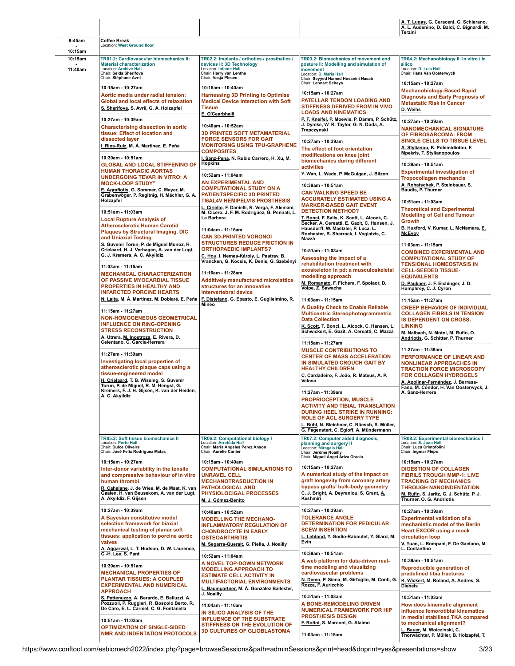|                    |                                                                                                                                                                                                                                                                                |                                                                                                                                                                                                              |                                                                                                                                                                                                                                                                                     | A. T. Lugas, G. Caraceni, G. Schierano,<br>A. L. Audenino, D. Baldi, C. Bignardi, M.<br>Terzini                                                                                                                                              |
|--------------------|--------------------------------------------------------------------------------------------------------------------------------------------------------------------------------------------------------------------------------------------------------------------------------|--------------------------------------------------------------------------------------------------------------------------------------------------------------------------------------------------------------|-------------------------------------------------------------------------------------------------------------------------------------------------------------------------------------------------------------------------------------------------------------------------------------|----------------------------------------------------------------------------------------------------------------------------------------------------------------------------------------------------------------------------------------------|
| 9:45am             | <b>Coffee Break</b><br>Location: West Ground floor                                                                                                                                                                                                                             |                                                                                                                                                                                                              |                                                                                                                                                                                                                                                                                     |                                                                                                                                                                                                                                              |
| 10:15am            |                                                                                                                                                                                                                                                                                |                                                                                                                                                                                                              |                                                                                                                                                                                                                                                                                     |                                                                                                                                                                                                                                              |
| 10:15am<br>11:40am | TR01.2: Cardiovascular biomechanics II:<br><b>Material characterization</b><br><b>Location: Archive Hall</b><br>Chair: Selda Sherifova<br>Chair: Stéphane Avril                                                                                                                | TR02.2: Implants / orthotics / prosthetics /<br>devices II: 3D Technology<br>Location: Infante Hall<br>Chair: Harry van Lenthe<br>Chair: Vasja Plesec                                                        | <b>TR03.2: Biomechanics of movement and</b><br>posture II: Modelling and simulation of<br>movement<br>Location: D. Maria Hall<br>Chair: Seyyed Hamed Hosseini Nasab                                                                                                                 | TR04.2: Mechanobiology II: In vitro / In<br>silico<br>Location: D. Luis Hall<br>Chair: Hans Van Oosterwyck                                                                                                                                   |
|                    | 10:15am - 10:27am<br>Aortic media under radial tension:<br>Global and local effects of relaxation<br>S. Sherifova, S. Avril, G. A. Holzapfel                                                                                                                                   | 10:15am - 10:40am<br><b>Harnessing 3D Printing to Optimise</b><br><b>Medical Device Interaction with Soft</b><br><b>Tissue</b><br>E. O'Cearbhaill                                                            | Chair: Lennart Scheys<br>10:15am - 10:27am<br>PATELLAR TENDON LOADING AND<br><b>STIFFNESS DERIVED FROM IN VIVO</b><br><b>LOADS AND KINEMATICS</b>                                                                                                                                   | 10:15am - 10:27am<br><b>Mechanobiology-Based Rapid</b><br>Diagnosis and Early Prognosis of<br>Metastatic Risk in Cancer<br>D. Weihs                                                                                                          |
|                    | 10:27am - 10:39am<br><b>Characterising dissection in aortic</b><br>tissue: Effect of location and<br>dissected layer<br><u>I. Ríos-Ruiz,</u> M. Á. Martínez, E. Peña                                                                                                           | 10:40am - 10:52am<br><b>3D PRINTED SOFT METAMATERIAL</b><br><b>FORCE SENSORS FOR GAIT</b><br><b>MONITORING USING TPU-GRAPHENE</b><br><b>COMPOSITES</b>                                                       | P. F. Kneifel, P. Moewis, P. Damm, P. Schütz,<br>J. Dymke, W. R. Taylor, G. N. Duda, A.<br>Trepczynski<br>10:27am - 10:39am<br>The effect of foot orientation<br>modifications on knee joint                                                                                        | 10:27am - 10:39am<br>NANOMECHANICAL SIGNATURE<br>OF FIBROSARCOMA: FROM<br><b>SINGLE CELLS TO TISSUE LEVEL</b><br>A. Stylianou, K. Polemidiotou, F.<br>Mpekris, T. Stylianopoulos                                                             |
|                    | 10:39am - 10:51am<br><b>GLOBAL AND LOCAL STIFFENING OF</b><br><b>HUMAN THORACIC AORTAS</b><br>UNDERGOING TEVAR IN VITRO: A<br><b>MOCK-LOOP STUDY"</b><br>E. Agrafiotis, G. Sommer, C. Mayer, M.                                                                                | I. Sanz-Pena, N. Rubio Carrero, H. Xu, M.<br><b>Hopkins</b><br>10:52am - 11:04am<br>AN EXPERIMENTAL AND<br><b>COMPUTATIONAL STUDY ON A</b><br><b>PATIENTSPECIFIC 3D PRINTED</b>                              | biomechanics during different<br>activities<br>Y. Wan, L. Wade, P. McGuigan, J. Bilzon<br>10:39am - 10:51am<br><b>CAN WALKING SPEED BE</b>                                                                                                                                          | 10:39am - 10:51am<br><b>Experimental investigation of</b><br><b>Tropocollagen mechancis</b><br>A. Rohatschek, P. Steinbauer, S.<br><b>Baudis, P. Thurner</b>                                                                                 |
|                    | Grabenwöger, P. Regitnig, H. Mächler, G. A.<br>Holzapfel<br>10:51am - 11:03am<br><b>Local Rupture Analysis of</b><br><b>Atherosclerotic Human Carotid</b><br><b>Plaques by Structural Imaging, DIC</b>                                                                         | <b>TI6AL4V HEMIPELVIS PROSTHESIS</b><br>L. Ciriello, F. Danielli, R. Verga, F. Alemani,<br>M. Cicero, J. F. M. Rodriguez, G. Pennati, L.<br>La Barbera<br>11:04am - 11:16am<br><b>CAN 3D-PRINTED VORONOI</b> | <b>ACCURATELY ESTIMATED USING A</b><br><b>MARKER-BASED GAIT EVENT</b><br><b>DETECTION METHOD?</b><br>T. Bonci, F. Salis, K. Scott, L. Alcock, C.<br>Becker, A. Cereatti, E. Gazit, C. Hansen, J.<br>Hausdorff, W. Maetzler, P. Luca, L.<br>Rochester, B. Sharrack, I. Vogiatzis, C. | 10:51am - 11:03am<br><b>Theoretical and Experimental</b><br><b>Modelling of Cell and Tumour</b><br>Growth<br>B. Huxford, V. Kumar, L. McNamara, E.<br><b>McEvoy</b>                                                                          |
|                    | and Uniaxial Testing<br>S. Guvenir Torun, P. de Miguel Munoz, H.<br>Crielaard, H. J. Verhagen, A. van der Lugt,<br>G. J. Kremers, A. C. Akyildiz<br>11:03am - 11:15am                                                                                                          | <b>STRUCTURES REDUCE FRICTION IN</b><br><b>ORTHOPAEDIC IMPLANTS?</b><br>C. Hou, I. Nemes-Károly, L. Pastrav, B.<br>Vrancken, G. Kocsis, K. Denis, G. Szebényi                                                | Mazzà<br>10:51am - 11:03am<br>Assessing the impact of a<br>rehabilitation treatment with<br>exoskeleton in pd: a musculoskeletal                                                                                                                                                    | 11:03am - 11:15am<br><b>COMBINED EXPERIMENTAL AND</b><br><b>COMPUTATIONAL STUDY OF</b><br><b>TENSIONAL HOMEOSTASIS IN</b><br><b>CELL-SEEDED TISSUE-</b>                                                                                      |
|                    | <b>MECHANICAL CHARACTERIZATION</b><br>OF PASSIVE MYOCARDIAL TISSUE<br>PROPERTIES IN HEALTHY AND<br><b>INFARCTED PORCINE HEARTS</b><br>N. Laita, M. Á. Martínez, M. Doblaré, E. Peña                                                                                            | 11:16am - 11:28am<br><b>Additively manufactured microlattice</b><br>structures for an innovative<br>intervertebral device<br>F. Distefano, G. Epasto, E. Guglielmino, R.                                     | modelling approach<br>M. Romanato, F. Fichera, F. Spolaor, D.<br>Volpe, Z. Sawacha                                                                                                                                                                                                  | <b>EQUIVALENTS</b><br>D. Paukner, J. F. Eichinger, J. D.<br>Humphrey, C. J. Cyron                                                                                                                                                            |
|                    | 11:15am - 11:27am<br><b>NON-HOMOGENEOUS GEOMETRICAL</b><br><b>INFLUENCE ON RING-OPENING</b><br><b>STRESS RECONSTRUCTION</b><br>A. Utrera, M. Inostroza, E. Rivera, D.<br>Celentano, C. Garcia-Herrera                                                                          | Mineo                                                                                                                                                                                                        | 11:03am - 11:15am<br>A Quality Check to Enable Reliable<br><b>Multicentric Stereophotogrammetric</b><br><b>Data Collection</b><br>K. Scott, T. Bonci, L. Alcock, C. Hansen, L.<br>Schwickert, E. Gazit, A. Cereatti, C. Mazzà<br>11:15am - 11:27am                                  | 11:15am - 11:27am<br><b>CREEP BEHAVIOR OF INDIVIDUAL</b><br>COLLAGEN FIBRILS IN TENSION<br><b>IS DEPENDENT ON CROSS-</b><br><b>LINKING</b><br>M. Nalbach, N. Motoi, M. Rufin, O.<br>Andriotis, G. Schitter, P. Thurner                       |
|                    | 11:27am - 11:39am<br>Investigating local properties of<br>atherosclerotic plaque caps using a<br>tissue-engineered model<br>H. Crielaard, T. B. Wissing, S. Guvenir<br>Torun, P. de Miguel, R. M. Hengst, G.<br>Kremers, F. J. H. Gijsen, K. van der Heiden,<br>A. C. Akyildiz |                                                                                                                                                                                                              | <b>MUSCLE CONTRIBUTIONS TO</b><br><b>CENTER OF MASS ACCELERATION</b><br>IN SIMULATED CROUCH GAIT BY<br><b>HEALTHY CHILDREN</b><br>C. Cardadeiro, F. João, R. Mateus, A. P.<br>Veloso                                                                                                | 11:27am - 11:39am<br><b>PERFORMANCE OF LINEAR AND</b><br><b>NONLINEAR APPROACHES IN</b><br><b>TRACTION FORCE MICROSCOPY</b><br><b>FOR COLLAGEN HYDROGELS</b><br>A. Apolinar-Fernández, J. Barrasa-<br>Fano, M. Cóndor, H. Van Oosterwyck, J. |
|                    |                                                                                                                                                                                                                                                                                |                                                                                                                                                                                                              | 11:27am - 11:39am<br><b>PROPRIOCEPTION, MUSCLE</b><br><b>ACTIVITY AND TIBIAL TRANSLATION</b><br><b>DURING HEEL STRIKE IN RUNNING:</b><br><b>ROLE OF ACL SURGERY TYPE</b><br>L. Bühl, N. Bleichner, C. Nüesch, S. Müller,<br>G. Pagenstert, C. Egloff, A. Mündermann                 | A. Sanz-Herrera                                                                                                                                                                                                                              |
|                    | <b>TR05.2: Soft tissue biomechanics II</b><br><b>Location: Porto Hall</b><br>Chair: Dulce Oliveira<br>Chair: José Felix Rodriguez Matas                                                                                                                                        | TR06.2: Computational biology I<br>Location: Arrabida Hall<br>Chair: Maria Angeles Perez Anson<br>Chair: Aurélie Carlier                                                                                     | TR07.2: Computer aided diagnosis,<br>planning and surgery II<br>Location: Miragaia Hall<br>Chair: Jérôme Noailly<br>Chair: Miguel Ángel Áriza Gracia                                                                                                                                | TR08.2: Experimental biomechanics I<br>Location: S. Joao Hall<br>Chair: Luca Cristofolini<br>Chair: Ingmar Fleps                                                                                                                             |
|                    | 10:15am - 10:27am<br>Inter-donor variability in the tensile<br>and compressive behaviour of in vitro<br>human thrombi<br>R. Cahalane, J. de Vries, M. de Maat, K. van<br>Gaalen, H. van Beusekom, A. van der Lugt,<br>A. Akyildiz, F. Gijsen                                   | 10:15am - 10:40am<br><b>COMPUTATIONAL SIMULATIONS TO</b><br><b>UNRAVEL CELL</b><br><b>MECHANOTRASDUCTION IN</b><br><b>PATHOLOGICAL AND</b><br>PHYSIOLOCIGAL PROCESSES<br>M. J. Gómez-Benito                  | 10:15am - 10:27am<br>A numerical study of the impact on<br>graft longevity from coronary artery<br>bypass grafts' bulk-body geometry<br>C. J. Bright, A. Deyranlou, S. Grant, A.<br><b>Keshmiri</b>                                                                                 | 10:15am - 10:27am<br><b>DIGESTION OF COLLAGEN</b><br><b>FIBRILS TROUGH MMP-1: LIVE</b><br>TRACKING OF MECHANICS<br><b>THROUGH NANOINDENTATION</b><br>M. Rufin, S. Jaritz, G. J. Schütz, P. J.<br>Thurner, O. G. Andriotis                    |
|                    | 10:27am - 10:39am<br>A Bayesian constitutive model<br>selection framework for biaxial<br>mechanical testing of planar soft<br>tissues: application to porcine aortic<br>valves<br>A. Aggarwal, L. T. Hudson, D. W. Laurence,                                                   | 10:40am - 10:52am<br><b>MODELLING THE MECHANO-</b><br><b>INFLAMMATORY REGULATION OF</b><br><b>CHONDROCYTE IN EARLY</b><br><b>OSTEOARTHRITIS</b><br>M. Segarra-Queralt, G. Piella, J. Noailly                 | 10:27am - 10:39am<br><b>TOLERANCE ANGLE</b><br><b>DETERMINATION FOR PEDICULAR</b><br><b>SCEW INSERTION</b><br>L. Leblond, Y. Godio-Raboutet, Y. Glard, M.<br>Evin                                                                                                                   | 10:27am - 10:39am<br><b>Experimental validation of a</b><br>mechanistic model of the Berlin<br><b>Heart EXCOR using a mock</b><br>circulation loop<br>V. Yuan, L. Rompani, F. De Gaetano, M.<br>L. Costantino                                |
|                    | C.-H. Lee, S. Pant<br>10:39am - 10:51am<br><b>MECHANICAL PROPERTIES OF</b><br><b>PLANTAR TISSUES: A COUPLED</b><br><b>EXPERIMENTAL AND NUMERICAL</b><br><b>APPROACH</b>                                                                                                        | 10:52am - 11:04am<br>A NOVEL TOP-DOWN NETWORK<br><b>MODELLING APPROACH TO</b><br><b>ESTIMATE CELL ACTIVITY IN</b><br><b>MULTIFACTORIAL ENVIRONMENTS</b><br>L. Baumgartner, M. Á. González Ballester,         | 10:39am - 10:51am<br>A web platform for data-driven real-<br>time modeling and visualizing<br>cardiovascular problems<br>N. Demo, P. Siena, M. Girfoglio, M. Conti, G.<br>Rozza, F. Auricchio                                                                                       | 10:39am - 10:51am<br>Reproducible generation of<br>predefined tibia fractures<br>K. Wickert, M. Roland, A. Andres, S.<br>Diebels                                                                                                             |
|                    | S. Pettenuzzo, A. Berardo, E. Belluzzi, A.<br>Pozzuoli, P. Ruggieri, R. Boscolo Berto, R.<br>De Caro, E. L. Carniel, C. G. Fontanella<br>10:51am - 11:03am<br><b>OPTIMIZATION OF SINGLE-SIDED</b><br><b>NMR AND INDENTATION PROTOCOLS</b>                                      | J. Noailly<br>11:04am - 11:16am<br>IN SILICO ANALYSIS OF THE<br><b>INFLUENCE OF THE SUBSTRATE</b><br>STIFFNESS ON THE EVOLUTION OF<br><b>3D CULTURES OF GLIOBLASTOMA</b>                                     | 10:51am - 11:03am<br>A BONE-REMODELING DRIVEN<br><b>NUMERICAL FRAMEWORK FOR HIP</b><br><b>PROSTHESIS DESIGN</b><br>F. Rotini, S. Marconi, G. Alaimo<br>11:03am - 11:15am                                                                                                            | 10:51am - 11:03am<br>How does kinematic alignment<br>influence femorotibial kinematics<br>in medial stabilised TKA compared<br>to mechanical alignment?<br>L. Bauer, M. Woiczinski, C.<br>Thorwächter, P. Müller, B. Holzapfel, T.           |

 $\overline{\phantom{a}}$ 

 $\overline{\phantom{a}}$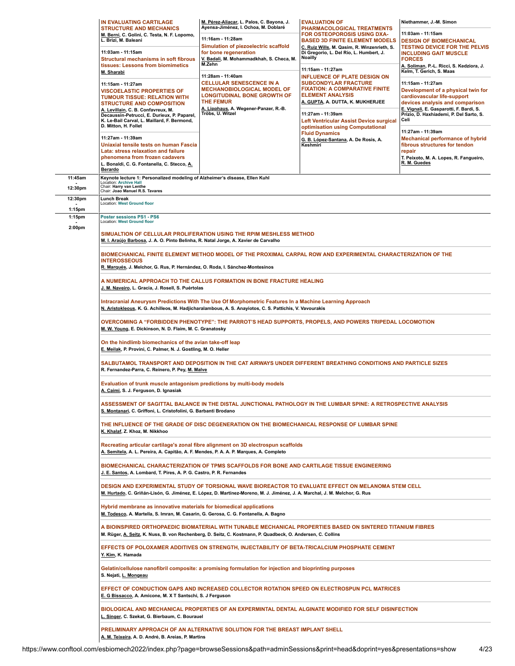|                     | IN EVALUATING CARTILAGE                                                                                                                                                                                                                                                                                                                                    | M. Pérez-Aliacar, L. Palos, C. Bayona, J.<br>Ayensa-Jiménez, I. Ochoa, M. Doblaré                                                                   | <b>EVALUATION OF</b>                                                                                                                                                                                                                                                                  | Niethammer, J.-M. Simon                                                                                                                                                                                                 |  |  |
|---------------------|------------------------------------------------------------------------------------------------------------------------------------------------------------------------------------------------------------------------------------------------------------------------------------------------------------------------------------------------------------|-----------------------------------------------------------------------------------------------------------------------------------------------------|---------------------------------------------------------------------------------------------------------------------------------------------------------------------------------------------------------------------------------------------------------------------------------------|-------------------------------------------------------------------------------------------------------------------------------------------------------------------------------------------------------------------------|--|--|
|                     | <b>STRUCTURE AND MECHANICS</b><br>M. Berni, C. Golini, C. Testa, N. F. Lopomo,<br>L. Brizi, M. Baleani                                                                                                                                                                                                                                                     | 11:16am - 11:28am<br>Simulation of piezoelectric scaffold<br>for bone regeneration<br>V. Badali, M. Mohammadkhah, S. Checa, M.<br>M.Zehn            | PHARMACOLOGICAL TREATMENTS<br>FOR OSTEOPOROSIS USING DXA-<br><b>BASED 3D FINITE ELEMENT MODELS</b><br>C. Ruiz Wills, M. Qasim, R. Winzenrieth, S.<br>Di Gregorio, L. Del Río, L. Humbert, J.<br>Noailly                                                                               | 11:03am - 11:15am                                                                                                                                                                                                       |  |  |
|                     | 11:03am - 11:15am<br><b>Structural mechanisms in soft fibrous</b>                                                                                                                                                                                                                                                                                          |                                                                                                                                                     |                                                                                                                                                                                                                                                                                       | <b>DESIGN OF BIOMECHANICAL</b><br><b>TESTING DEVICE FOR THE PELVIS</b><br><b>INCLUDING GAIT MUSCLE</b><br><b>FORCES</b>                                                                                                 |  |  |
|                     | tissues: Lessons from biomimetics<br>M. Sharabi                                                                                                                                                                                                                                                                                                            |                                                                                                                                                     | 11:15am - 11:27am                                                                                                                                                                                                                                                                     | A. Soliman, P.-L. Ricci, S. Kedziora, J.<br>Kelm, T. Gerich, S. Maas                                                                                                                                                    |  |  |
|                     | 11:28am - 11:40am<br>11:15am - 11:27am<br><b>VISCOELASTIC PROPERTIES OF</b><br><b>TUMOUR TISSUE: RELATION WITH</b><br><b>THE FEMUR</b><br><b>STRUCTURE AND COMPOSITION</b><br>A. Levillain, C. B. Confavreux, M.<br>Tröbs, U. Witzel<br>Decaussin-Petrucci, E. Durieux, P. Paparel,<br>K. Le-Bail Carval, L. Maillard, F. Bermond,<br>D. Mitton, H. Follet | <b>CELLULAR SENESCENCE IN A</b><br><b>MECHANOBIOLOGICAL MODEL OF</b><br><b>LONGITUDINAL BONE GROWTH OF</b><br>A. Lipphaus, A. Wegener-Panzer, R.-B. | <b>INFLUENCE OF PLATE DESIGN ON</b><br><b>SUBCONDYLAR FRACTURE</b><br><b>FIXATION: A COMPARATIVE FINITE</b><br><b>ELEMENT ANALYSIS</b><br><u>A. GUPTA,</u> A. DUTTA, K. MUKHERJEE<br>11:27am - 11:39am<br>Left Ventricular Assist Device surgical<br>optimisation using Computational | 11:15am - 11:27am<br>Development of a physical twin for<br>cardiovascular life-support<br>devices analysis and comparison<br>E. Vignali, E. Gasparotti, F. Bardi, S.<br>Prizio, D. Haxhiademi, P. Del Sarto, S.<br>Celi |  |  |
|                     | 11:27am - 11:39am<br>Uniaxial tensile tests on human Fascia<br>Lata: stress relaxation and failure<br>phenomena from frozen cadavers<br>L. Bonaldi, C. G. Fontanella, C. Stecco, A.<br>Berardo                                                                                                                                                             | <b>Fluid Dynamics</b><br>G. B. López-Santana, A. De Rosis, A.<br>Keshmiri                                                                           |                                                                                                                                                                                                                                                                                       | 11:27am - 11:39am<br><b>Mechanical performance of hybrid</b><br>fibrous structures for tendon<br>repair<br>T. Peixoto, M. A. Lopes, R. Fangueiro,<br>R. M. Guedes                                                       |  |  |
| 11:45am             | Keynote lecture 1: Personalized modeling of Alzheimer's disease, Ellen Kuhl<br>Location: Archive Hall                                                                                                                                                                                                                                                      |                                                                                                                                                     |                                                                                                                                                                                                                                                                                       |                                                                                                                                                                                                                         |  |  |
| 12:30pm             | Chair: Harry van Lenthe<br>Chair: Joao Manuel R.S. Tavares                                                                                                                                                                                                                                                                                                 |                                                                                                                                                     |                                                                                                                                                                                                                                                                                       |                                                                                                                                                                                                                         |  |  |
| 12:30pm             | Lunch Break<br><b>Location: West Ground floor</b>                                                                                                                                                                                                                                                                                                          |                                                                                                                                                     |                                                                                                                                                                                                                                                                                       |                                                                                                                                                                                                                         |  |  |
| $1:15$ pm<br>1:15pm | Poster sessions PS1 - PS6<br>Location: West Ground floor                                                                                                                                                                                                                                                                                                   |                                                                                                                                                     |                                                                                                                                                                                                                                                                                       |                                                                                                                                                                                                                         |  |  |
| 2:00pm              | M. I. Araújo Barbosa, J. A. O. Pinto Belinha, R. Natal Jorge, A. Xavier de Carvalho                                                                                                                                                                                                                                                                        | SIMUALTION OF CELLULAR PROLIFERATION USING THE RPIM MESHLESS METHOD                                                                                 |                                                                                                                                                                                                                                                                                       |                                                                                                                                                                                                                         |  |  |
|                     | <b>INTEROSSEOUS</b><br>R. Marqués, J. Melchor, G. Rus, P. Hernández, O. Roda, I. Sánchez-Montesinos                                                                                                                                                                                                                                                        |                                                                                                                                                     | BIOMECHANICAL FINITE ELEMENT METHOD MODEL OF THE PROXIMAL CARPAL ROW AND EXPERIMENTAL CHARACTERIZATION OF THE                                                                                                                                                                         |                                                                                                                                                                                                                         |  |  |
|                     | A NUMERICAL APPROACH TO THE CALLUS FORMATION IN BONE FRACTURE HEALING<br><u>J. M. Naveiro,</u> L. Gracia, J. Rosell, S. Puértolas                                                                                                                                                                                                                          |                                                                                                                                                     |                                                                                                                                                                                                                                                                                       |                                                                                                                                                                                                                         |  |  |
|                     | Intracranial Aneurysm Predictions With The Use Of Morphometric Features In a Machine Learning Approach<br>N. Aristokleous, K. G. Achilleos, M. Hadjicharalambous, A. S. Anayiotos, C. S. Pattichis, V. Vavourakis                                                                                                                                          |                                                                                                                                                     |                                                                                                                                                                                                                                                                                       |                                                                                                                                                                                                                         |  |  |
|                     | OVERCOMING A "FORBIDDEN PHENOTYPE": THE PARROT'S HEAD SUPPORTS, PROPELS, AND POWERS TRIPEDAL LOCOMOTION<br>M. W. Young, E. Dickinson, N. D. Flaim, M. C. Granatosky                                                                                                                                                                                        |                                                                                                                                                     |                                                                                                                                                                                                                                                                                       |                                                                                                                                                                                                                         |  |  |
|                     | On the hindlimb biomechanics of the avian take-off leap<br>E. Meilak, P. Provini, C. Palmer, N. J. Gostling, M. O. Heller                                                                                                                                                                                                                                  |                                                                                                                                                     |                                                                                                                                                                                                                                                                                       |                                                                                                                                                                                                                         |  |  |
|                     | SALBUTAMOL TRANSPORT AND DEPOSITION IN THE CAT AIRWAYS UNDER DIFFERENT BREATHING CONDITIONS AND PARTICLE SIZES<br>R. Fernandez-Parra, C. Reinero, P. Pey, M. Malve                                                                                                                                                                                         |                                                                                                                                                     |                                                                                                                                                                                                                                                                                       |                                                                                                                                                                                                                         |  |  |
|                     | Evaluation of trunk muscle antagonism predictions by multi-body models<br>A. Caimi, S. J. Ferguson, D. Ignasiak                                                                                                                                                                                                                                            |                                                                                                                                                     |                                                                                                                                                                                                                                                                                       |                                                                                                                                                                                                                         |  |  |
|                     | S. Montanari, C. Griffoni, L. Cristofolini, G. Barbanti Brodano                                                                                                                                                                                                                                                                                            |                                                                                                                                                     | ASSESSMENT OF SAGITTAL BALANCE IN THE DISTAL JUNCTIONAL PATHOLOGY IN THE LUMBAR SPINE: A RETROSPECTIVE ANALYSIS                                                                                                                                                                       |                                                                                                                                                                                                                         |  |  |
|                     | K. Khalaf, Z. Khoz, M. Nikkhoo                                                                                                                                                                                                                                                                                                                             |                                                                                                                                                     | THE INFLUENCE OF THE GRADE OF DISC DEGENERATION ON THE BIOMECHANICAL RESPONSE OF LUMBAR SPINE                                                                                                                                                                                         |                                                                                                                                                                                                                         |  |  |
|                     | A. Semitela, A. L. Pereira, A. Capitão, A. F. Mendes, P. A. A. P. Marques, A. Completo                                                                                                                                                                                                                                                                     | Recreating articular cartilage's zonal fibre alignment on 3D electrospun scaffolds                                                                  |                                                                                                                                                                                                                                                                                       |                                                                                                                                                                                                                         |  |  |
|                     | BIOMECHANICAL CHARACTERIZATION OF TPMS SCAFFOLDS FOR BONE AND CARTILAGE TISSUE ENGINEERING<br>J. E. Santos, A. Lombard, T. Pires, A. P. G. Castro, P. R. Fernandes                                                                                                                                                                                         |                                                                                                                                                     |                                                                                                                                                                                                                                                                                       |                                                                                                                                                                                                                         |  |  |
|                     | DESIGN AND EXPERIMENTAL STUDY OF TORSIONAL WAVE BIOREACTOR TO EVALUATE EFFECT ON MELANOMA STEM CELL<br>M. Hurtado, C. Griñán-Lisón, G. Jiménez, E. López, D. Martínez-Moreno, M. J. Jiménez, J. A. Marchal, J. M. Melchor, G. Rus                                                                                                                          |                                                                                                                                                     |                                                                                                                                                                                                                                                                                       |                                                                                                                                                                                                                         |  |  |
|                     | Hybrid membrane as innovative materials for biomedical applications<br>M. Todesco, A. Martella, S. Imran, M. Casarin, G. Gerosa, C. G. Fontanella, A. Bagno                                                                                                                                                                                                |                                                                                                                                                     |                                                                                                                                                                                                                                                                                       |                                                                                                                                                                                                                         |  |  |
|                     | A BIOINSPIRED ORTHOPAEDIC BIOMATERIAL WITH TUNABLE MECHANICAL PROPERTIES BASED ON SINTERED TITANIUM FIBRES<br>M. Rüger, A. Seitz, K. Nuss, B. von Rechenberg, D. Seitz, C. Kostmann, P. Quadbeck, O. Andersen, C. Collins                                                                                                                                  |                                                                                                                                                     |                                                                                                                                                                                                                                                                                       |                                                                                                                                                                                                                         |  |  |
|                     | EFFECTS OF POLOXAMER ADDITIVES ON STRENGTH, INJECTABILITY OF BETA-TRICALCIUM PHOSPHATE CEMENT<br>Y. Kim, K. Hamada                                                                                                                                                                                                                                         |                                                                                                                                                     |                                                                                                                                                                                                                                                                                       |                                                                                                                                                                                                                         |  |  |
|                     | S. Nejati, L. Mongeau                                                                                                                                                                                                                                                                                                                                      | Gelatin/cellulose nanofibril composite: a promising formulation for injection and bioprinting purposes                                              |                                                                                                                                                                                                                                                                                       |                                                                                                                                                                                                                         |  |  |
|                     | EFFECT OF CONDUCTION GAPS AND INCREASED COLLECTOR ROTATION SPEED ON ELECTROSPUN PCL MATRICES<br>E. G Bissacco, A. Amicone, M. X T Santschi, S. J Ferguson                                                                                                                                                                                                  |                                                                                                                                                     |                                                                                                                                                                                                                                                                                       |                                                                                                                                                                                                                         |  |  |
|                     | L. Singer, C. Szekat, G. Bierbaum, C. Bourauel                                                                                                                                                                                                                                                                                                             |                                                                                                                                                     | BIOLOGICAL AND MECHANICAL PROPERTIES OF AN EXPERMINTAL DENTAL ALGINATE MODIFIED FOR SELF DISINFECTION                                                                                                                                                                                 |                                                                                                                                                                                                                         |  |  |
|                     | PRELIMINARY APPROACH OF AN ALTERNATIVE SOLUTION FOR THE BREAST IMPLANT SHELL<br><u>A. M. Teixeira</u> , A. D. André, B. Areias, P. Martins                                                                                                                                                                                                                 |                                                                                                                                                     |                                                                                                                                                                                                                                                                                       |                                                                                                                                                                                                                         |  |  |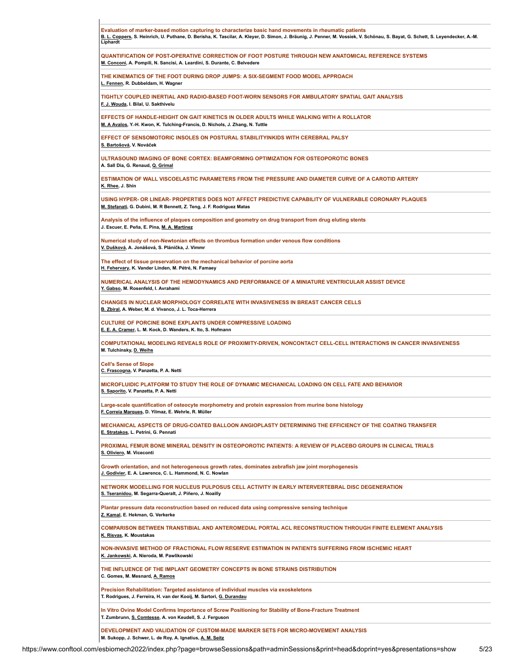| Evaluation of marker-based motion capturing to characterize basic hand movements in rheumatic patients<br>B. L. Coppers, S. Heinrich, U. Puthane, D. Berisha, K. Tascilar, A. Kleyer, D. Simon, J. Bräunig, J. Penner, M. Vossiek, V. Schönau, S. Bayat, G. Schett, S. Leyendecker, A.-M.<br>Liphardt |
|-------------------------------------------------------------------------------------------------------------------------------------------------------------------------------------------------------------------------------------------------------------------------------------------------------|
| QUANTIFICATION OF POST-OPERATIVE CORRECTION OF FOOT POSTURE THROUGH NEW ANATOMICAL REFERENCE SYSTEMS<br>M. Conconi, A. Pompili, N. Sancisi, A. Leardini, S. Durante, C. Belvedere                                                                                                                     |
| THE KINEMATICS OF THE FOOT DURING DROP JUMPS: A SIX-SEGMENT FOOD MODEL APPROACH<br>L. Fennen, R. Dubbeldam, H. Wagner                                                                                                                                                                                 |
| TIGHTLY COUPLED INERTIAL AND RADIO-BASED FOOT-WORN SENSORS FOR AMBULATORY SPATIAL GAIT ANALYSIS<br>F. J. Wouda, I. Bilal, U. Sakthivelu                                                                                                                                                               |
| EFFECTS OF HANDLE-HEIGHT ON GAIT KINETICS IN OLDER ADULTS WHILE WALKING WITH A ROLLATOR<br>M. A Avalos, Y.-H. Kwon, K. Tulching-Francis, D. Nichols, J. Zhang, N. Tuttle                                                                                                                              |
| EFFECT OF SENSOMOTORIC INSOLES ON POSTURAL STABILITYINKIDS WITH CEREBRAL PALSY<br>S. Bartošová, V. Nováček                                                                                                                                                                                            |
| ULTRASOUND IMAGING OF BONE CORTEX: BEAMFORMING OPTIMIZATION FOR OSTEOPOROTIC BONES<br>A. Sall Dia, G. Renaud, Q. Grimal                                                                                                                                                                               |
| ESTIMATION OF WALL VISCOELASTIC PARAMETERS FROM THE PRESSURE AND DIAMETER CURVE OF A CAROTID ARTERY<br>K. Rhee, J. Shin                                                                                                                                                                               |
| USING HYPER- OR LINEAR- PROPERTIES DOES NOT AFFECT PREDICTIVE CAPABILITY OF VULNERABLE CORONARY PLAQUES<br>M. Stefanati, G. Dubini, M. R Bennett, Z. Teng, J. F. Rodriguez Matas                                                                                                                      |
| Analysis of the influence of plaques composition and geometry on drug transport from drug eluting stents<br>J. Escuer, E. Peña, E. Pina, M. A. Martínez                                                                                                                                               |
| Numerical study of non-Newtonian effects on thrombus formation under venous flow conditions<br>V. Dušková, A. Jonášová, S. Plánička, J. Vimmr                                                                                                                                                         |
| The effect of tissue preservation on the mechanical behavior of porcine aorta<br>H. Fehervary, K. Vander Linden, M. Pétré, N. Famaey                                                                                                                                                                  |
| NUMERICAL ANALYSIS OF THE HEMODYNAMICS AND PERFORMANCE OF A MINIATURE VENTRICULAR ASSIST DEVICE<br>Y. Gabso, M. Rosenfeld, I. Avrahami                                                                                                                                                                |
| CHANGES IN NUCLEAR MORPHOLOGY CORRELATE WITH INVASIVENESS IN BREAST CANCER CELLS<br>B. Zbiral, A. Weber, M. d. Vivanco, J. L. Toca-Herrera                                                                                                                                                            |
| <b>CULTURE OF PORCINE BONE EXPLANTS UNDER COMPRESSIVE LOADING</b><br>E. E. A. Cramer, L. M. Kock, D. Wanders, K. Ito, S. Hofmann                                                                                                                                                                      |
| COMPUTATIONAL MODELING REVEALS ROLE OF PROXIMITY-DRIVEN, NONCONTACT CELL-CELL INTERACTIONS IN CANCER INVASIVENESS<br>M. Tulchinsky, D. Weihs                                                                                                                                                          |
| <b>Cell's Sense of Slope</b><br>C. Frascogna, V. Panzetta, P. A. Netti                                                                                                                                                                                                                                |
| MICROFLUIDIC PLATFORM TO STUDY THE ROLE OF DYNAMIC MECHANICAL LOADING ON CELL FATE AND BEHAVIOR<br>S. Saporito, V. Panzetta, P. A. Netti                                                                                                                                                              |
| Large-scale quantification of osteocyte morphometry and protein expression from murine bone histology<br>F. Correia Marques, D. Yilmaz, E. Wehrle, R. Müller                                                                                                                                          |
| MECHANICAL ASPECTS OF DRUG-COATED BALLOON ANGIOPLASTY DETERMINING THE EFFICIENCY OF THE COATING TRANSFER<br>E. Stratakos, L. Petrini, G. Pennati                                                                                                                                                      |
| PROXIMAL FEMUR BONE MINERAL DENSITY IN OSTEOPOROTIC PATIENTS: A REVIEW OF PLACEBO GROUPS IN CLINICAL TRIALS<br>S. Oliviero, M. Viceconti                                                                                                                                                              |
| Growth orientation, and not heterogeneous growth rates, dominates zebrafish jaw joint morphogenesis<br>J. Godivier, E. A. Lawrence, C. L. Hammond, N. C. Nowlan                                                                                                                                       |
| NETWORK MODELLING FOR NUCLEUS PULPOSUS CELL ACTIVITY IN EARLY INTERVERTEBRAL DISC DEGENERATION<br>S. Tseranidou, M. Segarra-Queralt, J. Piñero, J. Noailly                                                                                                                                            |
| Plantar pressure data reconstruction based on reduced data using compressive sensing technique<br>Z. Kamal, E. Hekman, G. Verkerke                                                                                                                                                                    |
| COMPARISON BETWEEN TRANSTIBIAL AND ANTEROMEDIAL PORTAL ACL RECONSTRUCTION THROUGH FINITE ELEMENT ANALYSIS<br>K. Risvas, K. Moustakas                                                                                                                                                                  |
| NON-INVASIVE METHOD OF FRACTIONAL FLOW RESERVE ESTIMATION IN PATIENTS SUFFERING FROM ISCHEMIC HEART<br>K. Jankowski, A. Nieroda, M. Pawlikowski                                                                                                                                                       |
| THE INFLUENCE OF THE IMPLANT GEOMETRY CONCEPTS IN BONE STRAINS DISTRIBUTION<br>C. Gomes, M. Mesnard, A. Ramos                                                                                                                                                                                         |
| Precision Rehabilitation: Targeted assistance of individual muscles via exoskeletons<br>T. Rodrigues, J. Ferreira, H. van der Kooij, M. Sartori, G. Durandau                                                                                                                                          |
| In Vitro Ovine Model Confirms Importance of Screw Positioning for Stability of Bone-Fracture Treatment<br>T. Zumbrunn, S. Comtesse, A. von Keudell, S. J. Ferguson                                                                                                                                    |
| DEVELOPMENT AND VALIDATION OF CUSTOM-MADE MARKER SETS FOR MICRO-MOVEMENT ANALYSIS<br>M. Sukopp, J. Schwer, L. de Roy, A. Ignatius, A. M. Seitz                                                                                                                                                        |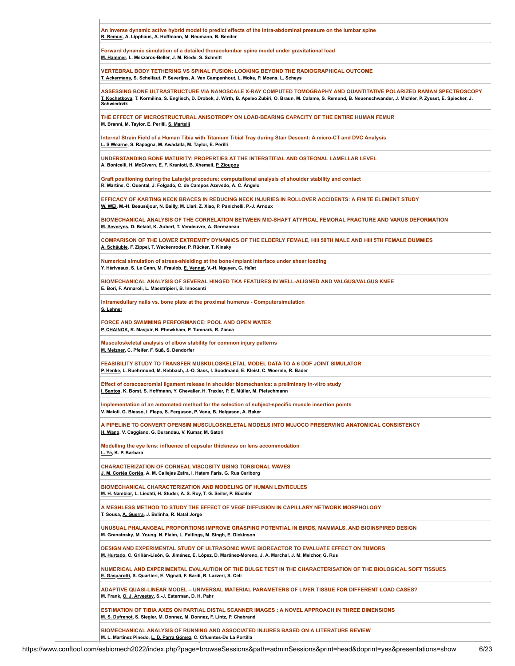| An inverse dynamic active hybrid model to predict effects of the intra-abdominal pressure on the lumbar spine<br>R. Remus, A. Lipphaus, A. Hoffmann, M. Neumann, B. Bender                                                                                                                                       |
|------------------------------------------------------------------------------------------------------------------------------------------------------------------------------------------------------------------------------------------------------------------------------------------------------------------|
| Forward dynamic simulation of a detailed thoracolumbar spine model under gravitational load<br>M. Hammer, L. Meszaros-Beller, J. M. Riede, S. Schmitt                                                                                                                                                            |
| VERTEBRAL BODY TETHERING VS SPINAL FUSION: LOOKING BEYOND THE RADIOGRAPHICAL OUTCOME<br><u>T. Ackermans</u> , S. Schelfaut, P. Severijns, A. Van Campenhout, L. Moke, P. Moens, L. Scheys                                                                                                                        |
| ASSESSING BONE ULTRASTRUCTURE VIA NANOSCALE X-RAY COMPUTED TOMOGRAPHY AND QUANTITATIVE POLARIZED RAMAN SPECTROSCOPY<br>T. Kochetkova, T. Kormilina, S. Englisch, D. Drobek, J. Wirth, B. Apeleo Zubiri, O. Braun, M. Calame, S. Remund, B. Neuenschwander, J. Michler, P. Zysset, E. Spiecker, J.<br>Schwiedrzik |
| THE EFFECT OF MICROSTRUCTURAL ANISOTROPY ON LOAD-BEARING CAPACITY OF THE ENTIRE HUMAN FEMUR<br>M. Branni, M. Taylor, E. Perilli, S. Martelli                                                                                                                                                                     |
| Internal Strain Field of a Human Tibia with Titanium Tibial Tray during Stair Descent: A micro-CT and DVC Analysis<br>L. S Wearne, S. Rapagna, M. Awadalla, M. Taylor, E. Perilli                                                                                                                                |
| UNDERSTANDING BONE MATURITY: PROPERTIES AT THE INTERSTITIAL AND OSTEONAL LAMELLAR LEVEL<br>A. Bonicelli, H. McGivern, E. F. Kranioti, B. Xhemali, P. Zioupos                                                                                                                                                     |
| Graft positioning during the Latarjet procedure: computational analysis of shoulder stability and contact<br>R. Martins, C. Quental, J. Folgado, C. de Campos Azevedo, A. C. Ângelo                                                                                                                              |
| EFFICACY OF KARTING NECK BRACES IN REDUCING NECK INJURIES IN ROLLOVER ACCIDENTS: A FINITE ELEMENT STUDY<br>W. WEI, M.-H. Beauséjour, N. Bailly, M. Llari, Z. Xiao, P. Panichelli, P.-J. Arnoux                                                                                                                   |
| BIOMECHANICAL ANALYSIS OF THE CORRELATION BETWEEN MID-SHAFT ATYPICAL FEMORAL FRACTURE AND VARUS DEFORMATION<br>M. Severyns, D. Belaid, K. Aubert, T. Vendeuvre, A. Germaneau                                                                                                                                     |
| COMPARISON OF THE LOWER EXTREMITY DYNAMICS OF THE ELDERLY FEMALE, HIII 50TH MALE AND HIII 5TH FEMALE DUMMIES<br>A. Schäuble, F. Zippel, T. Wackenroder, P. Rücker, T. Kinsky                                                                                                                                     |
| Numerical simulation of stress-shielding at the bone-implant interface under shear loading<br>Y. Hériveaux, S. Le Cann, M. Fraulob, E. Vennat, V.-H. Nguyen, G. Haïat                                                                                                                                            |
| BIOMECHANICAL ANALYSIS OF SEVERAL HINGED TKA FEATURES IN WELL-ALIGNED AND VALGUS/VALGUS KNEE<br>E. Bori, F. Armaroli, L. Maestripieri, B. Innocenti                                                                                                                                                              |
| Intramedullary nails vs. bone plate at the proximal humerus - Computersimulation<br>S. Lehner                                                                                                                                                                                                                    |
| FORCE AND SWIMMING PERFORMANCE: POOL AND OPEN WATER<br>P. CHAINOK, R. Masjuir, N. Phewkham, P. Tumnark, R. Zacca                                                                                                                                                                                                 |
| Musculoskeletal analysis of elbow stability for common injury patterns<br>M. Melzner, C. Pfeifer, F. Süß, S. Dendorfer                                                                                                                                                                                           |
| FEASIBILITY STUDY TO TRANSFER MUSKULOSKELETAL MODEL DATA TO A 6 DOF JOINT SIMULATOR<br>P. Henke, L. Ruehrmund, M. Kebbach, J.-O. Sass, I. Soodmand, E. Kleist, C. Woernle, R. Bader                                                                                                                              |
| Effect of coracoacromial ligament release in shoulder biomechanics: a preliminary in-vitro study<br>I. Santos, K. Borst, S. Hoffmann, Y. Chevalier, H. Traxler, P. E. Müller, M. Pietschmann                                                                                                                     |
| Implementation of an automated method for the selection of subject-specific muscle insertion points<br>V. Maioli, G. Biesso, I. Fleps, S. Ferguson, P. Vena, B. Helgason, A. Baker                                                                                                                               |
| A PIPELINE TO CONVERT OPENSIM MUSCULOSKELETAL MODELS INTO MUJOCO PRESERVING ANATOMICAL CONSISTENCY<br>H. Wang, V. Caggiano, G. Durandau, V. Kumar, M. Satori                                                                                                                                                     |
| Modelling the eye lens: influence of capsular thickness on lens accommodation<br>L. Ye, K. P. Barbara                                                                                                                                                                                                            |
| <b>CHARACTERIZATION OF CORNEAL VISCOSITY USING TORSIONAL WAVES</b><br>J. M. Cortés Cortés, A. M. Callejas Zafra, I. Hatem Faris, G. Rus Carlborg                                                                                                                                                                 |
| <b>BIOMECHANICAL CHARACTERIZATION AND MODELING OF HUMAN LENTICULES</b><br>M. H. Nambiar, L. Liechti, H. Studer, A. S. Roy, T. G. Seiler, P. Büchler                                                                                                                                                              |
| A MESHLESS METHOD TO STUDY THE EFFECT OF VEGF DIFFUSION IN CAPILLARY NETWORK MORPHOLOGY<br>T. Sousa, A. Guerra, J. Belinha, R. Natal Jorge                                                                                                                                                                       |
| UNUSUAL PHALANGEAL PROPORTIONS IMPROVE GRASPING POTENTIAL IN BIRDS, MAMMALS, AND BIOINSPIRED DESIGN<br>M. Granatosky, M. Young, N. Flaim, L. Faltings, M. Singh, E. Dickinson                                                                                                                                    |
| DESIGN AND EXPERIMENTAL STUDY OF ULTRASONIC WAVE BIOREACTOR TO EVALUATE EFFECT ON TUMORS<br>M. Hurtado, C. Griñán-Lisón, G. Jiménez, E. López, D. Martínez-Moreno, J. A. Marchal, J. M. Melchor, G. Rus                                                                                                          |
| NUMERICAL AND EXPERIMENTAL EVALAUTION OF THE BULGE TEST IN THE CHARACTERISATION OF THE BIOLOGICAL SOFT TISSUES<br>E. Gasparotti, S. Quartieri, E. Vignali, F. Bardi, R. Lazzeri, S. Celi                                                                                                                         |
| ADAPTIVE QUASI-LINEAR MODEL – UNIVERSAL MATERIAL PARAMETERS OF LIVER TISSUE FOR DIFFERENT LOAD CASES?<br>M. Frank, O. J. Aryeetey, S.-J. Esterman, D. H. Pahr                                                                                                                                                    |
| ESTIMATION OF TIBIA AXES ON PARTIAL DISTAL SCANNER IMAGES : A NOVEL APPROACH IN THREE DIMENSIONS<br>M. S. Dufrenot, S. Siegler, M. Donnez, M. Donnez, F. Lintz, P. Chabrand                                                                                                                                      |
| BIOMECHANICAL ANALYSIS OF RUNNING AND ASSOCIATED INJURES BASED ON A LITERATURE REVIEW<br>M. L. Martínez Pinedo, L. D. Parra Gómez, C. Cifuentes-De La Portilla                                                                                                                                                   |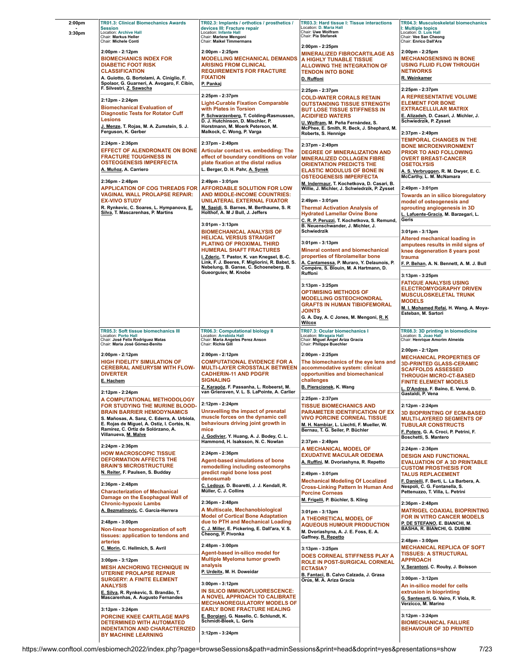| 2:00pm<br>3:30pm | <b>TR01.3: Clinical Biomechanics Awards</b><br><b>Session</b><br><b>Location: Archive Hall</b><br>Chair: Markus Heller<br>Chair: Michele Conti                                                                                                                 | TR02.3: Implants / orthotics / prosthetics /<br>devices III: Fracture repair<br>Location: Infante Hall<br>Chair: Marlene Mengoni<br><b>Chair: Maikel Timmermans</b>                                                                                                                                                                               | TR03.3: Hard tissue I: Tissue interactions<br>Location: D. Maria Hall<br>Chair: Uwe Wolfram<br>Chair: Pia Stefanek                                                                                                                                                                                  | <b>TR04.3: Musculoskeletal biomechanics</b><br>I: Multiple topics<br>Location: D. Luis Hall<br>Chair: Vee San Cheong<br>Chair: Enrico Dall'Ara                                                                                                  |
|------------------|----------------------------------------------------------------------------------------------------------------------------------------------------------------------------------------------------------------------------------------------------------------|---------------------------------------------------------------------------------------------------------------------------------------------------------------------------------------------------------------------------------------------------------------------------------------------------------------------------------------------------|-----------------------------------------------------------------------------------------------------------------------------------------------------------------------------------------------------------------------------------------------------------------------------------------------------|-------------------------------------------------------------------------------------------------------------------------------------------------------------------------------------------------------------------------------------------------|
|                  | 2:00pm - 2:12pm<br><b>BIOMECHANICS INDEX FOR</b><br><b>DIABETIC FOOT RISK</b><br><b>CLASSIFICATION</b><br>A. Guiotto, G. Bortolami, A. Ciniglio, F.<br>Spolaor, G. Guarneri, A. Avogaro, F. Cibin,                                                             | 2:00pm - 2:25pm<br><b>MODELLING MECHANICAL DEMANDS</b><br><b>ARISING FROM CLINICAL</b><br><b>REQUIREMENTS FOR FRACTURE</b><br><b>FIXATION</b><br>P. Pankaj                                                                                                                                                                                        | 2:00pm - 2:25pm<br><b>MINERALIZED FIBROCARTILAGE AS</b><br>A HIGHLY TUNABLE TISSUE<br><b>ALLOWING THE INTEGRATION OF</b><br><b>TENDON INTO BONE</b><br>D. Ruffoni                                                                                                                                   | 2:00pm - 2:25pm<br><b>MECHANOSENSING IN BONE</b><br>USING FLUID FLOW THROUGH<br><b>NETWORKS</b><br>R. Weinkamer                                                                                                                                 |
|                  | F. Silvestri, Z. Sawacha<br>2:12pm - 2:24pm<br><b>Biomechanical Evaluation of</b><br><b>Diagnostic Tests for Rotator Cuff</b><br><b>Lesions</b><br>J. Menze, T. Rojas, M. A. Zumstein, S. J.<br>Ferguson, K. Gerber                                            | 2:25pm - 2:37pm<br><b>Light-Curable Fixation Comparable</b><br>with Plates in Torsion<br>P. Schwarzenberg, T. Colding-Rasmussen,<br>D. J. Hutchinson, D. Mischler, P.<br>Horstmann, M. Moerk Peterson, M.<br>Malkock, C. Wong, P. Varga                                                                                                           | 2:25pm - 2:37pm<br><b>COLD-WATER CORALS RETAIN</b><br><b>OUTSTANDING TISSUE STRENGTH</b><br><b>BUT LOSE TISSUE STIFFNESS IN</b><br><b>ACIDIFIED WATERS</b><br>U. Wolfram, M. Peña Fernández, S.<br>McPhee, E. Smith, R. Beck, J. Shephard, M.<br>Roberts, S. Hennige                                | 2:25pm - 2:37pm<br>A REPRESENTATIVE VOLUME<br><b>ELEMENT FOR BONE</b><br><b>EXTRACELLULAR MATRIX</b><br>E. Alizadeh, D. Casari, J. Michler, J.<br>Schwiedrzik, P. Zysset<br>2:37pm - 2:49pm                                                     |
|                  | 2:24pm - 2:36pm<br><b>EFFECT OF ALENDRONATE ON BONE</b><br><b>FRACTURE TOUGHNESS IN</b><br><b>OSTEOGENESIS IMPERFECTA</b><br>A. Muñoz, A. Carriero                                                                                                             | 2:37pm - 2:49pm<br>Articular contact vs. embedding: The<br>effect of boundary conditions on volar<br>plate fixation at the distal radius<br>L. Berger, D. H. Pahr, A. Synek                                                                                                                                                                       | 2:37pm - 2:49pm<br><b>DEGREE OF MINERALIZATION AND</b><br><b>MINERALIZED COLLAGEN FIBRE</b><br><b>ORIENTATION PREDICTS THE</b><br><b>ELASTIC MODULUS OF BONE IN</b><br><b>OSTEOGENESIS IMPERFECTA</b>                                                                                               | <b>TEMPORAL CHANGES IN THE</b><br><b>BONE MICROENVIRONMENT</b><br><b>PRIOR TO AND FOLLOWING</b><br><b>OVERT BREAST-CANCER</b><br><b>OSETOLYSIS</b><br><u>A. S. Verbruggen</u> , R. M. Dwyer, E. C.<br>McCarthy, L. M. McNamara                  |
|                  | 2:36pm - 2:48pm<br><b>APPLICATION OF COG THREADS FOR</b><br><b>VAGINAL WALL PROLAPSE REPAIR:</b><br><b>EX-VIVO STUDY</b><br>R. Rynkevic, C. Soares, L. Hympanova, E.<br>Silva, T. Mascarenhas, P. Martins                                                      | 2:49pm - 3:01pm<br><b>AFFORDABLE SOLUTION FOR LOW</b><br>AND MIDDLE-INCOME COUNTRIES:<br>UNILATERAL EXTERNAL FIXATOR<br>M. Saeidi, S. Barnes, M. Berthaume, S. R.<br>Holthof, A. M J Bull, J. Jeffers                                                                                                                                             | M. Indermaur, T. Kochetkova, D. Casari, B.<br>Willie, J. Michler, J. Schwiedrzik, P. Zysset<br>2:49pm - 3:01pm<br><b>Thermal Activation Analysis of</b><br><b>Hydrated Lamellar Ovine Bone</b>                                                                                                      | 2:49pm - 3:01pm<br>Towards an in silico bioregulatory<br>model of osteogenesis and<br>sprouting angiogenesis in 3D<br>L. Lafuente-Gracia, M. Barzegari, L.<br>Geris                                                                             |
|                  |                                                                                                                                                                                                                                                                | $3:01 \text{pm} - 3:13 \text{pm}$<br><b>BIOMECHANICAL ANALYSIS OF</b><br><b>HELICAL VERSUS STRAIGHT</b><br><b>PLATING OF PROXIMAL THIRD</b><br><b>HUMERAL SHAFT FRACTURES</b><br>I. Zderic, T. Pastor, K. van Knegsel, B.-C.<br>Link, F. J. Beeres, F. Migliorini, R. Babst, S.<br>Nebelung, B. Ganse, C. Schoeneberg, B.<br>Gueorguiev, M. Knobe | C. R. P. Peruzzi, T. Kochetkova, S. Remund,<br>B. Neuenschwander, J. Michler, J.<br>Schwiedrzik<br>$3:01$ pm - $3:13$ pm<br>Mineral content and biomechanical<br>properties of fibrolamellar bone<br>A. Cantamessa, P. Muraro, Y. Delaunois, P.<br>Compère, S. Blouin, M. A Hartmann, D.<br>Ruffoni | $3:01$ pm - $3:13$ pm<br>Altered mechanical loading in<br>amputees results in mild signs of<br>knee degeneration 8 years post<br>trauma<br>F. P. Behan, A. N. Bennett, A. M. J. Bull                                                            |
|                  |                                                                                                                                                                                                                                                                |                                                                                                                                                                                                                                                                                                                                                   | 3:13pm - 3:25pm<br><b>OPTIMISING METHODS OF</b><br><b>MODELLING OSTEOCHONDRAL</b><br><b>GRAFTS IN HUMAN TIBIOFEMORAL</b><br>JOINTS<br>G. A. Day, A. C Jones, M. Mengoni, R. K.<br><u>Wilcox</u>                                                                                                     | $3:13$ pm - $3:25$ pm<br><b>FATIGUE ANALYSIS USING</b><br><b>ELECTROMYOGRAPHY DRIVEN</b><br><b>MUSCULOSKELETAL TRUNK</b><br><b>MODELS</b><br>M. I. Mohamed Refai, H. Wang, A. Moya-<br>Esteban, M. Sartori                                      |
|                  | TR05.3: Soft tissue biomechanics III<br><b>Location: Porto Hall</b><br>Chair: José Felix Rodriguez Matas<br>Chair: Maria José Gómez-Benito                                                                                                                     | TR06.3: Computational biology II<br>Location: Arrabida Hall<br>Chair: Maria Angeles Perez Anson<br>Chair: Richie Gill                                                                                                                                                                                                                             | TR07.3: Ocular biomechanics I<br>Location: Miragaia Hall<br>Chair: Miragaia Hall<br>Chair: Miguel Angel Ariza Gracia<br>Chair: Philippe Buechler                                                                                                                                                    | TR08.3: 3D printing in biomedicine<br>Location: S. Joao Hall<br>Chair: Henrique Amorim Almeida                                                                                                                                                  |
|                  | 2:00pm - 2:12pm<br><b>HIGH FIDELITY SIMULATION OF</b><br><b>CEREBRAL ANEURYSM WITH FLOW-</b><br><b>DIVERTER</b><br>E. Hachem<br>2:12pm - 2:24pm                                                                                                                | 2:00pm - 2:12pm<br><b>COMPUTATIONAL EVIDENCE FOR A</b><br><b>MULTI-LAYER CROSSTALK BETWEEN</b><br><b>CADHERIN-11 AND PDGFR</b><br><b>SIGNALING</b><br>Z. Karagöz, F. Passanha, L. Robeerst, M.<br>van Griensven, V. L. S. LaPointe, A. Carlier                                                                                                    | 2:00pm - 2:25pm<br>The biomechanics of the eye lens and<br>accommodative system: clinical<br>opportunities and biomechanical<br>challenges<br>B. Pierscionek, K. Wang                                                                                                                               | 2:00pm - 2:12pm<br><b>MECHANICAL PROPERTIES OF</b><br><b>3D-PRINTED GLASS-CERAMIC</b><br><b>SCAFFOLDS ASSESSED</b><br><b>THROUGH MICRO-CT-BASED</b><br><b>FINITE ELEMENT MODELS</b><br>L. D'Andrea, F. Baino, E. Verné, D.<br>Gastaldi, P. Vena |
|                  | A COMPUTATIONAL METHODOLOGY<br>FOR STUDYING THE MURINE BLOOD-<br><b>BRAIN BARRIER HEMODYNAMICS</b><br>S. Mañosas, A. Sanz, C. Ederra, A. Urbiola,<br>E. Rojas de Miguel, A. Ostiz, I. Cortés, N.<br>Ramírez, C. Ortiz de Solórzano, A.<br>Villanueva, M. Malve | 2:12pm - 2:24pm<br>Unravelling the impact of prenatal<br>muscle forces on the dynamic cell<br>behaviours driving joint growth in<br>mice<br>J. Godivier, Y. Huang, A. J. Bodey, C. L.<br>Hammond, H. Isaksson, N. C. Nowlan                                                                                                                       | 2:25pm - 2:37pm<br><b>TISSUE BIOMECHANICS AND</b><br>PARAMETER IDENTIFICATION OF EX<br><b>VIVO PORCINE CORNEAL TISSUE</b><br>M. H. Nambiar, L. Liechti, F. Mueller, W.<br>Bernau, T. G. Seiler, P. Büchler<br>2:37pm - 2:49pm                                                                       | 2:12pm - 2:24pm<br><b>3D BIOPRINTING OF ECM-BASED</b><br><b>MULTI-LAYERED SEGMENTS OF</b><br><b>TUBULAR CONSTRUCTS</b><br>F. Potere, G. A. Croci, P. Petrini, F.<br>Boschetti, S. Mantero                                                       |
|                  | 2:24pm - 2:36pm<br><b>HOW MACROSCOPIC TISSUE</b><br><b>DEFORMATION AFFECTS THE</b><br><b>BRAIN'S MICROSTRUCTURE</b><br>N. Reiter, F. Paulsen, S. Budday                                                                                                        | 2:24pm - 2:36pm<br><b>Agent-based simulations of bone</b><br>remodelling including osteomorphs<br>predict rapid bone loss post                                                                                                                                                                                                                    | A MECHANICAL MODEL OF<br><b>EXUDATIVE MACULAR OEDEMA</b><br>A. Ruffini, M. Dvoriashyna, R. Repetto                                                                                                                                                                                                  | 2:24pm - 2:36pm<br><b>DESIGN AND FUNCTIONAL</b><br><b>EVALUATION OF A 3D PRINTABLE</b><br><b>CUSTOM PROSTHESIS FOR</b>                                                                                                                          |
|                  | 2:36pm - 2:48pm<br><b>Characterization of Mechanical</b><br>Damage on the Esophageal Wall of                                                                                                                                                                   | denosumab<br>C. Ledoux, D. Boaretti, J. J. Kendall, R.<br>Müller, C. J. Collins<br>2:36pm - 2:48pm                                                                                                                                                                                                                                                | 2:49pm - 3:01pm<br><b>Mechanical Modeling Of Localized</b><br><b>Cross-Linking Pattern In Human And</b><br><b>Porcine Corneas</b><br>M. Frigelli, P. Büchler, S. Kling                                                                                                                              | <b>TALUS REPLACEMENT</b><br>F. Danielli, F. Berti, L. La Barbera, A.<br>Nespoli, C. G. Fontanella, S.<br>Pettenuzzo, T. Villa, L. Petrini                                                                                                       |
|                  | <b>Chronic-hypoxic Lambs</b><br>A. Bezmalinovic, C. García-Herrera<br>2:48pm - 3:00pm<br>Non-linear homogenization of soft                                                                                                                                     | A Multiscale, Mechanobiological<br><b>Model of Cortical Bone Adaptation</b><br>due to PTH and Mechanical Loading<br>C. J. Miller, E. Pickering, E. Dall'ara, V. S.<br>Cheong, P. Pivonka                                                                                                                                                          | 3:01pm - 3:13pm<br>A THEORETICAL MODEL OF<br><b>AQUEOUS HUMOUR PRODUCTION</b><br>M. Dvoriashyna, A. J. E. Foss, E. A.                                                                                                                                                                               | 2:36pm - 2:48pm<br><b>MATRIGEL COAXIAL BIOPRINTING</b><br>FOR IN VITRO CANCER MODELS<br>P. DE STEFANO, E. BIANCHI, M.<br>BASHA, R. BIANCHI, G. DUBINI                                                                                           |
|                  | tissues: application to tendons and<br>arteries<br>C. Morin, C. Hellmich, S. Avril<br>3:00pm - 3:12pm<br><b>MESH ANCHORING TECHNIQUE IN</b>                                                                                                                    | 2:48pm - 3:00pm<br>Agent-based in-silico model for<br>Multiple Myeloma tumor growth<br>analysis                                                                                                                                                                                                                                                   | Gaffney, R. Repetto<br>3:13pm - 3:25pm<br>DOES CORNEAL STIFFNESS PLAY A<br>ROLE IN POST-SURGICAL CORNEAL                                                                                                                                                                                            | 2:48pm - 3:00pm<br><b>MECHANICAL REPLICA OF SOFT</b><br><b>TISSUES: A STRUCTURAL</b><br><b>APPROACH</b><br>V. Serantoni, C. Rouby, J. Boisson                                                                                                   |
|                  | UTERINE PROLAPSE REPAIR<br><b>SURGERY: A FINITE ELEMENT</b><br><b>ANALYSIS</b><br>E. Silva, R. Rynkevic, S. Brandão, T.<br>Mascarenhas, A. Augusto Fernandes                                                                                                   | P. Urdeitx, M. H. Doweidar<br>3:00pm - 3:12pm<br>IN SILICO IMMUNOFLUORESCENCE:<br>A NOVEL APPROACH TO CALIBRATE<br><b>MECHANOREGULATORY MODELS OF</b>                                                                                                                                                                                             | <b>ECTASIA?</b><br>B. Fantaci, B. Calvo Calzada, J. Grasa<br>Orús, M. A. Ariza Gracia                                                                                                                                                                                                               | 3:00pm - 3:12pm<br>An in-silico model for cells<br>extrusion in bioprinting<br>G. Santesarti, G. Vairo, F. Viola, R.<br>Verzicco, M. Marino                                                                                                     |
|                  | 3:12pm - 3:24pm<br>PORCINE KNEE CARTILAGE MAPS<br>DETERMINED WITH AUTOMATED<br><b>INDENTATION AND CHARACTERIZED</b><br><b>BY MACHINE LEARNING</b>                                                                                                              | <b>EARLY BONE FRACTURE HEALING</b><br>E. Borgiani, G. Nasello, C. Schlundt, K.<br>Schmidt-Bleek, L. Geris<br>3:12pm - 3:24pm                                                                                                                                                                                                                      |                                                                                                                                                                                                                                                                                                     | 3:12pm - 3:24pm<br><b>BIOMECHANICAL FAILURE</b><br><b>BEHAVIOUR OF 3D PRINTED</b>                                                                                                                                                               |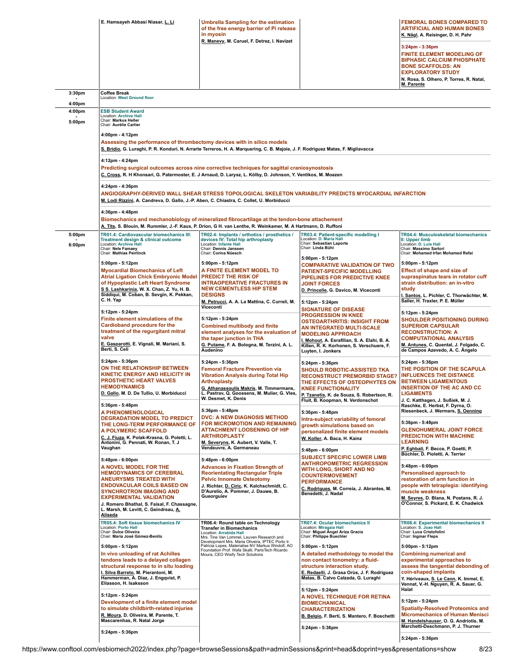|                  | E. Hamsayeh Abbasi Niasar, L. Li                                                                                                                                                                                                                                                                                                | <b>Umbrella Sampling for the estimation</b><br>of the free energy barrier of Pi release<br>in myosin                                                                                                                                       |                                                                                                                                                                                                                                               | <b>FEMORAL BONES COMPARED TO</b><br><b>ARTIFICIAL AND HUMAN BONES</b><br><u>K. Nägl</u> , A. Reisinger, D. H. Pahr                                                                                                                        |
|------------------|---------------------------------------------------------------------------------------------------------------------------------------------------------------------------------------------------------------------------------------------------------------------------------------------------------------------------------|--------------------------------------------------------------------------------------------------------------------------------------------------------------------------------------------------------------------------------------------|-----------------------------------------------------------------------------------------------------------------------------------------------------------------------------------------------------------------------------------------------|-------------------------------------------------------------------------------------------------------------------------------------------------------------------------------------------------------------------------------------------|
|                  |                                                                                                                                                                                                                                                                                                                                 | R. Manevy, M. Caruel, F. Detrez, I. Navizet                                                                                                                                                                                                |                                                                                                                                                                                                                                               | $3:24$ pm - $3:36$ pm<br><b>FINITE ELEMENT MODELING OF</b><br><b>BIPHASIC CALCIUM PHOSPHATE</b><br><b>BONE SCAFFOLDS: AN</b><br><b>EXPLORATORY STUDY</b><br>N. Rosa, S. Olhero, P. Torres, R. Natal,<br>M. Parente                        |
| 3:30pm<br>4:00pm | <b>Coffee Break</b><br>Location: West Ground floor                                                                                                                                                                                                                                                                              |                                                                                                                                                                                                                                            |                                                                                                                                                                                                                                               |                                                                                                                                                                                                                                           |
| 4:00pm<br>5:00pm | <b>ESB Student Award</b><br>Location: Archive Hall<br>Chair: Markus Heller<br>Chair: Aurélie Carlier                                                                                                                                                                                                                            |                                                                                                                                                                                                                                            |                                                                                                                                                                                                                                               |                                                                                                                                                                                                                                           |
|                  | 4:00pm - 4:12pm<br>Assessing the performance of thrombectomy devices with in silico models                                                                                                                                                                                                                                      | S. Bridio, G. Luraghi, P. R. Konduri, N. Arrarte Terreros, H. A. Marquering, C. B. Majoie, J. F. Rodriguez Matas, F. Migliavacca                                                                                                           |                                                                                                                                                                                                                                               |                                                                                                                                                                                                                                           |
|                  | 4:12pm - 4:24pm                                                                                                                                                                                                                                                                                                                 | Predicting surgical outcomes across nine corrective techniques for sagittal craniosynostosis<br>C. Cross, R. H Khonsari, G. Patermoster, E. J Arnaud, D. Larysz, L. Kölby, D. Johnson, Y. Ventikos, M. Moazen                              |                                                                                                                                                                                                                                               |                                                                                                                                                                                                                                           |
|                  | 4:24pm - 4:36pm<br>M. Lodi Rizzini, A. Candreva, D. Gallo, J.-P. Aben, C. Chiastra, C. Collet, U. Morbiducci                                                                                                                                                                                                                    |                                                                                                                                                                                                                                            | ANGIOGRAPHY-DERIVED WALL SHEAR STRESS TOPOLOGICAL SKELETON VARIABILITY PREDICTS MYOCARDIAL INFARCTION                                                                                                                                         |                                                                                                                                                                                                                                           |
|                  | 4:36pm - 4:48pm                                                                                                                                                                                                                                                                                                                 | Biomechanics and mechanobiology of mineralized fibrocartilage at the tendon-bone attachement<br>A. Tits, S. Blouin, M. Rummler, J.-F. Kaux, P. Drion, G H. van Lenthe, R. Weinkamer, M. A Hartmann, D. Ruffoni                             |                                                                                                                                                                                                                                               |                                                                                                                                                                                                                                           |
| 5:00pm<br>6:00pm | TR01.4: Cardiovascular biomechanics III:<br>Treatment design & clinical outcome<br>Location: Archive Hall<br>Chair: Nele Famaey<br><b>Chair: Mathias Peirlinck</b>                                                                                                                                                              | TR02.4: Implants / orthotics / prosthetics /<br>devices IV: Total hip arthroplasty<br>Location: Infante Hall<br>Chair: Dennis Janssen<br>Chair: Corina Nüesch                                                                              | TR03.4: Patient-specific modelling I<br>Location: D. Maria Hall<br>Chair: Sebastian Laporte<br>Chair: Linda Bühl                                                                                                                              | <b>TR04.4: Musculoskeletal biomechanics</b><br>II: Upper limb<br>Location: D. Luis Hall<br>Chair: Massimo Sartori<br>Chair: Mohamed Irfan Mohamed Refai                                                                                   |
|                  | 5:00pm - 5:12pm<br><b>Myocardial Biomechanics of Left</b><br><b>Atrial Ligation Chick Embryonic Model</b><br>of Hypoplastic Left Heart Syndrome<br>S.S. Lashkarinia, W. X. Chan, Z. Yu, H. B.<br>Siddiqui, M. Coban, B. Sevgin, K. Pekkan,                                                                                      | 5:00pm - 5:12pm<br>A FINITE ELEMENT MODEL TO<br><b>PREDICT THE RISK OF</b><br><b>INTRAOPERATIVE FRACTURES IN</b><br><b>NEW CEMENTLESS HIP STEM</b><br><b>DESIGNS</b>                                                                       | 5:00pm - 5:12pm<br><b>COMPARATIVE VALIDATION OF TWO</b><br><b>PATIENT-SPECIFIC MODELLING</b><br>PIPELINES FOR PREDICTIVE KNEE<br><b>JOINT FORCES</b><br>D. Princelle, G. Davico, M. Viceconti                                                 | 5:00pm - 5:12pm<br><b>Effect of shape and size of</b><br>supraspinatus tears in rotator cuff<br>strain distribution: an in-vitro<br>study                                                                                                 |
|                  | C.H.Yap                                                                                                                                                                                                                                                                                                                         | M. Petrucci, A. A. La Mattina, C. Curreli, M.<br>Viceconti                                                                                                                                                                                 | 5:12pm - 5:24pm<br><b>SIGNATURE OF DISEASE</b>                                                                                                                                                                                                | I. Santos, L. Pichler, C. Thorwächter, M.<br>Saller, H. Traxler, P. E. Müller                                                                                                                                                             |
|                  | 5:12pm - 5:24pm<br>Finite element simulations of the<br><b>Cardioband procedure for the</b><br>treatment of the regurgitant mitral<br>valve<br>E. Gasparotti, E. Vignali, M. Mariani, S.<br>Berti, S. Celi                                                                                                                      | 5:12pm - 5:24pm<br><b>Combined multibody and finite</b><br>element analyses for the evaluation of<br>the taper junction in THA<br>G. Putame, F. A. Bologna, M. Terzini, A. L.<br>Audenino                                                  | <b>PROGRESSION IN KNEE</b><br><b>OSTEOARTHRITIS: INSIGHT FROM</b><br>AN INTEGRATED MULTI-SCALE<br><b>MODELING APPROACH</b><br>I. Mohout, A. Esrafilian, S. A. Elahi, B. A.<br>Killen, R. K. Korhonen, S. Verschuere, F.<br>Luyten, I. Jonkers | 5:12pm - 5:24pm<br><b>SHOULDER POSITIONING DURING</b><br><b>SUPERIOR CAPSULAR</b><br><b>RECONSTRUCTION: A</b><br><b>COMPUTATIONAL ANALYSIS</b><br>M. Antunes, C. Quental, J. Folgado, C.<br>de Campos Azevedo, A. C. Angelo               |
|                  | 5:24pm - 5:36pm<br>ON THE RELATIONSHIP BETWEEN<br><b>KINETIC ENERGY AND HELICITY IN</b><br><b>PROSTHETIC HEART VALVES</b><br><b>HEMODYNAMICS</b><br>D. Gallo, M. D. De Tullio, U. Morbiducci                                                                                                                                    | 5:24pm - 5:36pm<br><b>Femoral Fracture Prevention via</b><br><b>Vibration Analysis during Total Hip</b><br>Arthroplasty<br>G. Athanassoulis Makris, M. Timmermans,<br>L. Pastrav, Q. Goossens, M. Mulier, G. Vles,<br>W. Desmet, K. Denis  | 5:24pm - 5:36pm<br><b>SHOULD ROBOTIC-ASSISTED TKA</b><br><b>RECONSTRUCT PREMORBID STAGE?</b><br>THE EFFECTS OF OSTEOPHYTES ON<br><b>KNEE FUNCTIONALITY</b><br>P. Tzanetis, K. de Souza, S. Robertson, R.<br>Fluit, B. Koopman, N. Verdonschot | 5:24pm - 5:36pm<br>THE POSITION OF THE SCAPULA<br><b>INFLUENCES THE DISTANCE</b><br><b>BETWEEN LIGAMENTOUS</b><br><b>INSERTION OF THE AC AND CC</b><br><b>LIGAMENTS</b><br>J. C. Katthagen, J. Sußiek, M. J.                              |
|                  | 5:36pm - 5:48pm<br>A PHENOMENOLOGICAL<br><b>DEGRADATION MODEL TO PREDICT</b><br>THE LONG-TERM PERFORMANCE OF                                                                                                                                                                                                                    | 5:36pm - 5:48pm<br><b>DVC: A NEW DIAGNOSIS METHOD</b><br><b>FOR MICROMOTION AND REMAINING</b>                                                                                                                                              | 5:36pm - 5:48pm<br>Intra-subject variability of femoral<br>growth simulations based on                                                                                                                                                        | Raschke, E. Herbst, F. Dyrna, O.<br>Riesenbeck, J. Wermers, S. Oenning<br>5:36pm - 5:48pm                                                                                                                                                 |
|                  | A POLYMERIC SCAFFOLD<br>C. J. Fiuza, K. Polak-Krasna, G. Poletti, L.<br>Antonini, G. Pennati, W. Ronan, T. J<br>Vaughan                                                                                                                                                                                                         | <b>ATTACHMENT LOOSENING OF HIP</b><br><b>ARTHROPLASTY</b><br>M. Severyns, K. Aubert, V. Valle, T.<br>Vendeuvre, A. Germaneau                                                                                                               | personalized finite element models<br>W. Koller, A. Baca, H. Kainz<br>5:48pm - 6:00pm                                                                                                                                                         | <b>GLENOHUMERAL JOINT FORCE</b><br><b>PREDICTION WITH MACHINE</b><br><b>LEARNING</b><br>P. Eghbali, F. Becce, P. Goetti, P.<br>Büchler, D. Pioletti, A. Terrier                                                                           |
|                  | 5:48pm - 6:00pm<br>A NOVEL MODEL FOR THE<br><b>HEMODYNAMICS OF CEREBRAL</b><br><b>ANEURYSMS TREATED WITH</b><br><b>ENDOVACULAR COILS BASED ON</b><br><b>SYNCHROTRON IMAGING AND</b><br><b>EXPERIMENTAL VALIDATION</b><br>J. Romero Bhathal, S. Faisal, F. Chassagne,<br>L. Marsh, M. Levitt, C. Geindreau, A.<br><b>Aliseda</b> | 5:48pm - 6:00pm<br><b>Advances in Fixation Strength of</b><br><b>Reorientating Rectangular Triple</b><br><b>Pelvic Innomate Osteotomy</b><br>J. Richter, D. Ciric, K. Kalchschmidt, C.<br>D'Aurelio, A. Pommer, J. Dauwe, B.<br>Gueorguiev | <b>SUBJECT SPECIFIC LOWER LIMB</b><br><b>ANTHROPOMETRIC REGRESSION</b><br><b>WITH LONG, SHORT AND NO</b><br><b>COUNTERMOVEMENT</b><br><b>PERFORMANCE</b><br>C. Rodrigues, M. Correia, J. Abrantes, M.<br>Benedetti, J. Nadal                  | 5:48pm - 6:00pm<br>Personalised approach to<br>restoration of arm function in<br>people with tetraplegia: identifying<br>muscle weakness<br>M. Seyres, D. Blana, N. Postans, R. J.<br>O'Connor, S. Pickard, E. K. Chadwick                |
|                  | TR05.4: Soft tissue biomechanics IV<br>Location: Porto Hall<br>Chair: Dulce Oliveira<br>Chair: Maria José Gómez-Benito                                                                                                                                                                                                          | TR06.4: Round table on Technology<br><b>Transfer in Biomechanics</b><br>Location: Arrabida Hall<br>Mrs. Tine Van Lommel, Leuven Research and                                                                                               | TR07.4: Ocular biomechanics II<br>Location: Miragaia Hall<br>Chair: Miguel Angel Ariza Gracia<br>Chair: Philippe Buechler                                                                                                                     | <b>TR08.4: Experimental biomechanics II</b><br>Location: S. Joao Hall<br>Chair: Luca Cristofolini<br>Chair: Ingmar Fleps                                                                                                                  |
|                  | 5:00pm - 5:12pm<br>In vivo unloading of rat Achilles<br>tendons leads to a delayed collagen<br>structural response to in situ loading<br>I. Silva Barreto, M. Pierantoni, M.<br>Hammerman, A. Diaz, J. Engqvist, P.<br>Eliasson, H. Isaksson                                                                                    | Development Mrs. Maria Oliveira, IPTEC Porto Ir.<br>Patricia Lopes, Materialise NV Markus Windolf, AO<br>Foundation Prof. Wafa Skalli, ParisTech Ricardo<br>Moura, CEO Wisify Tech Solutions                                               | 5:00pm - 5:12pm<br>A detailed methodology to model the<br>non contact tonometry: a fluid-<br>structure interaction study.<br>E. Redaelli, J. Grasa Orùs, J. F. Rodriguez<br>Matas, B. Calvo Calzada, G. Luraghi<br>5:12pm - 5:24pm            | 5:00pm - 5:12pm<br><b>Combining numerical and</b><br>experimental approaches to<br>assess the tangential debonding of<br>coin-shaped implants<br>Y. Hériveaux, S. Le Cann, K. Immel, E.<br>Vennat, V.-H. Nguyen, R. A. Sauer, G.<br>Haïat |
|                  | 5:12pm - 5:24pm<br>Development of a finite element model<br>to simulate childbirth-related injuries<br>R. Moura, D. Oliveira, M. Parente, T.<br>Mascarenhas, R. Natal Jorge<br>5:24pm - 5:36pm                                                                                                                                  |                                                                                                                                                                                                                                            | A NOVEL TECHNIQUE FOR RETINA<br><b>BIOMECHANICAL</b><br><b>CHARACTERIZATION</b><br>B. Belgio, F. Berti, S. Mantero, F. Boschetti<br>5:24pm - 5:36pm                                                                                           | 5:12pm - 5:24pm<br><b>Spatially-Resolved Proteomics and</b><br><b>Micromechanics of Human Menisci</b><br>M. Handelshauser, O. G. Andriotis, M.<br>Marchetti-Deschmann, P. J. Thurner                                                      |
|                  |                                                                                                                                                                                                                                                                                                                                 |                                                                                                                                                                                                                                            |                                                                                                                                                                                                                                               | 5:24pm - 5:36pm                                                                                                                                                                                                                           |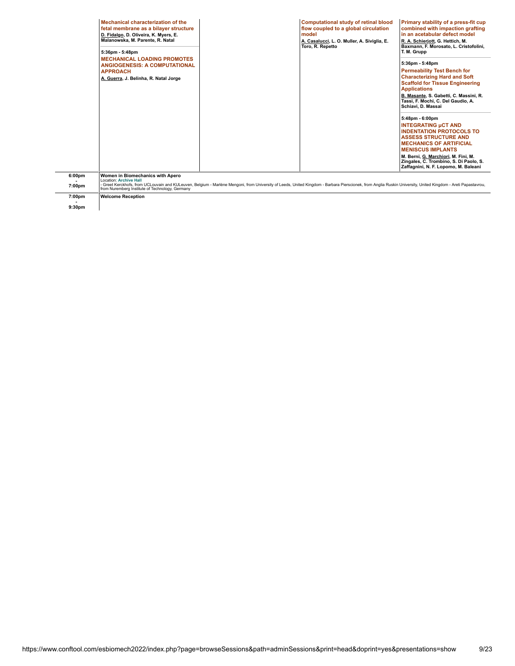|                              | Mechanical characterization of the<br>fetal membrane as a bilayer structure<br>D. Fidalgo, D. Oliveira, K. Myers, E.<br>Malanowska, M. Parente, R. Natal<br>5:36pm - 5:48pm<br><b>MECHANICAL LOADING PROMOTES</b><br><b>ANGIOGENESIS: A COMPUTATIONAL</b> |                                                                                                                                                                                                             | <b>Computational study of retinal blood</b><br>flow coupled to a global circulation<br>model<br>A. Casalucci, L. O. Muller, A. Siviglia, E.<br>Toro, R. Repetto | Primary stability of a press-fit cup<br>combined with impaction grafting<br>in an acetabular defect model<br>R. A. Schierjott, G. Hettich, M.<br>Baxmann, F. Morosato, L. Cristofolini,<br>T. M. Grupp<br>5:36pm - 5:48pm                                                                              |
|------------------------------|-----------------------------------------------------------------------------------------------------------------------------------------------------------------------------------------------------------------------------------------------------------|-------------------------------------------------------------------------------------------------------------------------------------------------------------------------------------------------------------|-----------------------------------------------------------------------------------------------------------------------------------------------------------------|--------------------------------------------------------------------------------------------------------------------------------------------------------------------------------------------------------------------------------------------------------------------------------------------------------|
|                              | <b>APPROACH</b><br>A. Guerra, J. Belinha, R. Natal Jorge                                                                                                                                                                                                  |                                                                                                                                                                                                             |                                                                                                                                                                 | <b>Permeability Test Bench for</b><br><b>Characterizing Hard and Soft</b><br><b>Scaffold for Tissue Engineering</b><br><b>Applications</b><br>B. Masante, S. Gabetti, C. Massini, R.<br>Tassi, F. Mochi, C. Del Gaudio, A.<br>Schiavi, D. Massai                                                       |
|                              |                                                                                                                                                                                                                                                           |                                                                                                                                                                                                             |                                                                                                                                                                 | 5:48pm - 6:00pm<br><b>INTEGRATING µCT AND</b><br><b>INDENTATION PROTOCOLS TO</b><br><b>ASSESS STRUCTURE AND</b><br><b>MECHANICS OF ARTIFICIAL</b><br><b>MENISCUS IMPLANTS</b><br>M. Berni, G. Marchiori, M. Fini, M.<br>Zingales, C. Trombino, S. Di Paolo, S.<br>Zaffagnini, N. F. Lopomo, M. Baleani |
| 6:00pm<br>7:00pm             | Women in Biomechanics with Apero<br><b>Location: Archive Hall</b><br>from Nuremberg Institute of Technology, Germany                                                                                                                                      | Greet Kerckhofs, from UCLouvain and KULeuven, Belgium - Marlène Mengoni, from University of Leeds, United Kingdom - Barbara Pierscionek, from Anglia Ruskin University, United Kingdom - Areti Papastavrou, |                                                                                                                                                                 |                                                                                                                                                                                                                                                                                                        |
| 7:00pm<br>9:30 <sub>pm</sub> | <b>Welcome Reception</b>                                                                                                                                                                                                                                  |                                                                                                                                                                                                             |                                                                                                                                                                 |                                                                                                                                                                                                                                                                                                        |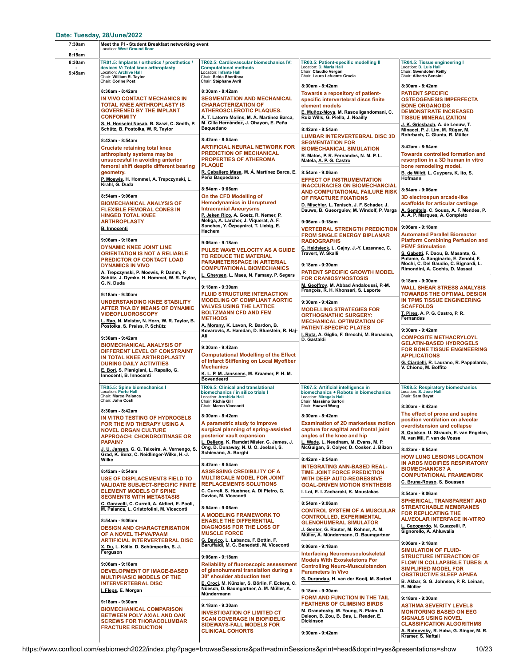| 7:30am           | Meet the PI - Student Breakfast networking event<br><b>Location: West Ground floor</b>                                                                                                                                         |                                                                                                                                                                                                                                              |                                                                                                                                                                                                                                                                                                                                                                                                                                                  |                                                                                                                                                                                                                                                                                 |
|------------------|--------------------------------------------------------------------------------------------------------------------------------------------------------------------------------------------------------------------------------|----------------------------------------------------------------------------------------------------------------------------------------------------------------------------------------------------------------------------------------------|--------------------------------------------------------------------------------------------------------------------------------------------------------------------------------------------------------------------------------------------------------------------------------------------------------------------------------------------------------------------------------------------------------------------------------------------------|---------------------------------------------------------------------------------------------------------------------------------------------------------------------------------------------------------------------------------------------------------------------------------|
| 8:15am           |                                                                                                                                                                                                                                |                                                                                                                                                                                                                                              |                                                                                                                                                                                                                                                                                                                                                                                                                                                  |                                                                                                                                                                                                                                                                                 |
| 8:30am<br>9:45am | TR01.5: Implants / orthotics / prosthetics /<br>devices V: Total knee arthroplasty<br>Location: Archive Hall<br>Chair: William R. Taylor<br>Chair: Corine Post                                                                 | TR02.5: Cardiovascular biomechanics IV:<br><b>Computational methods</b><br><b>Location: Infante Hall</b><br>Chair: Selda Sherifova<br>Chair: Stéphane Avril                                                                                  | TR03.5: Patient-specific modelling II<br>Location: D. Maria Hall<br>Chair: Claudio Vergari<br>Chair: Laura Lafuente Gracia                                                                                                                                                                                                                                                                                                                       | TR04.5: Tissue engineering I<br>Location: D. Luis Hall<br>Chair: Gwendolen Reilly<br>Chair: Alberto Sensini                                                                                                                                                                     |
|                  | 8:30am - 8:42am<br>IN VIVO CONTACT MECHANICS IN<br>TOTAL KNEE ARTHROPLASTY IS<br><b>GOVERENED BY THE IMPLANT</b><br><b>CONFORMITY</b><br>S. H. Hosseini Nasab, B. Szazi, C. Smith, P.<br>Schütz, B. Postolka, W. R. Taylor     | 8:30am - 8:42am<br><b>SEGMENTATION AND MECHANICAL</b><br><b>CHARACTERIZATION OF</b><br><b>ATHEROSCLEROTIC PLAQUES.</b><br><u>Á. T. Latorre Molins</u> , M. Á. Martínez Barca,<br>M. Cilla Hernández, J. Ohayon, E. Peña<br>Baquedano         | 8:30am - 8:42am<br>Towards a repository of patient-<br>specific intervertebral discs finite<br>element models<br>E. Muñoz-Moya, M. Rasouligandomani, C.<br>Ruiz Wills, G. Piella, J. Noailly<br>8:42am - 8:54am                                                                                                                                                                                                                                  | 8:30am - 8:42am<br><b>PATIENT SPECIFIC</b><br><b>OSTEOGENESIS IMPERFECTA</b><br><b>BONE ORGANOIDS</b><br><b>DEMONSTRATE INCREASED</b><br><b>TISSUE MINERALIZATION</b><br>J. K. Griesbach, A. de Leeuw, T.<br>Minacci, P. J. Lim, M. Rüger, M.<br>Rohrbach, C. Giunta, R. Müller |
|                  | 8:42am - 8:54am<br><b>Cruciate retaining total knee</b><br>arthroplasty systems may be<br>unsuccesful in avoiding anterior<br>femoral shift despite different bearing<br>geometry.<br>P. Moewis, H. Hommel, A. Trepczynski, L. | 8:42am - 8:54am<br><b>ARTIFICIAL NEURAL NETWORK FOR</b><br><b>PREDICTION OF MECHANICAL</b><br><b>PROPERTIES OF ATHEROMA</b><br><b>PLAQUE</b><br>R. Caballero Masa, M. A. Martínez Barca, E<br>Peña Baquedano                                 | <b>LUMBAR INTERVERTEBRAL DISC 3D</b><br><b>SEGMENTATION FOR</b><br><b>BIOMECHANICAL SIMULATION</b><br>R. Matos, P. R. Fernandes, N. M. P. L.<br>Matela, A. P. G. Castro<br>8:54am - 9:06am<br><b>EFFECT OF INSTRUMENTATION</b><br><b>INACCURACIES ON BIOMECHANCIAL</b><br>AND COMPUTATIONAL FAILURE RISK<br>OF FRACTURE FIXATIONS<br>D. Mischler, L. Tenisch, J. F. Schader, J.<br>Dauwe, B. Gueorguiev, M. Windolf, P. Varga<br>9:06am - 9:18am | 8:42am - 8:54am<br><b>Towards controlled formation and</b><br>resorption in a 3D human in vitro<br>bone remodeling model.<br>B. de Wildt, L. Cuypers, K. Ito, S.<br>Hofmann                                                                                                     |
|                  | Krahl, G. Duda<br>8:54am - 9:06am<br><b>BIOMECHANICAL ANALYSIS OF</b><br><b>FLEXIBLE FEMORAL CONES IN</b><br><b>HINGED TOTAL KNEE</b><br><b>ARTHROPLASTY</b>                                                                   | 8:54am - 9:06am<br>On the CFD Modelling of<br><b>Hemodynamics in Unruptured</b><br><b>Intracranial Aneurysms</b><br>P. Jeken Rico, A. Goetz, R. Nemer, P.<br>Meliga, A. Larcher, J. Viquerat, A. F.<br>Sanches, Y. Özpeynirci, T. Liebig, E. |                                                                                                                                                                                                                                                                                                                                                                                                                                                  | 8:54am - 9:06am<br>3D electrospun arcade-like<br>scaffolds for articular cartilage<br>A. Semitela, C. Sousa, A. F. Mendes, P.<br>A. A. P. Marques, A. Completo                                                                                                                  |
|                  | <b>B. Innocenti</b><br>9:06am - 9:18am<br><b>DYNAMIC KNEE JOINT LINE</b><br><b>ORIENTATION IS NOT A RELIABLE</b><br>PREDICTOR OF CONTACT LOAD                                                                                  | Hachem<br>9:06am - 9:18am<br>PULSE WAVE VELOCITY AS A GUIDE<br>TO REDUCE THE MATERIAL<br><b>PARAMETERSPACE IN ARTERIAL</b>                                                                                                                   | <b>VERTEBRAL STRENGTH PREDICTION</b><br><b>FROM SINGLE ENERGY BIPLANAR</b><br><b>RADIOGRAPHS</b><br>C. Heidsieck, L. Gajny, J.-Y. Lazennec, C.<br>Travert, W. Skalli                                                                                                                                                                                                                                                                             | 9:06am - 9:18am<br><b>Automated Parallel Bioreactor</b><br><b>Platform Combining Perfusion and</b><br><b>PEMF Stimulation</b><br>S. Gabetti, F. Daou, B. Masante, G.<br>Putame, A. Sanginario, E. Zenobi, F.                                                                    |
|                  | <b>DYNAMICS IN VIVO</b><br>A. Trepczynski, P. Moewis, P. Damm, P.<br>Schütz, J. Dymke, H. Hommel, W. R. Taylor,<br>G. N. Duda<br>9:18am - 9:30am                                                                               | <b>COMPUTATIONAL BIOMECHANICS</b><br>L. Gheysen, L. Maes, N. Famaey, P. Segers<br>9:18am - 9:30am<br><b>FLUID STRUCTURE INTERACTION</b>                                                                                                      | 9:18am - 9:30am<br>PATIENT SPECIFIC GROWTH MODEL<br><b>FOR CRANIOSYNOSTOSIS</b><br>M. Geoffroy, M. Abbad Andaloussi, P.-M.<br>François, R. H. Khonsari, S. Laporte                                                                                                                                                                                                                                                                               | Mochi, C. Del Gaudio, C. Bignardi, L.<br>Rimondini, A. Cochis, D. Massai<br>9:18am - 9:30am<br><b>WALL SHEAR STRESS ANALYSIS</b><br><b>TOWARDS THE OPTIMAL DESIGN</b>                                                                                                           |
|                  | <b>UNDERSTANDING KNEE STABILITY</b><br>AFTER TKA BY MEANS OF DYNAMIC<br><b>VIDEOFLUOROSCOPY</b><br>L. Rao, N. Meister, N. Horn, W. R. Taylor, B.<br>Postolka, S. Preiss, P. Schütz                                             | <b>MODELING OF COMPLIANT AORTIC</b><br><b>VALVES USING THE LATTICE</b><br><b>BOLTZMANN CFD AND FEM</b><br><b>METHODS</b><br>A. Morany, K. Lavon, R. Bardon, B.<br>Kovarovic, A. Hamdan, D. Bluestein, R. Haj-                                | 9:30am - 9:42am<br><b>MODELLING STRATEGIES FOR</b><br><b>ORTHOGNATHIC SURGERY:</b><br><b>MECHANICAL OPTIMIZATION OF</b><br><b>PATIENT-SPECIFIC PLATES</b>                                                                                                                                                                                                                                                                                        | IN TPMS TISSUE ENGINEERING<br><b>SCAFFOLDS</b><br>T. Pires, A. P. G. Castro, P. R.<br><b>Fernandes</b><br>9:30am - 9:42am                                                                                                                                                       |
|                  | 9:30am - 9:42am<br><b>BIOMECHANICAL ANALYSIS OF</b><br>DIFFERENT LEVEL OF CONSTRAINT<br>IN TOTAL KNEE ARTHROPLASTY<br><b>DURING DAILY ACTIVITIES</b><br>E. Bori, S. Pianigiani, L. Rapallo, G.<br>Innocenti, B. Innocenti      | Ali<br>9:30am - 9:42am<br><b>Computational Modelling of the Effect</b><br>of Infarct Stiffening on Local Myofiber<br><b>Mechanics</b><br>K. L. P. M. Janssens, M. Kraamer, P. H. M.<br><b>Bovendeerd</b>                                     | I. Rota, A. Giglio, F. Grecchi, M. Bonacina,<br>D. Gastaldi                                                                                                                                                                                                                                                                                                                                                                                      | <b>COMPOSITE METHACRYLOYL</b><br><b>GELATIN-BASED HYDROGELS</b><br>FOR BONE TISSUE ENGINEERING<br><b>APPLICATIONS</b><br>G. Ciardelli, R. Laurano, R. Pappalardo,<br>V. Chiono, M. Boffito                                                                                      |
|                  | TR05.5: Spine biomechanics I<br>Location: Porto Hall<br>Chair: Marco Palanca<br>Chair: John Costi<br>8:30am - 8:42am                                                                                                           | TR06.5: Clinical and translational<br>biomechanics / in silico trials I<br>Location: Arrabida Hall<br>Chair: Richie Gill<br>Chair: Marco Viceconti                                                                                           | TR07.5: Artificial intelligence in<br>biomechanics + Robots in biomechanics<br>Location: Miragaia Hall<br>Chair: Massimo Sartori<br>Chair: Huawei Wang                                                                                                                                                                                                                                                                                           | <b>TR08.5: Respiratory biomechanics</b><br>Location: S. Joao Hall<br>Chair: Sam Bayat<br>8:30am - 8:42am                                                                                                                                                                        |
|                  | IN VITRO TESTING OF HYDROGELS<br>FOR THE IVD THERAPY USING A<br><b>NOVEL ORGAN CULTURE</b><br><b>APPROACH: CHONDROITINASE OR</b><br><b>PAPAIN?</b>                                                                             | 8:30am - 8:42am<br>A parametric study to improve<br>surgical planning of spring-assisted<br>posterior vault expansion<br>L. Deliege, K. Ramdat Misier, G. James, J.<br>Ong, D. Dunaway, N. U. O. Jeelani, S.                                 | 8:30am - 8:42am<br><b>Examination of 2D markerless motion</b><br>capture for sagittal and frontal joint<br>angles of the knee and hip<br>L. Wade, L. Needham, M. Evans, M. P.<br>McGuigan, S. Colyer, D. Cosker, J. Bilzon                                                                                                                                                                                                                       | The effect of prone and supine<br>position ventilation on alveolar<br>overdistension and collapse<br>S. Quicken, U. Strauch, E. van Engelen,<br>M. van Mil, F. van de Vosse                                                                                                     |
|                  | J. U. Jansen, G. Q. Teixeira, A. Vernengo, S.<br>Grad, K. Benz, C. Neidlinger-Wilke, H.-J.<br>Wilke<br>8:42am - 8:54am<br>USE OF DISPLACEMENTS FIELD TO<br><b>VALIDATE SUBJECT-SPECIFIC FINITE</b>                             | Schievano, A. Borghi<br>8:42am - 8:54am<br><b>ASSESSING CREDIBILITY OF A</b><br><b>MULTISCALE MODEL FOR JOINT</b><br><b>REPLACEMENTS SOLUTIONS</b>                                                                                           | 8:42am - 8:54am<br><b>INTEGRATING ANN-BASED REAL-</b><br>TIME JOINT FORCE PREDICTION<br><b>WITH DEEP AUTO-REGRESSIVE</b><br><b>GOAL-DRIVEN MOTION SYNTHESIS</b>                                                                                                                                                                                                                                                                                  | 8:42am - 8:54am<br><b>HOW LUNG LESIONS LOCATION</b><br>IN ARDS MODIFIES RESPIRATORY<br><b>BIOMECHANICS? A</b><br><b>COMPUTATIONAL FRAMEWORK</b><br>C. Bruna-Rosso, S. Boussen                                                                                                   |
|                  | <b>ELEMENT MODELS OF SPINE</b><br><b>SEGMENTS WITH METASTASIS</b><br>C. Garavelli, C. Curreli, A. Aldieri, E. Paoli,<br>M. Palanca, L. Cristofolini, M. Viceconti<br>8:54am - 9:06am<br><b>DESIGN AND CHARACTERISATION</b>     | C. Curreli, S. Huebner, A. Di Pietro, G.<br>Davico, M. Viceconti<br>8:54am - 9:06am<br>A MODELING FRAMEWORK TO<br><b>ENABLE THE DIFFERENTIAL</b><br><b>DIAGNOSIS FOR THE LOSS OF</b><br><b>MUSCLE FORCE</b>                                  | I. Loi, E. I. Zacharaki, K. Moustakas<br>8:54am - 9:06am<br><b>CONTROL SYSTEM OF A MUSCULAR</b><br><b>CONTROLLED, EXPERIMENTAL</b><br><b>GLENOHUMERAL SIMULATOR</b><br>J. Genter, G. Rauter, M. Rohner, A. M.                                                                                                                                                                                                                                    | 8:54am - 9:06am<br>SPHERICAL, TRANSPARENT AND<br><b>STREATCHABLE MEMBRANES</b><br><b>FOR REPLICATING THE</b><br><b>ALVEOLAR INTERFACE IN-VITRO</b><br>L. Cacopardo, N. Guazzelli, P.<br>Signorello, A. Ahluwalia                                                                |
|                  | OF A NOVEL TI-PVA/PAAM<br>ARTIFICIAL INTERVERTEBRAL DISC<br>X. Du, L. Kölle, D. Schümperlin, S. J.<br>Ferguson<br>9:06am - 9:18am                                                                                              | G. Davico, L. Labanca, F. Bottin, F.<br>Baruffaldi, M. G. Benedetti, M. Viceconti<br>9:06am - 9:18am<br><b>Reliability of fluoroscopic assessment</b>                                                                                        | Müller, A. Mündermann, D. Baumgartner<br>9:06am - 9:18am<br><b>Interfacing Neuromusculoskeletal</b><br><b>Models With Exoskeletons For</b><br><b>Controlling Neuro-Musculotendon</b>                                                                                                                                                                                                                                                             | 9:06am - 9:18am<br><b>SIMULATION OF FLUID-</b><br><b>STRUCTURE INTERACTION OF</b><br><b>FLOW IN COLLAPSIBLE TUBES: A</b><br><b>SIMPLIFIED MODEL FOR</b>                                                                                                                         |
|                  | <b>DEVELOPMENT OF IMAGE-BASED</b><br><b>MULTIPHASIC MODELS OF THE</b><br><b>INTERVERTEBRAL DISC</b><br><u>I. Fleps,</u> E. Morgan                                                                                              | of glenohumeral translation during a<br>30° shoulder abduction test<br>E. Croci, M. Künzler, S. Börlin, F. Eckers, C.<br>Nüesch, D. Baumgartner, A. M. Müller, A.<br>Mündermann                                                              | <b>Parameters In Vivo</b><br>G. Durandau, H. van der Kooij, M. Sartori<br>9:18am - 9:30am<br>FORM AND FUNCTION IN THE TAIL                                                                                                                                                                                                                                                                                                                       | <b>OBSTRUCTIVE SLEEP APNEA</b><br>B. Akbar, S. G. Johnsen, P. R. Leinan,<br><b>B.</b> Müller<br>9:18am - 9:30am                                                                                                                                                                 |
|                  | 9:18am - 9:30am<br><b>BIOMECHANICAL COMPARISON</b><br>BETWEEN POLY AXIAL AND OAK<br><b>SCREWS FOR THORACOLUMBAR</b><br><b>FRACTURE REDUCTION</b>                                                                               | 9:18am - 9:30am<br><b>INVESTIGATION OF LIMITED CT</b><br><b>SCAN COVERAGE IN BIOFIDELIC</b><br><b>SIDEWAYS-FALL MODELS FOR</b><br><b>CLINICAL COHORTS</b>                                                                                    | <b>FEATHERS OF CLIMBING BIRDS</b><br>M. Granatosky, M. Young, N. Flaim, D.<br>Deleon, B. Zou, B. Bas, L. Reader, E.<br><b>Dickinson</b><br>9:30am - 9:42am                                                                                                                                                                                                                                                                                       | <b>ASTHMA SEVERITY LEVELS</b><br><b>MONITORING BASED ON EEG</b><br><b>SIGNALS USING NOVEL</b><br><b>CLASSIFICATION ALGORITHMS</b><br>A. Ratnovsky, R. Haba, G. Singer, M. R.<br>Kramer, S. Naftali                                                                              |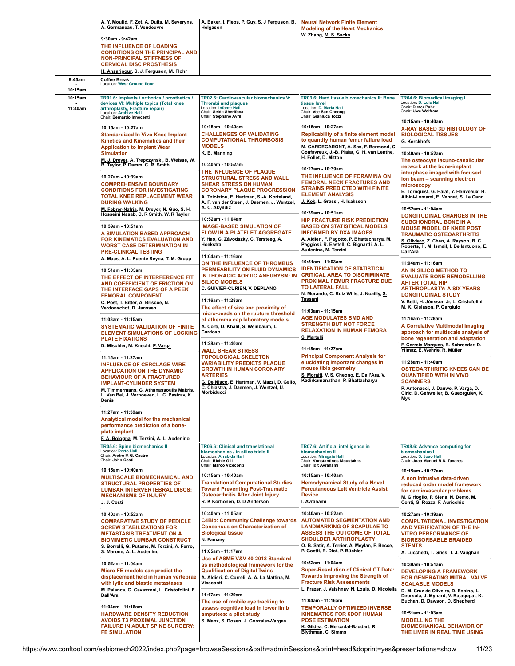|                    | A. Y. Moufid, F. Zot, A. Duits, M. Severyns,<br>A. Germaneau, T. Vendeuvre                                                                                                                                                                                                                                                                                                                                      | A. Baker, I. Fleps, P. Guy, S. J Ferguson, B.<br>Helgason                                                                                                                                                                                                                        | <b>Neural Network Finite Element</b><br><b>Modeling of the Heart Mechanics</b>                                                                                                                                                                             |                                                                                                                                                                                                                                                                                             |
|--------------------|-----------------------------------------------------------------------------------------------------------------------------------------------------------------------------------------------------------------------------------------------------------------------------------------------------------------------------------------------------------------------------------------------------------------|----------------------------------------------------------------------------------------------------------------------------------------------------------------------------------------------------------------------------------------------------------------------------------|------------------------------------------------------------------------------------------------------------------------------------------------------------------------------------------------------------------------------------------------------------|---------------------------------------------------------------------------------------------------------------------------------------------------------------------------------------------------------------------------------------------------------------------------------------------|
|                    | 9:30am - 9:42am<br>THE INFLUENCE OF LOADING<br><b>CONDITIONS ON THE PRINCIPAL AND</b><br><b>NON-PRINCIPAL STIFFNESS OF</b><br><b>CERVICAL DISC PROSTHESIS</b><br>H. Ansaripour, S. J. Ferguson, M. Flohr                                                                                                                                                                                                        |                                                                                                                                                                                                                                                                                  | W. Zhang, M. S. Sacks                                                                                                                                                                                                                                      |                                                                                                                                                                                                                                                                                             |
| 9:45am<br>10:15am  | <b>Coffee Break</b><br>Location: West Ground floor                                                                                                                                                                                                                                                                                                                                                              |                                                                                                                                                                                                                                                                                  |                                                                                                                                                                                                                                                            |                                                                                                                                                                                                                                                                                             |
| 10:15am<br>11:40am | TR01.6: Implants / orthotics / prosthetics /<br>devices VI: Multiple topics (Total knee<br>arthroplasty, Fracture repair)<br>Location: Archive Hall<br>Chair: Bernardo Innocenti                                                                                                                                                                                                                                | TR02.6: Cardiovascular biomechanics V:<br><b>Thrombi and plaques</b><br>Location: Infante Hall<br>Chair: Selda Sherifova<br>Chair: Stéphane Avril                                                                                                                                | TR03.6: Hard tissue biomechanics II: Bone<br>tissue level<br>Location: D. Maria Hall<br>Chair: Vee San Cheong<br>Chair: Gianluca Tozzi                                                                                                                     | TR04.6: Biomedical imaging I<br>Location: D. Luis Hall<br>Chair: Dieter Pahr<br>Chair: Uwe Wolfram                                                                                                                                                                                          |
|                    | 10:15am - 10:27am<br><b>Standardized In Vivo Knee Implant</b><br>Kinetics and Kinematics and their<br><b>Application to Implant Wear</b><br><b>Simulation</b><br>M. J. Dreyer, A. Trepczynski, B. Weisse, W.                                                                                                                                                                                                    | 10:15am - 10:40am<br><b>CHALLENGES OF VALIDATING</b><br><b>COMPUTATIONAL THROMBOSIS</b><br><b>MODELS</b><br>K. B. Manning                                                                                                                                                        | 10:15am - 10:27am<br><b>Replicability of a finite element model</b><br>to quantify human femur failure load<br>M. GARDEGARONT, A. Sas, F. Bermond, C.<br>Confavreux, J.-B. Pialat, G. H. van Lenthe,<br>H. Follet, D. Mitton                               | 10:15am - 10:40am<br><b>X-RAY BASED 3D HISTOLOGY OF</b><br><b>BIOLOGICAL TISSUES</b><br>G. Kerckhofs<br>10:40am - 10:52am<br>The osteocyte lacuno-canalicular                                                                                                                               |
|                    | R. Taylor, P. Damm, C. R. Smith<br>10:27am - 10:39am<br><b>COMPREHENSIVE BOUNDARY</b><br><b>CONDITIONS FOR INVESTIGATING</b><br><b>TOTAL KNEE REPLACEMENT WEAR</b><br><b>DURING WALKING</b><br>M. Febrer-Nafría, M. Dreyer, N. Guo, S. H.                                                                                                                                                                       | 10:40am - 10:52am<br>THE INFLUENCE OF PLAQUE<br><b>STRUCTURAL STRESS AND WALL</b><br><b>SHEAR STRESS ON HUMAN</b><br><b>CORONARY PLAQUE PROGRESSION</b><br>A. Tziotziou, E. Hartman, S.-A. Korteland,<br>A. F. van der Steen, J. Daemen, J. Wentzel,<br>A. C. Akyildiz           | 10:27am - 10:39am<br>THE INFLUENCE OF FORAMINA ON<br><b>FEMORAL NECK FRACTURES AND</b><br><b>STRAINS PREDICTED WITH FINITE</b><br><b>ELEMENT ANALYSIS</b><br>J. Kok, L. Grassi, H. Isaksson                                                                | network at the bone-implant<br>interphase imaged with focused<br>ion beam - scanning electron<br>microscopy<br>E. Törnquist, G. Haïat, Y. Hériveaux, H.<br>Albini-Lomami, E. Vennat, S. Le Cann<br>10:52am - 11:04am                                                                        |
|                    | Hosseini Nasab, C. R Smith, W. R Taylor<br>10:39am - 10:51am<br>A SIMULATION BASED APPROACH<br>FOR KINEMATICS EVALUATION AND<br><b>WORST-CASE DETERMINATION IN</b><br>PRE-CLINICAL TESTING                                                                                                                                                                                                                      | 10:52am - 11:04am<br><b>IMAGE-BASED SIMULATION OF</b><br><b>FLOW IN A PLATELET AGGREGATE</b><br>Y. Hao, G. Závodszky, C. Tersteeg, A.<br>Hoekstra                                                                                                                                | 10:39am - 10:51am<br><b>HIP FRACTURE RISK PREDICTION</b><br><b>BASED ON STATISTICAL MODELS</b><br><b>INFORMED BY DXA IMAGES</b><br>A. Aldieri, F. Pagotto, P. Bhattacharya, M.<br>Paggiosi, R. Eastell, C. Bignardi, A. L.<br>Audenino, M. Terzini         | <b>LONGITUDINAL CHANGES IN THE</b><br><b>SUBCHONDRAL BONE IN A</b><br><b>MOUSE MODEL OF KNEE POST</b><br>TRAUMATIC OSTEOARTHRITIS<br>S. Oliviero, Z. Chen, A. Rayson, B. C<br>Roberts, H. M. Ismail, I. Bellantuono, E.<br>Dall'Ara                                                         |
|                    | A. Maas, A. L. Puente Reyna, T. M. Grupp<br>10:51am - 11:03am<br>THE EFFECT OF INTERFERENCE FIT<br>AND COEFFICIENT OF FRICTION ON<br>THE INTERFACE GAPS OF A PEEK<br><b>FEMORAL COMPONENT</b>                                                                                                                                                                                                                   | 11:04am - 11:16am<br>ON THE INFLUENCE OF THROMBUS<br>PERMEABILITY ON FLUID DYNAMICS<br>IN THORACIC AORTIC ANEURYSM: IN<br><b>SILICO MODELS</b><br>C. GUIVIER-CURIEN, V. DEPLANO<br>11:16am - 11:28am                                                                             | 10:51am - 11:03am<br><b>IDENTIFICATION OF STATISTICAL</b><br><b>CRITICAL AREA TO DISCRIMINATE</b><br>PROXIMAL FEMUR FRACTURE DUE<br>TO LATERAL FALL<br>N. Morando, C. Ruiz Wills, J. Noailly, S.<br><b>Tassani</b>                                         | 11:04am - 11:16am<br>AN IN SILICO METHOD TO<br><b>EVALUATE BONE REMODELLING</b><br>AFTER TOTAL HIP<br><b>ARTHROPLASTY: A SIX YEARS</b><br><b>LONGITUDINAL STUDY</b><br>V. Betti, H. Jónsson Jr, L. Cristofolini,                                                                            |
|                    | C. Post, T. Bitter, A. Briscoe, N.<br>Verdonschot, D. Janssen<br>11:03am - 11:15am<br><b>SYSTEMATIC VALIDATION OF FINITE</b><br><b>ELEMENT SIMULATIONS OF LOCKING</b><br><b>PLATE FIXATIONS</b>                                                                                                                                                                                                                 | The effect of size and proximity of<br>micro-beads on the rupture threshold<br>of atheroma cap laboratory models<br>A. Corti, D. Khalil, S. Weinbaum, L.<br>Cardoso                                                                                                              | 11:03am - 11:15am<br>AGE MODULATES BMD AND<br><b>STRENGTH BUT NOT FORCE</b><br><b>RELAXATION IN HUMAN FEMORA</b><br>S. Martelli                                                                                                                            | M. K. Gislason, P. Gargiulo<br>11:16am - 11:28am<br>A Correlative Multimodal Imaging<br>approach for multiscale analysis of<br>bone regeneration and adaptation                                                                                                                             |
|                    | D. Mischler, M. Knecht, P. Varga<br>11:15am - 11:27am<br><b>INFLUENCE OF CERCLAGE WIRE</b><br><b>APPLICATION ON THE DYNAMIC</b><br><b>BEHAVIOUR OF A FRACTURED</b><br><b>IMPLANT-CYLINDER SYSTEM</b><br>M. Timmermans, G. Athanassoulis Makris,<br>L. Van Bel, J. Verhoeven, L. C. Pastrav, K.<br><b>Denis</b><br>11:27am - 11:39am<br>Analytical model for the mechanical<br>performance prediction of a bone- | 11:28am - 11:40am<br><b>WALL SHEAR STRESS</b><br><b>TOPOLOGICAL SKELETON</b><br><b>VARIABILITY PREDICTS PLAQUE</b><br><b>GROWTH IN HUMAN CORONARY</b><br><b>ARTERIES</b><br>G. De Nisco, E. Hartman, V. Mazzi, D. Gallo,<br>C. Chiastra, J. Daemen, J. Wentzel, U.<br>Morbiducci | 11:15am - 11:27am<br><b>Principal Component Analysis for</b><br>elucidating important changes in<br>mouse tibia geometry<br>S. Moraiti, V. S. Cheong, E. Dall'Ara, V.<br>Kadirkamanathan, P. Bhattacharya                                                  | F. Correia Marques, B. Schroeder, D.<br>Yilmaz, E. Wehrle, R. Müller<br>11:28am - 11:40am<br><b>OSTEOARTHRITIC KNEES CAN BE</b><br><b>QUANTIFIED WITH IN VIVO</b><br><b>SCANNERS</b><br>P. Antonacci, J. Dauwe, P. Varga, D.<br>Ciric, D. Gehweiler, B. Gueorguiev, <u>K.</u><br><u>Mys</u> |
|                    | plate implant<br>F. A. Bologna, M. Terzini, A. L. Audenino<br>TR05.6: Spine biomechanics II<br>Location: Porto Hall<br>Chair: André P. G. Castro<br>Chair: John Costi<br>10:15am - 10:40am<br>MULTISCALE BIOMECHANICAL AND<br><b>STRUCTURAL PROPERTIES OF</b><br><b>LUMBAR INTERVERTEBRAL DISCS:</b>                                                                                                            | TR06.6: Clinical and translational<br>biomechanics / in silico trials II<br>Location: Arrabida Hall<br>Chair: Richie Gill<br>Chair: Marco Viceconti<br>10:15am - 10:40am<br><b>Translational Computational Studies</b><br><b>Toward Preventing Post-Traumatic</b>                | TR07.6: Artificial intelligence in<br>biomechanics II<br>Location: Miragaia Hall<br>Chair: Konstantinos Moustakas<br>Chair: Idit Avrahami<br>10:15am - 10:40am<br><b>Hemodynamical Study of a Novel</b><br><b>Percutaneous Left Ventricle Assist</b>       | TR08.6: Advance computing for<br>biomechanics I<br>Location: S. Joao Hall<br>Chair: Joao Manuel R.S. Tavares<br>10:15am - 10:27am<br>A non intrusive data-driven<br>reduced order model framework<br>for cardiovascular problems                                                            |
|                    | <b>MECHANISMS OF INJURY</b><br>J. J. Costi<br>10:40am - 10:52am<br><b>COMPARATIVE STUDY OF PEDICLE</b><br><b>SCREW STABILIZATIONS FOR</b><br><b>METASTASIS TREATMENT ON A</b><br><b>BIOMIMETIC LUMBAR CONSTRUCT</b><br>S. Borrelli, G. Putame, M. Terzini, A. Ferro,                                                                                                                                            | <b>Osteoarthritis After Joint Injury</b><br>R. K Korhonen, D. D Anderson<br>10:40am - 11:05am<br><b>C4Bio: Community Challenge towards</b><br><b>Consensus on Characterization of</b><br><b>Biological tissue</b><br>N. Famaey                                                   | <b>Device</b><br>I. Avrahami<br>10:40am - 10:52am<br><b>AUTOMATED SEGMENTATION AND</b><br><b>LANDMARKING OF SCAPULAE TO</b><br><b>ASSESS THE OUTCOME OF TOTAL</b><br><b>SHOULDER ARTHROPLASTY</b><br>O. B. Satir, A. Terrier, A. Meylan, F. Becce,         | M. Girfoglio, P. Siena, N. Demo, M.<br>Conti, G. Rozza, F. Auricchio<br>10:27am - 10:39am<br><b>COMPUTATIONAL INVESTIGATION</b><br>AND VERIFICATION OF THE IN-<br><b>VITRO PERFORMANCE OF</b><br><b>BIORESORBABLE BRAIDED</b><br><b>STENTS</b>                                              |
|                    | S. Marone, A. L. Audenino<br>10:52am - 11:04am<br>Micro-FE models can predict the<br>displacement field in human vertebrae<br>with lytic and blastic metastases<br>M. Palanca, G. Cavazzoni, L. Cristofolini, E.<br>Dall'Ara                                                                                                                                                                                    | 11:05am - 11:17am<br>Use of ASME V&V-40-2018 Standard<br>as methodological framework for the<br><b>Qualification of Digital Twins</b><br>A. Aldieri, C. Curreli, A. A. La Mattina, M.<br>Viceconti<br>11:17am - 11:29am                                                          | P. Goetti, R. Diot, P. Büchler<br>10:52am - 11:04am<br><b>Super-Resolution of Clinical CT Data:</b><br><b>Towards Improving the Strength of</b><br><b>Fracture Risk Assessments</b><br>L. Frazer, J. Vaishnav, N. Louis, D. Nicolella<br>11:04am - 11:16am | A. Lucchetti, T. Gries, T. J. Vaughan<br>10:39am - 10:51am<br><b>DEVELOPING A FRAMEWORK</b><br>FOR GENERATING MITRAL VALVE<br><b>SCALABLE MODELS</b><br>D. M. Cruz de Oliveira, D. Espino, L.<br>Deorsola, J. Mynard, V. Rajagopal, K.                                                      |
|                    | 11:04am - 11:16am<br><b>HARDWARE DENSITY REDUCTION</b><br><b>AVOIDS T3 PROXIMAL JUNCTION</b><br><b>FAILURE IN ADULT SPINE SURGERY:</b><br><b>FE SIMULATION</b>                                                                                                                                                                                                                                                  | The use of mobile eye tracking to<br>assess cognitive load in lower limb<br>amputees: a pilot study<br>S. Manz, S. Dosen, J. Gonzalez-Vargas                                                                                                                                     | <b>TEMPORALLY OPTIMIZED INVERSE</b><br><b>KINEMATICS FOR 6DOF HUMAN</b><br><b>POSE ESTIMATION</b><br>K. Gildea, C. Mercadal-Baudart, R.<br>Blythman, C. Simms                                                                                              | Buchan, D. Dawson, D. Shepherd<br>10:51am - 11:03am<br><b>MODELLING THE</b><br><b>BIOMECHANICAL BEHAVIOR OF</b><br>THE LIVER IN REAL TIME USING                                                                                                                                             |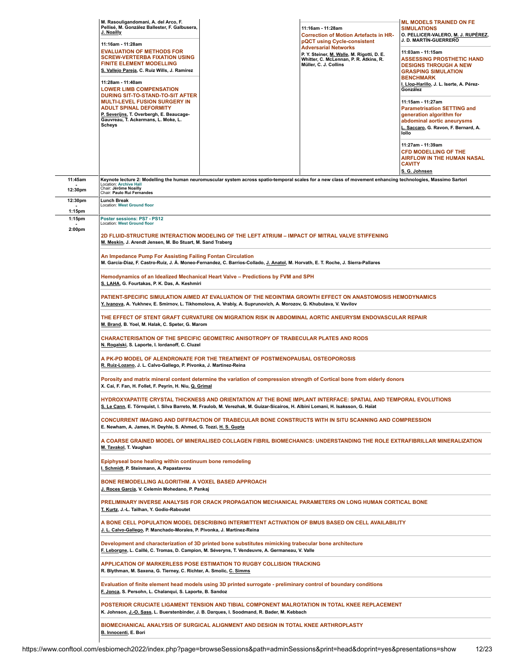|                     | M. Rasouligandomani, A. del Arco, F.<br>Pellisé, M. González Ballester, F. Galbusera,<br>J. Noailly                                                                                                                                                 |                                                                                                                                                                                               | 11:16am - 11:28am<br><b>Correction of Motion Artefacts in HR-</b><br>pQCT using Cycle-consistent                                             | <b>ML MODELS TRAINED ON FE</b><br><b>SIMULATIONS</b><br>O. PELLICER-VALERO, M. J. RUPÉREZ,<br>J. D. MARTÍN-GUERRERO                                                |  |
|---------------------|-----------------------------------------------------------------------------------------------------------------------------------------------------------------------------------------------------------------------------------------------------|-----------------------------------------------------------------------------------------------------------------------------------------------------------------------------------------------|----------------------------------------------------------------------------------------------------------------------------------------------|--------------------------------------------------------------------------------------------------------------------------------------------------------------------|--|
|                     | 11:16am - 11:28am<br><b>EVALUATION OF METHODS FOR</b><br><b>SCREW-VERTERBA FIXATION USING</b><br><b>FINITE ELEMENT MODELLING</b><br>S. Vallejo Pareja, C. Ruiz Wills, J. Ramirez                                                                    |                                                                                                                                                                                               | <b>Adversarial Networks</b><br>P. Y. Steiner, M. Walle, M. Rigotti, D. E.<br>Whitter, C. McLennan, P. R. Atkins, R.<br>Müller, C. J. Collins | 11:03am - 11:15am<br><b>ASSESSING PROSTHETIC HAND</b><br><b>DESIGNS THROUGH A NEW</b><br><b>GRASPING SIMULATION</b><br><b>BENCHMARK</b>                            |  |
|                     | 11:28am - 11:40am<br><b>LOWER LIMB COMPENSATION</b><br><b>DURING SIT-TO-STAND-TO-SIT AFTER</b>                                                                                                                                                      |                                                                                                                                                                                               |                                                                                                                                              | I. Llop-Harillo, J. L. Iserte, A. Pérez-<br>González                                                                                                               |  |
|                     | <b>MULTI-LEVEL FUSION SURGERY IN</b><br><b>ADULT SPINAL DEFORMITY</b><br><u>P. Severijns,</u> T. Overbergh, E. Beaucage-<br>Gauvreau, T. Ackermans, L. Moke, L.<br><b>Scheys</b>                                                                    |                                                                                                                                                                                               |                                                                                                                                              | 11:15am - 11:27am<br><b>Parametrisation SETTING and</b><br>generation algorithm for<br>abdominal aortic aneurysms<br>L. Saccaro, G. Ravon, F. Bernard, A.<br>lollo |  |
|                     |                                                                                                                                                                                                                                                     |                                                                                                                                                                                               |                                                                                                                                              | 11:27am - 11:39am<br><b>CFD MODELLING OF THE</b><br>AIRFLOW IN THE HUMAN NASAL<br><b>CAVITY</b><br>S. G. Johnsen                                                   |  |
| 11:45am             | Keynote lecture 2: Modelling the human neuromuscular system across spatio-temporal scales for a new class of movement enhancing technologies, Massimo Sartori<br><b>Location: Archive Hall</b><br>Chair: Jérôme Noailly                             |                                                                                                                                                                                               |                                                                                                                                              |                                                                                                                                                                    |  |
| 12:30pm<br>12:30pm  | Chair: Paulo Rui Fernandes<br><b>Lunch Break</b><br><b>Location: West Ground floor</b>                                                                                                                                                              |                                                                                                                                                                                               |                                                                                                                                              |                                                                                                                                                                    |  |
| $1:15$ pm<br>1:15pm | Poster sessions: PS7 - PS12                                                                                                                                                                                                                         |                                                                                                                                                                                               |                                                                                                                                              |                                                                                                                                                                    |  |
| 2:00pm              | <b>Location: West Ground floor</b><br>M. Meskin, J. Arendt Jensen, M. Bo Stuart, M. Sand Traberg                                                                                                                                                    | 2D FLUID-STRUCTURE INTERACTION MODELING OF THE LEFT ATRIUM - IMPACT OF MITRAL VALVE STIFFENING                                                                                                |                                                                                                                                              |                                                                                                                                                                    |  |
|                     | An Impedance Pump For Assisting Failing Fontan Circulation                                                                                                                                                                                          | M. Garcia-Diaz, F. Castro-Ruiz, J. Á. Moneo-Fernandez, C. Barrios-Collado, J. Anatol, M. Horvath, E. T. Roche, J. Sierra-Pallares                                                             |                                                                                                                                              |                                                                                                                                                                    |  |
|                     | Hemodynamics of an Idealized Mechanical Heart Valve - Predictions by FVM and SPH<br>S. LAHA, G. Fourtakas, P. K. Das, A. Keshmiri                                                                                                                   |                                                                                                                                                                                               |                                                                                                                                              |                                                                                                                                                                    |  |
|                     | PATIENT-SPECIFIC SIMULATION AIMED AT EVALUATION OF THE NEOINTIMA GROWTH EFFECT ON ANASTOMOSIS HEMODYNAMICS<br>Y. Ivanova, A. Yukhnev, E. Smirnov, L. Tikhomolova, A. Vrabiy, A. Suprunovich, A. Morozov, G. Khubulava, V. Vavilov                   |                                                                                                                                                                                               |                                                                                                                                              |                                                                                                                                                                    |  |
|                     | THE EFFECT OF STENT GRAFT CURVATURE ON MIGRATION RISK IN ABDOMINAL AORTIC ANEURYSM ENDOVASCULAR REPAIR<br>M. Brand, B. Yoel, M. Halak, C. Speter, G. Marom                                                                                          |                                                                                                                                                                                               |                                                                                                                                              |                                                                                                                                                                    |  |
|                     | CHARACTERISATION OF THE SPECIFIC GEOMETRIC ANISOTROPY OF TRABECULAR PLATES AND RODS<br>N. Rogalski, S. Laporte, I. lordanoff, C. Cluzel                                                                                                             |                                                                                                                                                                                               |                                                                                                                                              |                                                                                                                                                                    |  |
|                     | A PK-PD MODEL OF ALENDRONATE FOR THE TREATMENT OF POSTMENOPAUSAL OSTEOPOROSIS<br>R. Ruiz-Lozano, J. L. Calvo-Gallego, P. Pivonka, J. Martínez-Reina                                                                                                 |                                                                                                                                                                                               |                                                                                                                                              |                                                                                                                                                                    |  |
|                     | Porosity and matrix mineral content determine the variation of compression strength of Cortical bone from elderly donors<br>X. Cai, F. Fan, H. Follet, F. Peyrin, H. Niu, Q. Grimal                                                                 |                                                                                                                                                                                               |                                                                                                                                              |                                                                                                                                                                    |  |
|                     | HYDROXYAPATITE CRYSTAL THICKNESS AND ORIENTATION AT THE BONE IMPLANT INTERFACE: SPATIAL AND TEMPORAL EVOLUTIONS<br>S. Le Cann, E. Törnquist, I. Silva Barreto, M. Fraulob, M. Verezhak, M. Guizar-Sicairos, H. Albini Lomani, H. Isaksson, G. Haïat |                                                                                                                                                                                               |                                                                                                                                              |                                                                                                                                                                    |  |
|                     | E. Newham, A. James, H. Deyhle, S. Ahmed, G. Tozzi, H. S. Gupta                                                                                                                                                                                     | CONCURRENT IMAGING AND DIFFRACTION OF TRABECULAR BONE CONSTRUCTS WITH IN SITU SCANNING AND COMPRESSION                                                                                        |                                                                                                                                              |                                                                                                                                                                    |  |
|                     | A COARSE GRAINED MODEL OF MINERALISED COLLAGEN FIBRIL BIOMECHANICS: UNDERSTANDING THE ROLE EXTRAFIBRILLAR MINERALIZATION<br>M. Tavakol, T. Vaughan                                                                                                  |                                                                                                                                                                                               |                                                                                                                                              |                                                                                                                                                                    |  |
|                     | Epiphyseal bone healing within continuum bone remodeling<br>I. Schmidt, P. Steinmann, A. Papastavrou                                                                                                                                                |                                                                                                                                                                                               |                                                                                                                                              |                                                                                                                                                                    |  |
|                     | BONE REMODELLING ALGORITHM. A VOXEL BASED APPROACH<br><u>J. Roces García,</u> V. Celemín Mohedano, P. Pankaj                                                                                                                                        |                                                                                                                                                                                               |                                                                                                                                              |                                                                                                                                                                    |  |
|                     | PRELIMINARY INVERSE ANALYSIS FOR CRACK PROPAGATION MECHANICAL PARAMETERS ON LONG HUMAN CORTICAL BONE<br>T. Kurtz, J.-L. Tailhan, Y. Godio-Raboutet                                                                                                  |                                                                                                                                                                                               |                                                                                                                                              |                                                                                                                                                                    |  |
|                     | A BONE CELL POPULATION MODEL DESCRIBING INTERMITTENT ACTIVATION OF BMUS BASED ON CELL AVAILABILITY<br>J. L. Calvo-Gallego, P. Manchado-Morales, P. Pivonka, J. Martínez-Reina                                                                       |                                                                                                                                                                                               |                                                                                                                                              |                                                                                                                                                                    |  |
|                     | Development and characterization of 3D printed bone substitutes mimicking trabecular bone architecture<br><u>F. Leborgne,</u> L. Caillé, C. Tromas, D. Campion, M. Séveryns, T. Vendeuvre, A. Germaneau, V. Valle                                   |                                                                                                                                                                                               |                                                                                                                                              |                                                                                                                                                                    |  |
|                     | R. Blythman, M. Saxena, G. Tierney, C. Richter, A. Smolic, C. Simms                                                                                                                                                                                 | APPLICATION OF MARKERLESS POSE ESTIMATION TO RUGBY COLLISION TRACKING                                                                                                                         |                                                                                                                                              |                                                                                                                                                                    |  |
|                     | Evaluation of finite element head models using 3D printed surrogate - preliminary control of boundary conditions<br>F. Jonca, S. Persohn, L. Chalanqui, S. Laporte, B. Sandoz                                                                       |                                                                                                                                                                                               |                                                                                                                                              |                                                                                                                                                                    |  |
|                     |                                                                                                                                                                                                                                                     | POSTERIOR CRUCIATE LIGAMENT TENSION AND TIBIAL COMPONENT MALROTATION IN TOTAL KNEE REPLACEMENT<br>K. Johnson, J.-O. Sass, L. Buerstenbinder, J. B. Darques, I. Soodmand, R. Bader, M. Kebbach |                                                                                                                                              |                                                                                                                                                                    |  |
|                     | B. Innocenti, E. Bori                                                                                                                                                                                                                               | BIOMECHANICAL ANALYSIS OF SURGICAL ALIGNMENT AND DESIGN IN TOTAL KNEE ARTHROPLASTY                                                                                                            |                                                                                                                                              |                                                                                                                                                                    |  |
|                     |                                                                                                                                                                                                                                                     |                                                                                                                                                                                               |                                                                                                                                              |                                                                                                                                                                    |  |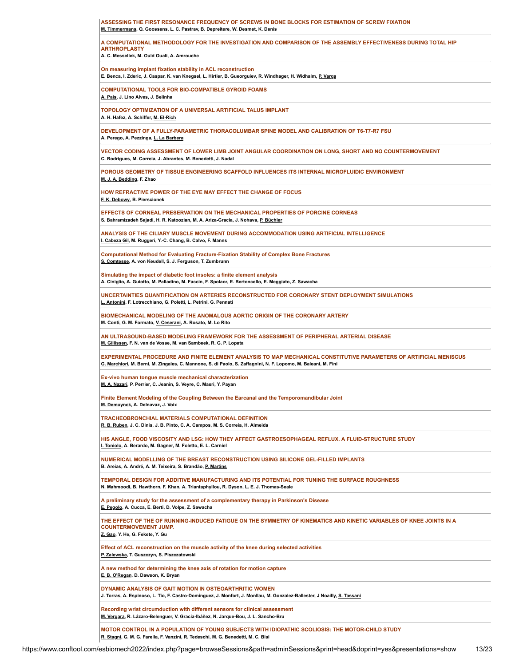| ASSESSING THE FIRST RESONANCE FREQUENCY OF SCREWS IN BONE BLOCKS FOR ESTIMATION OF SCREW FIXATION<br>M. Timmermans, Q. Goossens, L. C. Pastrav, B. Depreitere, W. Desmet, K. Denis                                                    |
|---------------------------------------------------------------------------------------------------------------------------------------------------------------------------------------------------------------------------------------|
| A COMPUTATIONAL METHODOLOGY FOR THE INVESTIGATION AND COMPARISON OF THE ASSEMBLY EFFECTIVENESS DURING TOTAL HIP<br><b>ARTHROPLASTY</b><br>A. C. Messellek, M. Ould Ouali, A. Amrouche                                                 |
| On measuring implant fixation stability in ACL reconstruction<br>E. Benca, I. Zderic, J. Caspar, K. van Knegsel, L. Hirtler, B. Gueorguiev, R. Windhager, H. Widhalm, P. Varga                                                        |
| <b>COMPUTATIONAL TOOLS FOR BIO-COMPATIBLE GYROID FOAMS</b><br>A. Pais, J. Lino Alves, J. Belinha                                                                                                                                      |
| <b>TOPOLOGY OPTIMIZATION OF A UNIVERSAL ARTIFICIAL TALUS IMPLANT</b><br>A. H. Hafez, A. Schiffer, M. El-Rich                                                                                                                          |
| DEVELOPMENT OF A FULLY-PARAMETRIC THORACOLUMBAR SPINE MODEL AND CALIBRATION OF T6-T7-R7 FSU<br>A. Perego, A. Pezzinga, L. La Barbera                                                                                                  |
| VECTOR CODING ASSESSMENT OF LOWER LIMB JOINT ANGULAR COORDINATION ON LONG, SHORT AND NO COUNTERMOVEMENT<br>C. Rodrigues, M. Correia, J. Abrantes, M. Benedetti, J. Nadal                                                              |
| POROUS GEOMETRY OF TISSUE ENGINEERING SCAFFOLD INFLUENCES ITS INTERNAL MICROFLUIDIC ENVIRONMENT<br>M. J. A. Bedding, F. Zhao                                                                                                          |
| HOW REFRACTIVE POWER OF THE EYE MAY EFFECT THE CHANGE OF FOCUS<br>F. K. Debowy, B. Pierscionek                                                                                                                                        |
| EFFECTS OF CORNEAL PRESERVATION ON THE MECHANICAL PROPERTIES OF PORCINE CORNEAS<br>S. Bahramizadeh Sajadi, H. R. Katoozian, M. A. Ariza-Gracia, J. Nohava, P. Büchler                                                                 |
| ANALYSIS OF THE CILIARY MUSCLE MOVEMENT DURING ACCOMMODATION USING ARTIFICIAL INTELLIGENCE<br>I. Cabeza Gil, M. Ruggeri, Y.-C. Chang, B. Calvo, F. Manns                                                                              |
| <b>Computational Method for Evaluating Fracture-Fixation Stability of Complex Bone Fractures</b><br>S. Comtesse, A. von Keudell, S. J. Ferguson, T. Zumbrunn                                                                          |
| Simulating the impact of diabetic foot insoles: a finite element analysis<br>A. Ciniglio, A. Guiotto, M. Palladino, M. Faccin, F. Spolaor, E. Bertoncello, E. Meggiato, Z. Sawacha                                                    |
| UNCERTAINTIES QUANTIFICATION ON ARTERIES RECONSTRUCTED FOR CORONARY STENT DEPLOYMENT SIMULATIONS<br>L. Antonini, F. Lotrecchiano, G. Poletti, L. Petrini, G. Pennati                                                                  |
| <b>BIOMECHANICAL MODELING OF THE ANOMALOUS AORTIC ORIGIN OF THE CORONARY ARTERY</b><br>M. Conti, G. M. Formato, V. Ceserani, A. Rosato, M. Lo Rito                                                                                    |
| AN ULTRASOUND-BASED MODELING FRAMEWORK FOR THE ASSESSMENT OF PERIPHERAL ARTERIAL DISEASE<br>M. Gillissen, F. N. van de Vosse, M. van Sambeek, R. G. P. Lopata                                                                         |
| EXPERIMENTAL PROCEDURE AND FINITE ELEMENT ANALYSIS TO MAP MECHANICAL CONSTITUTIVE PARAMETERS OF ARTIFICIAL MENISCUS<br>G. Marchiori, M. Berni, M. Zingales, C. Mannone, S. di Paolo, S. Zaffagnini, N. F. Lopomo, M. Baleani, M. Fini |
| Ex-vivo human tongue muscle mechanical characterization<br>M. A. Nazari, P. Perrier, C. Jeanin, S. Veyre, C. Masri, Y. Payan                                                                                                          |
| Finite Element Modeling of the Coupling Between the Earcanal and the Temporomandibular Joint<br>M. Demuynck, A. Delnavaz, J. Voix                                                                                                     |
| <b>TRACHEOBRONCHIAL MATERIALS COMPUTATIONAL DEFINITION</b><br>R. B. Ruben, J. C. Dinis, J. B. Pinto, C. A. Campos, M. S. Correia, H. Almeida                                                                                          |
| HIS ANGLE, FOOD VISCOSITY AND LSG: HOW THEY AFFECT GASTROESOPHAGEAL REFLUX. A FLUID-STRUCTURE STUDY<br>I. Toniolo, A. Berardo, M. Gagner, M. Foletto, E. L. Carniel                                                                   |
| NUMERICAL MODELLING OF THE BREAST RECONSTRUCTION USING SILICONE GEL-FILLED IMPLANTS<br>B. Areias, A. André, A. M. Teixeira, S. Brandão, P. Martins                                                                                    |
| TEMPORAL DESIGN FOR ADDITIVE MANUFACTURING AND ITS POTENTIAL FOR TUNING THE SURFACE ROUGHNESS<br>N. Mahmoodi, B. Hawthorn, F. Khan, A. Triantaphyllou, R. Dyson, L. E. J. Thomas-Seale                                                |
| A preliminary study for the assessment of a complementary therapy in Parkinson's Disease<br>E. Pegolo, A. Cucca, E. Berti, D. Volpe, Z. Sawacha                                                                                       |
| THE EFFECT OF THE OF RUNNING-INDUCED FATIGUE ON THE SYMMETRY OF KINEMATICS AND KINETIC VARIABLES OF KNEE JOINTS IN A<br><b>COUNTERMOVEMENT JUMP.</b><br>Z. Gao, Y. He, G. Fekete, Y. Gu                                               |
| Effect of ACL reconstruction on the muscle activity of the knee during selected activities<br>P. Zalewska, T. Guszczyn, S. Piszczatowski                                                                                              |
| A new method for determining the knee axis of rotation for motion capture<br>E. B. O'Regan, D. Dawson, K. Bryan                                                                                                                       |
| DYNAMIC ANALYSIS OF GAIT MOTION IN OSTEOARTHRITIC WOMEN<br>J. Torras, A. Espinoso, L. Tio, F. Castro-Domínguez, J. Monfort, J. Monllau, M. Gonzalez-Ballester, J Noailly, S. Tassani                                                  |
| Recording wrist circumduction with different sensors for clinical assessment<br>M. Vergara, R. Lázaro-Belenguer, V. Gracia-Ibáñez, N. Jarque-Bou, J. L. Sancho-Bru                                                                    |
| MOTOR CONTROL IN A POPULATION OF YOUNG SUBJECTS WITH IDIOPATHIC SCOLIOSIS: THE MOTOR-CHILD STUDY<br>R. Stagni, G. M. G. Farella, F. Vanzini, R. Tedeschi, M. G. Benedetti, M. C. Bisi                                                 |
|                                                                                                                                                                                                                                       |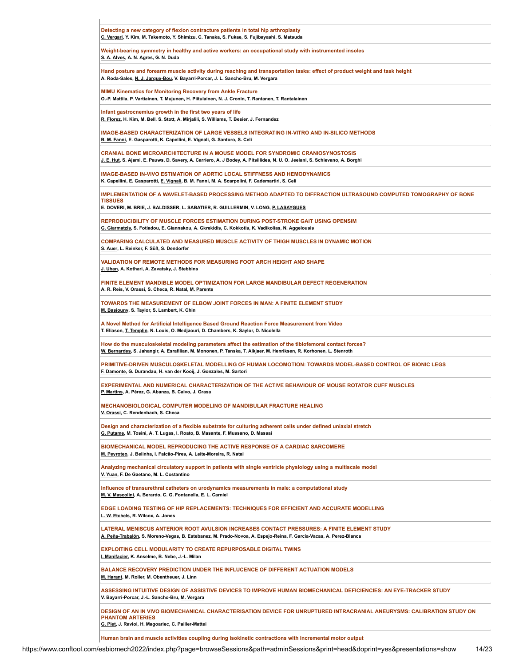| Detecting a new category of flexion contracture patients in total hip arthroplasty<br>C. Vergari, Y. Kim, M. Takemoto, Y. Shimizu, C. Tanaka, S. Fukae, S. Fujibayashi, S. Matsuda                                              |
|---------------------------------------------------------------------------------------------------------------------------------------------------------------------------------------------------------------------------------|
| Weight-bearing symmetry in healthy and active workers: an occupational study with instrumented insoles<br>S. A. Alves, A. N. Agres, G. N. Duda                                                                                  |
| Hand posture and forearm muscle activity during reaching and transportation tasks: effect of product weight and task height<br>A. Roda-Sales, <u>N. J. Jarque-Bou</u> , V. Bayarri-Porcar, J. L. Sancho-Bru, M. Vergara         |
| <b>MIMU Kinematics for Monitoring Recovery from Ankle Fracture</b><br>O.-P. Mattila, P. Vartiainen, T. Mujunen, H. Piitulainen, N. J. Cronin, T. Rantanen, T. Rantalainen                                                       |
| Infant gastrocnemius growth in the first two years of life<br>R. Florez, H. Kim, M. Bell, S. Stott, A. Mirjalili, S. Williams, T. Besier, J. Fernandez                                                                          |
| IMAGE-BASED CHARACTERIZATION OF LARGE VESSELS INTEGRATING IN-VITRO AND IN-SILICO METHODS<br>B. M. Fanni, E. Gasparotti, K. Capellini, E. Vignali, G. Santoro, S. Celi                                                           |
| <b>CRANIAL BONE MICROARCHITECTURE IN A MOUSE MODEL FOR SYNDROMIC CRANIOSYNOSTOSIS</b><br>J. E. Hut, S. Ajami, E. Pauws, D. Savery, A. Carriero, A. J Bodey, A. Pitsillides, N. U. O. Jeelani, S. Schievano, A. Borghi           |
| <b>IMAGE-BASED IN-VIVO ESTIMATION OF AORTIC LOCAL STIFFNESS AND HEMODYNAMICS</b><br>K. Capellini, E. Gasparotti, E. Vignali, B. M. Fanni, M. A. Scarpolini, F. Cademartiri, S. Celi                                             |
| IMPLEMENTATION OF A WAVELET-BASED PROCESSING METHOD ADAPTED TO DIFFRACTION ULTRASOUND COMPUTED TOMOGRAPHY OF BONE<br><b>TISSUES</b>                                                                                             |
| E. DOVERI, M. BRIE, J. BALDISSER, L. SABATIER, R. GUILLERMIN, V. LONG, P. LASAYGUES                                                                                                                                             |
| REPRODUCIBILITY OF MUSCLE FORCES ESTIMATION DURING POST-STROKE GAIT USING OPENSIM<br>G. Giarmatzis, S. Fotiadou, E. Giannakou, A. Gkrekidis, C. Kokkotis, K. Vadikolias, N. Aggelousis                                          |
| COMPARING CALCULATED AND MEASURED MUSCLE ACTIVITY OF THIGH MUSCLES IN DYNAMIC MOTION<br>S. Auer, L. Reinker, F. Süß, S. Dendorfer                                                                                               |
| VALIDATION OF REMOTE METHODS FOR MEASURING FOOT ARCH HEIGHT AND SHAPE<br>J. Uhan, A. Kothari, A. Zavatsky, J. Stebbins                                                                                                          |
| FINITE ELEMENT MANDIBLE MODEL OPTIMIZATION FOR LARGE MANDIBULAR DEFECT REGENERATION<br>A. R. Reis, V. Orassi, S. Checa, R. Natal, M. Parente                                                                                    |
| TOWARDS THE MEASUREMENT OF ELBOW JOINT FORCES IN MAN: A FINITE ELEMENT STUDY<br>M. Basiouny, S. Taylor, S. Lambert, K. Chin                                                                                                     |
| A Novel Method for Artificial Intelligence Based Ground Reaction Force Measurement from Video<br>T. Eliason, T. Templin, N. Louis, O. Medjaouri, D. Chambers, K. Saylor, D. Nicolella                                           |
| How do the musculoskeletal modeling parameters affect the estimation of the tibiofemoral contact forces?<br>W. Bernardes, S. Jahangir, A. Esrafilian, M. Mononen, P. Tanska, T. Alkjaer, M. Henriksen, R. Korhonen, L. Stenroth |
| PRIMITIVE-DRIVEN MUSCULOSKELETAL MODELLING OF HUMAN LOCOMOTION: TOWARDS MODEL-BASED CONTROL OF BIONIC LEGS<br>F. Damonte, G. Durandau, H. van der Kooij, J. Gonzales, M. Sartori                                                |
| EXPERIMENTAL AND NUMERICAL CHARACTERIZATION OF THE ACTIVE BEHAVIOUR OF MOUSE ROTATOR CUFF MUSCLES<br>P. Martins, A. Pérez, G. Abanza, B. Calvo, J. Grasa                                                                        |
| MECHANOBIOLOGICAL COMPUTER MODELING OF MANDIBULAR FRACTURE HEALING<br>V. Orassi, C. Rendenbach, S. Checa                                                                                                                        |
| Design and characterization of a flexible substrate for culturing adherent cells under defined uniaxial stretch<br>G. Putame, M. Tosini, A. T. Lugas, I. Roato, B. Masante, F. Mussano, D. Massai                               |
| <b>BIOMECHANICAL MODEL REPRODUCING THE ACTIVE RESPONSE OF A CARDIAC SARCOMERE</b><br>M. Peyroteo, J. Belinha, I. Falcão-Pires, A. Leite-Moreira, R. Natal                                                                       |
| Analyzing mechanical circulatory support in patients with single ventricle physiology using a multiscale model<br>V. Yuan, F. De Gaetano, M. L. Costantino                                                                      |
| Influence of transurethral catheters on urodynamics measurements in male: a computational study<br>M. V. Mascolini, A. Berardo, C. G. Fontanella, E. L. Carniel                                                                 |
|                                                                                                                                                                                                                                 |
| EDGE LOADING TESTING OF HIP REPLACEMENTS: TECHNIQUES FOR EFFICIENT AND ACCURATE MODELLING<br>L. W. Etchels, R. Wilcox, A. Jones                                                                                                 |
| LATERAL MENISCUS ANTERIOR ROOT AVULSION INCREASES CONTACT PRESSURES: A FINITE ELEMENT STUDY<br>A. Peña-Trabalón, S. Moreno-Vegas, B. Estebanez, M. Prado-Novoa, A. Espejo-Reina, F. García-Vacas, A. Perez-Blanca               |
| <b>EXPLOITING CELL MODULARITY TO CREATE REPURPOSABLE DIGITAL TWINS</b><br>I. Manifacier, K. Anselme, B. Nebe, J.-L. Milan                                                                                                       |
| <b>BALANCE RECOVERY PREDICTION UNDER THE INFLUCENCE OF DIFFERENT ACTUATION MODELS</b><br>M. Harant, M. Roller, M. Obentheuer, J. Linn                                                                                           |
| ASSESSING INTUITIVE DESIGN OF ASSISTIVE DEVICES TO IMPROVE HUMAN BIOMECHANICAL DEFICIENCIES: AN EYE-TRACKER STUDY<br>V. Bayarri-Porcar, J.-L. Sancho-Bru, M. Vergara                                                            |
| DESIGN OF AN IN VIVO BIOMECHANICAL CHARACTERISATION DEVICE FOR UNRUPTURED INTRACRANIAL ANEURYSMS: CALIBRATION STUDY ON<br><b>PHANTOM ARTERIES</b>                                                                               |
| G. Plet, J. Raviol, H. Magoariec, C. Pailler-Mattei<br>Human brain and muscle activities coupling during isokinetic contractions with incremental motor output                                                                  |

 $\mathbf{I}$ 

https://www.conftool.com/esbiomech2022/index.php?page=browseSessions&path=adminSessions&print=head&doprint=yes&presentations=show 14/23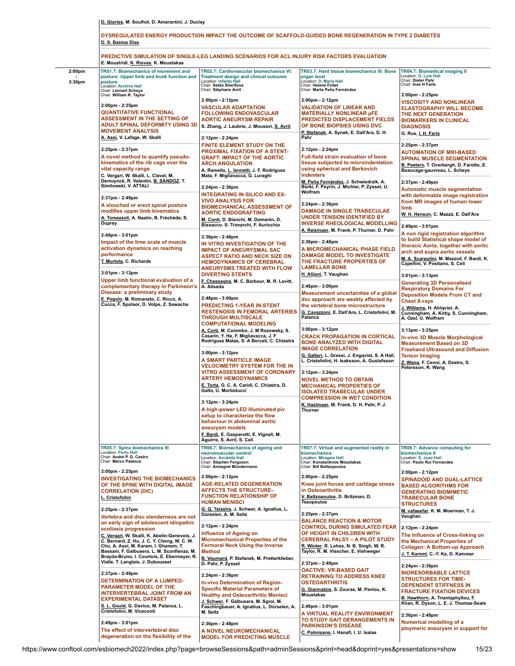|  |  | D. Glories, M. Soulhol, D. Amarantini, J. Duclay |  |
|--|--|--------------------------------------------------|--|
|  |  |                                                  |  |

|                              | DYSREGULATED ENERGY PRODUCTION IMPACT THE OUTCOME OF SCAFFOLD-GUIDED BONE REGENERATION IN TYPE 2 DIABETES<br>D. S. Bastos Dias                                                                                                                                                                                                                           |                                                                                                                                                                                                                                                                                                                                                                                                                        |                                                                                                                                                                                                                                                                                                                                                                                                                                                                                                                   |                                                                                                                                                                                                                                     |  |
|------------------------------|----------------------------------------------------------------------------------------------------------------------------------------------------------------------------------------------------------------------------------------------------------------------------------------------------------------------------------------------------------|------------------------------------------------------------------------------------------------------------------------------------------------------------------------------------------------------------------------------------------------------------------------------------------------------------------------------------------------------------------------------------------------------------------------|-------------------------------------------------------------------------------------------------------------------------------------------------------------------------------------------------------------------------------------------------------------------------------------------------------------------------------------------------------------------------------------------------------------------------------------------------------------------------------------------------------------------|-------------------------------------------------------------------------------------------------------------------------------------------------------------------------------------------------------------------------------------|--|
|                              | PREDICTIVE SIMULATION OF SINGLE-LEG LANDING SCENARIOS FOR ACL INJURY RISK FACTORS EVALUATION<br>E. Moustridi, K. Risvas, K. Moustakas                                                                                                                                                                                                                    |                                                                                                                                                                                                                                                                                                                                                                                                                        |                                                                                                                                                                                                                                                                                                                                                                                                                                                                                                                   |                                                                                                                                                                                                                                     |  |
| 2:00 <sub>pm</sub><br>3:30pm | TR01.7: Biomechanics of movement and<br>posture: Upper limb and trunk function and<br>posture<br>Location: Archive Hall<br>Chair: Lennart Scheys                                                                                                                                                                                                         | TR02.7: Cardiovascular biomechanics VI:<br>Treatment design and clinical outcome<br>Location: Infante Hall<br>Chair: Selda Sherifova<br>Chair: Stéphane Avril                                                                                                                                                                                                                                                          | TR03.7: Hard tissue biomechanics III: Bone<br>organ level<br>Location: D. Maria Hall<br>Chair: Helene Follet<br>Chair: Marta Peña Fernández                                                                                                                                                                                                                                                                                                                                                                       | TR04.7: Biomedical imaging II<br>Location: D. Luis Hall<br>Chair: Dieter Pahr<br>Chair: Inas H Faris                                                                                                                                |  |
|                              | Chair: William R. Taylor<br>2:00pm - 2:25pm<br><b>QUANTITATIVE FUNCTIONAL</b><br><b>ASSESSMENT IN THE SETTING OF</b><br><b>ADULT SPINAL DEFORMITY USING 3D</b><br><b>MOVEMENT ANALYSIS</b><br>A. Assi, V. Lafage, W. Skalli<br>2:25pm - 2:37pm<br>A novel method to quantify pseudo-<br>kinematics of the rib cage over the<br>vital capacity range      | 2:00pm - 2:12pm<br><b>VASCULAR ADAPTATION</b><br><b>FOLLOWING ENDOVASCULAR</b><br><b>AORTIC ANEURYSM REPAIR</b><br>S. Zhang, J. Laubrie, J. Mousavi, S. Avril<br>Pahr<br>2:12pm - 2:24pm<br><b>FINITE ELEMENT STUDY ON THE</b><br><b>PROXIMAL FIXATION OF A STENT-</b><br><b>GRAFT: IMPACT OF THE AORTIC</b><br><b>ARCH ANGULATION</b><br>A. Ramella, L. lannetti, J. F. Rodriguez<br>Mata, F. Migliavacca, G. Luraghi | 2:00pm - 2:12pm<br><b>VALIDATION OF LINEAR AND</b><br><b>MATERIALLY NONLINEAR µFE</b><br>PREDICTED DISPLACEMENT FIELDS<br>OF BONE BIOPSIES USING DVC<br>P. Stefanek, A. Synek, E. Dall'Ara, D. H.<br>2:12pm - 2:24pm<br>Full-field strain evaluation of bone<br>tissue subjected to microindentation<br>using spherical and Berkovich<br>indenters                                                                                                                                                                | 2:00pm - 2:25pm<br><b>VISCOSITY AND NONLINEAR</b><br><b>ELASTOGRAPHY WILL BECOME</b><br>THE NEXT GENERATION<br><b>BIOMARKERS IN CLINICAL</b><br><b>DIAGNOSIS</b><br>G. Rus, I. H. Faris                                             |  |
|                              |                                                                                                                                                                                                                                                                                                                                                          |                                                                                                                                                                                                                                                                                                                                                                                                                        |                                                                                                                                                                                                                                                                                                                                                                                                                                                                                                                   | 2:25pm - 2:37pm<br><b>AUTOMATION OF MRI-BASED</b><br><b>SPINAL MUSCLE SEGMENTATION</b><br>B. Peeters, T. Overbergh, D. Farotto, E.<br>Beaucage-gauvreau, L. Scheys                                                                  |  |
|                              | C. Vergari, W. Skalli, L. Clavel, M.<br>Demuynck, R. Valentin, B. SANDOZ, T.<br>Similowski, V. ATTALI<br>2:37pm - 2:49pm<br>A slouched or erect spinal posture<br>modifies upper limb kinematics                                                                                                                                                         | 2:24pm - 2:36pm<br><b>INTEGRATING IN-SILICO AND EX-</b><br><b>VIVO ANALYSIS FOR</b><br><b>BIOMECHANICAL ASSESSMENT OF</b><br><b>AORTIC ENDOGRAFTING</b>                                                                                                                                                                                                                                                                | M. Peña Fernández, J. Schwiedrzik, A.<br>Bürki, F. Peyrin, J. Michler, P. Zysset, U.<br>Wolfram<br>2:24pm - 2:36pm<br><b>DAMAGE IN SINGLE TRABECULAE</b>                                                                                                                                                                                                                                                                                                                                                          | 2:37pm - 2:49pm<br><b>Automatic muscle segmentation</b><br>with deformable image registration<br>from MR images of human lower<br>limb<br>W. H. Henson, C. Mazzà, E. Dall'Ara                                                       |  |
|                              | A. Tomezzoli, A. Naaïm, B. Fréchède, S.<br><b>Duprey</b><br>2:49pm - 3:01pm                                                                                                                                                                                                                                                                              | M. Conti, D. Bianchi, M. Domanin, D.<br>Bissacco, S. Trimarchi, F. Auricchio<br>2:36pm - 2:48pm                                                                                                                                                                                                                                                                                                                        | <b>UNDER TENSION IDENTIFIED BY</b><br><b>INVERSE RHEOLOGICAL MODELLING</b><br>A. Reisinger, M. Frank, P. Thurner, D. Pahr                                                                                                                                                                                                                                                                                                                                                                                         | 2:49pm - 3:01pm<br>A non rigid registration algorithm<br>to build Statistical shape model of                                                                                                                                        |  |
|                              | Impact of the time scale of muscle<br>activation dynamics on reaching<br>performance<br>T. Murtola, C. Richards<br>$3:01 \text{pm} - 3:13 \text{pm}$<br>Upper limb functional evaluation of a<br>complementary therapy in Parkinson's<br>Disease: a preliminary study<br>E. Pegolo, M. Romanato, C. Riccò, A.<br>Cucca, F. Spolaor, D. Volpe, Z. Sawacha | IN VITRO INVESTIGATION OF THE<br><b>IMPACT OF ANEURYSMAL SAC</b><br><b>ASPECT RATIO AND NECK SIZE ON</b><br><b>HEMODYNAMICS OF CEREBRAL</b><br><b>ANEURYSMS TREATED WITH FLOW</b>                                                                                                                                                                                                                                      | 2:36pm - 2:48pm<br>A MICROMECHANICAL PHASE FIELD<br><b>DAMAGE MODEL TO INVESTIGATE</b><br>THE FRACTURE PROPERTIES OF<br><b>LAMELLAR BONE</b>                                                                                                                                                                                                                                                                                                                                                                      | thoracic Aorta, together with aortic<br>arch and supra aortic vessels<br>M. A. Scarpolini, M. Mazzoli, F. Bardi, K.<br>Capellini, V. Positano, S. Celi                                                                              |  |
|                              |                                                                                                                                                                                                                                                                                                                                                          | <b>DIVERTING STENTS</b><br>F. Chassagne, M. C. Barbour, M. R. Levitt,<br>A. Aliseda<br>2:48pm - 3:00pm<br><b>PREDICTING 1-YEAR IN-STENT</b><br><b>RESTENOSIS IN FEMORAL ARTERIES</b>                                                                                                                                                                                                                                   | H. Alijani, T. Vaughan<br>2:48pm - 3:00pm<br>Measurement uncertainties of a global<br>dvc approach are weakly affected by<br>the vertebral bone microstructure<br>G. Cavazzoni, E. Dall'Ara, L. Cristofolini, M.                                                                                                                                                                                                                                                                                                  | $3:01$ pm - $3:13$ pm<br><b>Generating 3D Personalised</b><br><b>Respiratory Domains For</b><br><b>Deposition Models From CT and</b><br><b>Chest X-rays</b><br>J. Williams, H. Ahlqvist, A.<br>Cunningham, A. Kirby, S. Cunningham, |  |
|                              |                                                                                                                                                                                                                                                                                                                                                          | <b>THROUGH MULTISCALE</b><br><b>COMPUTATIONAL MODELING</b><br>A. Corti, M. Colombo, J. M Rozowsky, S.<br>Casarin, Y. He, F. Migliavacca, J. F<br>Rodriguez Matas, S. A Berceli, C. Chiastra<br>$3:00 \text{pm} - 3:12 \text{pm}$                                                                                                                                                                                       | Palanca<br>$3:00 \text{pm} - 3:12 \text{pm}$<br><b>CRACK PROPAGATION IN CORTICAL</b><br><b>BONE ANALYZED WITH DIGITAL</b><br><b>IMAGE CORRELATION</b><br>G. Galteri, L. Grassi, J. Engqvist, S. A Hall,<br><b>Tensor Imaging</b><br>L. Cristofolini, H. Isaksson, A. Gustafsson<br>3:12pm - 3:24pm<br><b>NOVEL METHOD TO OBTAIN</b><br><b>MECHANICAL PROPERTIES OF</b><br><b>ISOLATED TRABECULAE UNDER</b><br><b>COMPRESSION IN WET CONDITION</b><br><u>K. Haslinger</u> , M. Frank, D. H. Pahr, P. J.<br>Thurner | A. Ozel, U. Wolfram<br>3:13pm - 3:25pm<br>In-vivo 3D Muscle Morphological<br><b>Measurement Based on 3D</b><br><b>Freehand Ultrasound and Diffusion</b>                                                                             |  |
|                              |                                                                                                                                                                                                                                                                                                                                                          | A SMART PARTICLE IMAGE<br><b>VELOCIMETRY SYSTEM FOR THE IN</b><br><b>VITRO ASSESSMENT OF CORONARY</b><br><b>ARTERY HEMODYNAMICS</b><br>E. Torta, G. C. A. Caridi, C. Chiastra, D.<br>Gallo, U. Morbiducci                                                                                                                                                                                                              |                                                                                                                                                                                                                                                                                                                                                                                                                                                                                                                   | Z. Wang, F. Cenni, A. Destro, S.<br>Petersson, R. Wang                                                                                                                                                                              |  |
|                              |                                                                                                                                                                                                                                                                                                                                                          | 3:12pm - 3:24pm<br>A high-power LED illuminated piv<br>setup to characterize the flow<br>behaviour in abdominal aortic<br>aneurysm models<br>F. Bardi, E. Gasparotti, E. Vignali, M.<br>Aguirre, S. Avril, S. Celi                                                                                                                                                                                                     |                                                                                                                                                                                                                                                                                                                                                                                                                                                                                                                   |                                                                                                                                                                                                                                     |  |
|                              | TR05.7: Spine biomechanics III<br>Location: Porto Hall<br>Chair: André P. G. Castro<br>Chair: Marco Palanca                                                                                                                                                                                                                                              | TR06.7: Biomechanics of ageing and<br>neuromuscular control<br>Location: Arrabida Hall<br>Chair: Stephen Ferguson<br>Chair: Annegret Mündermann                                                                                                                                                                                                                                                                        | TR07.7: Virtual and augmented reality in<br>biomechanics<br>Location: Miragaia Hall<br>Chair: Konstantinos Moustakas<br>Chair: Bill Baltzopoulos                                                                                                                                                                                                                                                                                                                                                                  | TR08.7: Advance computing for<br>biomechanics II<br>Location: S. Joao Hall<br>Chair: Paulo Rui Fernandes                                                                                                                            |  |
|                              | 2:00pm - 2:25pm<br><b>INVESTIGATING THE BIOMECHANICS</b><br>OF THE SPINE WITH DIGITAL IMAGE<br><b>CORRELATION (DIC)</b><br>L. Cristofolini                                                                                                                                                                                                               | 2:00pm - 2:12pm<br><b>AGE-RELATED DEGENERATION</b><br><b>AFFECTS THE STRUCTURE-</b><br><b>FUNCTION RELATIONSHIP OF</b><br><b>HUMAN MENISCI</b>                                                                                                                                                                                                                                                                         | 2:00pm - 2:25pm<br>Knee joint forces and cartilage stress<br>in Osteoarthritis<br>V. Baltzopoulos, D. Britzman, D.<br>Tsaopoulos                                                                                                                                                                                                                                                                                                                                                                                  | 2:00pm - 2:12pm<br><b>SPINADOID AND DUAL-LATTICE</b><br><b>BASED ALGORITHMS FOR</b><br><b>GENERATING BIOMIMETIC</b><br><b>TRABECULAR BONE</b><br><b>STRUCTURES</b>                                                                  |  |
|                              | 2:25pm - 2:37pm<br>Vertebra and disc slenderness are not<br>an early sign of adolescent idiopathic                                                                                                                                                                                                                                                       | G. Q. Teixeira, J. Schwer, A. Ignatius, L.<br>Dürselen, A. M. Seitz                                                                                                                                                                                                                                                                                                                                                    | 2:25pm - 2:37pm<br><b>BALANCE REACTION &amp; MOTOR</b><br><b>CONTROL DURING SIMULATED FEAR</b><br>OF HEIGHT IN CHILDREN WITH<br><b>CEREBRAL PALSY - A PILOT STUDY</b><br>R. Winter, R. Lohss, N. B. Singh, W. R.<br>Taylor, R. M. Visscher, E. Viehweger                                                                                                                                                                                                                                                          | M. vafaeefar, K. M. Moerman, T. J.<br>Vaughan                                                                                                                                                                                       |  |
|                              | scoliosis progression<br>C. Vergari, W. Skalli, K. Abelin-Genevois, J.<br>C. Bernard, Z. Hu, J. C. Y. Cheng, W. C. W.<br>Chu, A. Assi, M. Karam, I. Ghanem, T.<br>Bassani, F. Galbusera, L. M. Sconfienza, M.<br>Brayda-Bruno, I. Courtois, E. Ebermeyer, R.                                                                                             | 2:12pm - 2:24pm<br>Influence of Ageing on<br>Micromechanical Properties of the<br><b>Fermoral Neck Using the Inverse</b><br><b>Method</b><br>B. Voumard, P. Stefanek, M. Pretterklieber,                                                                                                                                                                                                                               |                                                                                                                                                                                                                                                                                                                                                                                                                                                                                                                   | 2:12pm - 2:24pm<br>The Influence of Cross-linking on<br>the Mechanical Properties of<br><b>Collagen: A Bottom-up Approach</b><br>J. T. Kamml, C.-Y. Ke, D. Kammer                                                                   |  |
|                              | Vialle, T. Langlais, J. Dubousset<br>2:37pm - 2:49pm<br><b>DETERMINATION OF A LUMPED-</b><br>PARAMETER MODEL OF THE<br><b>INTERVERTEBRAL JOINT FROM AN</b><br><b>EXPERIMENTAL DATASET</b><br>S. L. Gould, G. Davico, M. Palanca, L.                                                                                                                      | D. Pahr, P. Zysset<br>2:24pm - 2:36pm<br><b>In-vivo Determination of Region-</b><br><b>Specific Material Parameters of</b><br><b>Healthy and Osteoarthritic Menisci</b><br>J. Schwer, F. Galbusera, M. Sgroi, M.<br>Faschingbauer, A. Ignatius, L. Dürselen, A.                                                                                                                                                        | 2:37pm - 2:49pm<br><b>OACTIVE: VR-BASED GAIT</b><br><b>RETRAINING TO ADDRESS KNEE</b><br><b>OSTEOARTHRITIS</b><br>G. Giarmatzis, S. Zouras, M. Pavlou, K.<br><b>Moustakas</b><br>2:49pm - 3:01pm                                                                                                                                                                                                                                                                                                                  | 2:24pm - 2:36pm<br><b>BIORESORBABLE LATTICE</b><br><b>STRUCTURES FOR TIME-</b><br><b>DEPENDENT STIFFNESS IN</b><br><b>FRACTURE FIXATION DEVICES</b><br>B. Hawthorn, A. Triantaphyllou, F.<br>Khan, R. Dyson, L. E. J. Thomas-Seale  |  |
|                              | Cristofolini, M. Viceconti<br>2:49pm - 3:01pm<br>The effect of intervertebral disc<br>degeneration on the flexibility of the                                                                                                                                                                                                                             | M. Seitz<br>2:36pm - 2:48pm<br>A NOVEL NEUROMECHANICAL<br><b>MODEL FOR PREDICTING MUSCLE</b>                                                                                                                                                                                                                                                                                                                           | A VIRTUAL REALITY ENVIRONMENT<br>TO STUDY GAIT DERANGEMENTS IN<br><b>PARKINSON'S DISEASE</b><br>C. Palmisano, I. Hanafi, I. U. Isaias                                                                                                                                                                                                                                                                                                                                                                             | 2:36pm - 2:48pm<br>Numerical modelling of a<br>ploymeric aneurysm in support for                                                                                                                                                    |  |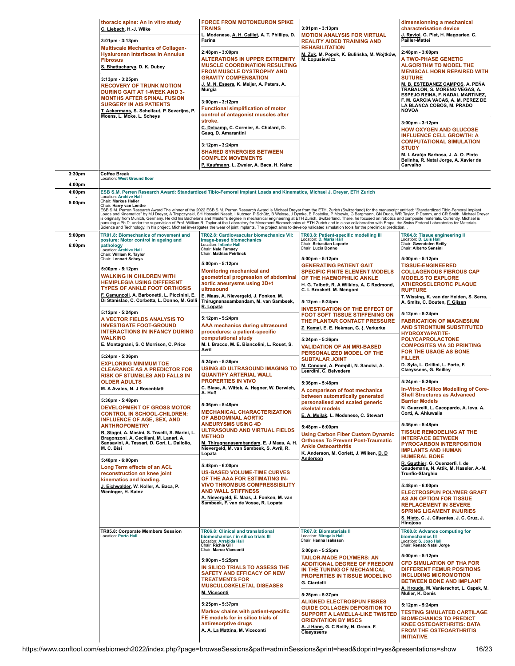|                            | thoracic spine: An in vitro study<br>C. Liebsch, H.-J. Wilke<br>3:01pm - 3:13pm<br><b>Multiscale Mechanics of Collagen-</b><br><b>Hyaluronan Interfaces in Annulus</b><br><b>Fibrosus</b><br>S. Bhattacharya, D. K. Dubey<br>$3:13$ pm - $3:25$ pm<br><b>RECOVERY OF TRUNK MOTION</b><br><b>DURING GAIT AT 1-WEEK AND 3-</b><br><b>MONTHS AFTER SPINAL FUSION</b><br><b>SURGERY IN AIS PATIENTS</b><br>T. Ackermans, S. Schelfaut, P. Severijns, P.<br>Moens, L. Moke, L. Scheys                     | <b>FORCE FROM MOTONEURON SPIKE</b><br><b>TRAINS</b><br>L. Modenese, A. H. Caillet, A. T. Phillips, D.<br>Farina<br>2:48pm - 3:00pm<br><b>ALTERATIONS IN UPPER EXTREMITY</b><br><b>MUSCLE COORDINATION RESULTING</b><br><b>FROM MUSCLE DYSTROPHY AND</b><br><b>GRAVITY COMPENSATION</b><br><u>J. M. N. Essers</u> , K. Meijer, A. Peters, A.<br>Murgia<br>3:00pm - 3:12pm<br><b>Functional simplification of motor</b><br>control of antagonist muscles after<br>stroke.<br>C. Delcamp, C. Cormier, A. Chalard, D.<br>Gasq, D. Amarantini<br>3:12pm - 3:24pm<br><b>SHARED SYNERGIES BETWEEN</b><br><b>COMPLEX MOVEMENTS</b><br>P. Kaufmann, L. Zweier, A. Baca, H. Kainz                                            | $3:01$ pm - $3:13$ pm<br><b>MOTION ANALYSIS FOR VIRTUAL</b><br><b>REALITY AIDED TRAINING AND</b><br><b>REHABILITATION</b><br>M. Żuk, M. Popek, K. Bulińska, M. Wojtków,<br>M. Łopusiewicz                                                                                                                                                                                                                                                                                                                                                                                                                                                                                                                                                                                                                                                                                                                                                                      | dimensionning a mechanical<br>characterisation device<br>J. Raviol, G. Plet, H. Magoariec, C.<br>Pailler-Mattei<br>2:48pm - 3:00pm<br>A TWO-PHASE GENETIC<br><b>ALGORITHM TO MODEL THE</b><br><b>MENISCAL HORN REPAIRED WITH</b><br><b>SUTURE</b><br><u>M. B. ESTEBANEZ CAMPOS,</u> A. PEÑA<br>TRABALON, S. MORENO VEGAS, A.<br>ESPEJO REINA, F. NADAL MARTINEZ,<br>F. M. GARCIA VACAS, A. M. PEREZ DE<br>LA BLANCA COBOS, M. PRADO<br><b>NOVOA</b><br>3:00pm - 3:12pm<br><b>HOW OXYGEN AND GLUCOSE</b><br><b>INFLUENCE CELL GROWTH: A</b><br><b>COMPUTATIONAL SIMULATION</b><br><b>STUDY</b><br>M. I. Araújo Barbosa, J. A. O. Pinto<br>Belinha, R. Natal Jorge, A. Xavier de<br>Carvalho |
|----------------------------|------------------------------------------------------------------------------------------------------------------------------------------------------------------------------------------------------------------------------------------------------------------------------------------------------------------------------------------------------------------------------------------------------------------------------------------------------------------------------------------------------|--------------------------------------------------------------------------------------------------------------------------------------------------------------------------------------------------------------------------------------------------------------------------------------------------------------------------------------------------------------------------------------------------------------------------------------------------------------------------------------------------------------------------------------------------------------------------------------------------------------------------------------------------------------------------------------------------------------------|----------------------------------------------------------------------------------------------------------------------------------------------------------------------------------------------------------------------------------------------------------------------------------------------------------------------------------------------------------------------------------------------------------------------------------------------------------------------------------------------------------------------------------------------------------------------------------------------------------------------------------------------------------------------------------------------------------------------------------------------------------------------------------------------------------------------------------------------------------------------------------------------------------------------------------------------------------------|--------------------------------------------------------------------------------------------------------------------------------------------------------------------------------------------------------------------------------------------------------------------------------------------------------------------------------------------------------------------------------------------------------------------------------------------------------------------------------------------------------------------------------------------------------------------------------------------------------------------------------------------------------------------------------------------|
| 3:30pm                     | <b>Coffee Break</b>                                                                                                                                                                                                                                                                                                                                                                                                                                                                                  |                                                                                                                                                                                                                                                                                                                                                                                                                                                                                                                                                                                                                                                                                                                    |                                                                                                                                                                                                                                                                                                                                                                                                                                                                                                                                                                                                                                                                                                                                                                                                                                                                                                                                                                |                                                                                                                                                                                                                                                                                                                                                                                                                                                                                                                                                                                                                                                                                            |
| 4:00pm                     | <b>Location: West Ground floor</b>                                                                                                                                                                                                                                                                                                                                                                                                                                                                   |                                                                                                                                                                                                                                                                                                                                                                                                                                                                                                                                                                                                                                                                                                                    |                                                                                                                                                                                                                                                                                                                                                                                                                                                                                                                                                                                                                                                                                                                                                                                                                                                                                                                                                                |                                                                                                                                                                                                                                                                                                                                                                                                                                                                                                                                                                                                                                                                                            |
| 4:00pm<br>5:00pm<br>5:00pm | <b>Location: Archive Hall</b><br>Chair: Markus Heller<br>Chair: Harry van Lenthe<br>TR01.8: Biomechanics of movement and<br>posture: Motor control in ageing and                                                                                                                                                                                                                                                                                                                                     | ESB S.M. Perren Research Award: Standardized Tibio-Femoral Implant Loads and Kinematics, Michael J. Dreyer, ETH Zurich<br>TR02.8: Cardiovascular biomechanics VII:<br>Image-based biomechanics<br>Location: Infante Hall                                                                                                                                                                                                                                                                                                                                                                                                                                                                                           | ESB S.M. Perren Research Award The winner of the 2022 ESB S.M. Perren Research Award is Michael Dreyer from the ETH, Zurich (Switzerland) for the manuscript entitled: "Standardized Tibio-Femoral Implant<br>Loads and Kinematic<br>is originally from Munich, Germany. He did his Bachelor's and Master's degree in mechanical engineering at ETH Zurich, Switzerland. There, he focused on robotics and composite materials. Currently, Michael is<br>pursuing a Ph.D. under the supervision of Prof. William R. Taylor at the Laboratory for Movement Biomechanics at ETH Zurich and in close collaboration with Empa, the Swiss Federal Laboratories for Materials<br><br>Science and Technology. In his project, Michael investigates the wear of joint implants. The project aims to develop validated simulation tools for the preclinical prediction<br>TR03.8: Patient-specific modelling III<br>Location: D. Maria Hall<br>Chair: Sebastian Laporte | TR04.8: Tissue engineering II<br>Location: D. Luis Hall<br>Chair: Gwendolen Reilly                                                                                                                                                                                                                                                                                                                                                                                                                                                                                                                                                                                                         |
| 6:00pm                     | pathology<br>Location: Archive Hall<br>Chair: William R. Taylor<br>Chair: Lennart Scheys<br>5:00pm - 5:12pm<br><b>WALKING IN CHILDREN WITH</b><br><b>HEMIPLEGIA USING DIFFERENT</b><br><b>TYPES OF ANKLE FOOT ORTHOSIS</b><br>F. Camuncoli, A. Barbonetti, L. Piccinini, E.<br>Di Stanislao, C. Corbetta, L. Donno, M. Galli                                                                                                                                                                         | Chair: Nele Famaey<br>Chair: Mathias Peirlinck<br>5:00pm - 5:12pm<br><b>Monitoring mechanical and</b><br>geometrical progression of abdominal<br>aortic aneurysms using 3D+t<br>ultrasound<br>E. Maas, A. Nievergeld, J. Fonken, M.<br>Thirugnanasambandam, M. van Sambeek,<br>R. Lopata                                                                                                                                                                                                                                                                                                                                                                                                                           | Chair: Lucia Donno<br>5:00pm - 5:12pm<br>GENERATING PATIENT GAIT<br><b>SPECIFIC FINITE ELEMENT MODELS</b><br>OF THE HAEMOPHILIC ANKLE<br>H. G. Talbott, R. A Wilkins, A. C Redmond,<br>C. L Brockett, M. Mengoni<br>5:12pm - 5:24pm                                                                                                                                                                                                                                                                                                                                                                                                                                                                                                                                                                                                                                                                                                                            | Chair: Alberto Sensini<br>5:00pm - 5:12pm<br><b>TISSUE-ENGINEERED</b><br><b>COLLAGENOUS FIBROUS CAP</b><br><b>MODELS TO EXPLORE</b><br><b>ATHEROSCLEROTIC PLAQUE</b><br><b>RUPTURE</b><br>T. Wissing, K. van der Heiden, S. Serra,<br>A. Smits, C. Bouten, F. Gijsen                                                                                                                                                                                                                                                                                                                                                                                                                       |
|                            | 5:12pm - 5:24pm<br>A VECTOR FIELDS ANALYSIS TO<br><b>INVESTIGATE FOOT-GROUND</b><br><b>INTERACTIONS IN INFANCY DURING</b><br><b>WALKING</b><br>E. Montagnani, S. C Morrison, C. Price<br>5:24pm - 5:36pm<br><b>EXPLORING MINIMUM TOE</b><br><b>CLEARANCE AS A PREDICTOR FOR</b>                                                                                                                                                                                                                      | 5:12pm - 5:24pm<br>AAA mechanics during ultrasound<br>procedures: a patient-specific<br>computational study<br>M. I. Bracco, M. E. Biancolini, L. Rouet, S.<br>Avril<br>5:24pm - 5:36pm<br>USING 4D ULTRASOUND IMAGING TO<br><b>QUANTIFY ARTERIAL WALL</b><br><b>PROPERTIES IN VIVO</b><br>C. Blase, A. Wittek, A. Hegner, W. Derwich,<br>A. Huß<br>5:36pm - 5:48pm<br><b>MECHANICAL CHARACTERIZATION</b><br>OF ABDOMINAL AORTIC<br><b>ANEURYSMS USING 4D</b><br><b>ULTRASOUND AND VIRTUAL FIELDS</b><br><b>METHOD</b><br>M. Thirugnanasambandam, E. J Maas, A. H.<br>Nievergeld, M. van Sambeek, S. Avril, R.<br>Lopata<br>5:48pm - 6:00pm<br><b>US-BASED VOLUME-TIME CURVES</b><br>OF THE AAA FOR ESTIMATING IN- | <b>INVESTIGATION OF THE EFFECT OF</b><br><b>FOOT SOFT TISSUE STIFFENING ON</b><br>THE PLANTAR CONTACT PRESSURE<br>Z. Kamal, E. E. Hekman, G. {. Verkerke<br>5:24pm - 5:36pm<br>VALIDATION OF AN MRI-BASED<br>PERSONALIZED MODEL OF THE<br><b>SUBTALAR JOINT</b><br>M. Conconi, A. Pompili, N. Sancisi, A.<br>Leardini, C. Belvedere<br>5:36pm - 5:48pm<br>A comparison of foot mechanics<br>petween automatically generated<br>personalised and scaled generic<br>skeletal models<br>E. A. Meilak, L. Modenese, C. Stewart<br>5:48pm - 6:00pm<br><b>Using Carbon Fiber Custom Dynamic</b><br><b>Orthoses To Prevent Post-Traumatic</b><br><b>Ankle Osteoarthritis</b><br>K. Anderson, M. Corlett, J. Wilken, D. D.<br><b>Anderson</b>                                                                                                                                                                                                                          | 5:12pm - 5:24pm<br><b>FABRICATION OF MAGNESIUM</b><br><b>AND STRONTIUM SUBSTITUTED</b><br><b>HYDROXYAPATITE-</b><br><b>POLYCAPROLACTONE</b><br><b>COMPOSITES VIA 3D PRINTING</b><br>FOR THE USAGE AS BONE<br><b>FILLER</b><br>D. Syla, L. Grillini, L. Forte, F.<br>Claeyssens, G. Reilley                                                                                                                                                                                                                                                                                                                                                                                                 |
|                            | <b>RISK OF STUMBLES AND FALLS IN</b><br><b>OLDER ADULTS</b><br>M. A Avalos, N. J Rosenblatt<br>5:36pm - 5:48pm<br><b>DEVELOPMENT OF GROSS MOTOR</b><br><b>CONTROL IN SCHOOL-CHILDREN:</b><br><b>INFLUENCE OF AGE, SEX, AND</b><br><b>ANTHROPOMETRY</b><br>R. Stagni, A. Masini, S. Toselli, S. Marini, L.<br>Bragonzoni, A. Ceciliani, M. Lanari, A.<br>Sansavini, A. Tessari, D. Gori, L. Dallolio,<br>M. C. Bisi<br>5:48pm - 6:00pm<br>Long Term effects of an ACL<br>reconstruction on knee joint |                                                                                                                                                                                                                                                                                                                                                                                                                                                                                                                                                                                                                                                                                                                    |                                                                                                                                                                                                                                                                                                                                                                                                                                                                                                                                                                                                                                                                                                                                                                                                                                                                                                                                                                | 5:24pm - 5:36pm<br>In-Vitro/In-Silico Modelling of Core-<br><b>Shell Structures as Advanced</b><br><b>Barrier Models</b><br>N. Guazzelli, L. Cacopardo, A. leva, A.<br>Corti, A. Ahluwalia                                                                                                                                                                                                                                                                                                                                                                                                                                                                                                 |
|                            |                                                                                                                                                                                                                                                                                                                                                                                                                                                                                                      |                                                                                                                                                                                                                                                                                                                                                                                                                                                                                                                                                                                                                                                                                                                    |                                                                                                                                                                                                                                                                                                                                                                                                                                                                                                                                                                                                                                                                                                                                                                                                                                                                                                                                                                | 5:36pm - 5:48pm<br><b>TISSUE REMODELING AT THE</b><br><b>INTERFACE BETWEEN</b><br>PYROCARBON INTERPOSITION<br><b>IMPLANTS AND HUMAN</b><br><b>HUMERAL BONE</b><br>R. Gauthier, G. Ouenzerfi, I. de<br>Gaudemaris, N. Attik, M. Hassler, A.-M.<br>Trunfio-Sfarghiu                                                                                                                                                                                                                                                                                                                                                                                                                          |
|                            | kinematics and loading.<br>J. Eichwalder, W. Koller, A. Baca, P.<br>Weninger, H. Kainz                                                                                                                                                                                                                                                                                                                                                                                                               | <b>VIVO THROMBUS COMPRESSIBILITY</b><br><b>AND WALL STIFFNESS</b><br>A. Nievergeld, E. Maas, J. Fonken, M. van<br>Sambeek, F. van de Vosse, R. Lopata                                                                                                                                                                                                                                                                                                                                                                                                                                                                                                                                                              |                                                                                                                                                                                                                                                                                                                                                                                                                                                                                                                                                                                                                                                                                                                                                                                                                                                                                                                                                                | 5:48pm - 6:00pm<br><b>ELECTROSPUN POLYMER GRAFT</b><br>AS AN OPTION FOR TISSUE<br><b>REPLACEMENT IN SEVERE</b><br><b>SPRING LIGAMENT INJURIES</b><br>S. Nieto, C. J. Cifuentes, J. C. Cruz, J.<br>Hinojosa                                                                                                                                                                                                                                                                                                                                                                                                                                                                                 |
|                            | TR05.8: Corporate Members Session<br>Location: Porto Hall                                                                                                                                                                                                                                                                                                                                                                                                                                            | TR06.8: Clinical and translational<br>biomechanics / in silico trials III<br>Location: Arrabida Hall<br>Chair: Richie Gill<br>Chair: Marco Viceconti<br>5:00pm - 5:25pm<br>IN SILICO TRIALS TO ASSESS THE<br>SAFETY AND EFFICACY OF NEW<br><b>TREATMENTS FOR</b><br><b>MUSCULOSKELETAL DISEASES</b><br>M. Viceconti<br>5:25pm - 5:37pm<br>Markov chains with patient-specific<br>FE models for in silico trials of<br>antiresorptive drugs<br>A. A. La Mattina, M. Viceconti                                                                                                                                                                                                                                       | TR07.8: Biomaterials II<br>Location: Miragaia Hall<br>Chair: Hanna Isaksson<br>5:00pm - 5:25pm<br><b>TAILOR-MADE POLYMERS: AN</b><br><b>ADDITIONAL DEGREE OF FREEDOM</b><br>IN THE TUNING OF MECHANICAL<br>PROPERTIES IN TISSUE MODELING<br>G. Ciardelli<br>5:25pm - 5:37pm<br><b>ALIGNED ELECTROSPUN FIBRES</b><br><b>GUIDE COLLAGEN DEPOSITION TO</b><br><b>SUPPORT A LAMELLA-LIKE TWISTED</b><br><b>ORIENTATION BY MSCS</b><br>A. J Hann, G. C Reilly, N. Green, F.<br>Claeyssens                                                                                                                                                                                                                                                                                                                                                                                                                                                                           | TR08.8: Advance computing for<br>biomechanics III<br>Location: S. Joao Hall<br>Chair: Renato Natal Jorge<br>5:00pm - 5:12pm<br><b>CFD SIMULATION OF THA FOR</b><br><b>DIFFERENT FEMUR POSITIONS</b><br><b>INCLUDING MICROMOTION</b><br><b>BETWEEN BONE AND IMPLANT</b><br>A. Hrouda, M. Vanierschot, L. Capek, M.<br>Mulier, K. Denis<br>5:12pm - 5:24pm<br><b>TESTING SIMULATED CARTILAGE</b><br><b>BIOMECHANICS TO PREDICT</b><br><b>KNEE OSTEOARTHRITIS: DATA</b><br><b>FROM THE OSTEOARTHRITIS</b><br><b>INITIATIVE</b>                                                                                                                                                                |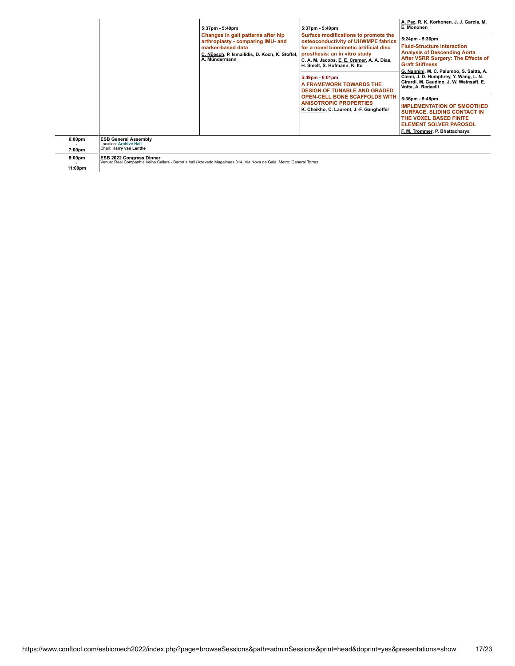|                              |                                                                                  | 5:37pm - 5:49pm<br>Changes in gait patterns after hip<br>arthroplasty - comparing IMU- and<br>marker-based data<br>C. Nüesch, P. Ismailidis, D. Koch, K. Stoffel,<br>A. Mündermann | 5:37pm - 5:49pm<br>Surface modifications to promote the<br>osteoconductivity of UHWMPE fabrics<br>for a novel biomimetic artificial disc<br>prosthesis: an in vitro study<br>C. A. M. Jacobs, E. E. Cramer, A. A. Dias,<br>H. Smelt, S. Hofmann, K. Ito<br>5:49pm - 6:01pm<br>A FRAMEWORK TOWARDS THE<br><b>DESIGN OF TUNABLE AND GRADED</b><br><b>OPEN-CELL BONE SCAFFOLDS WITH</b><br>ANISOTROPIC PROPERTIES<br>K. Cheikho, C. Laurent, J.-F. Ganghoffer | A. Paz, R. K. Korhonen, J. J. García, M.<br>E. Mononen<br>5:24pm - 5:36pm<br><b>Fluid-Structure Interaction</b><br><b>Analysis of Descending Aorta</b><br>After VSRR Surgery: The Effects of<br><b>Graft Stiffness</b><br>G. Nannini, M. C. Palumbo, S. Saitta, A.<br>Caimi, J. D. Humphrey, Y. Wang, L. N.<br>Girardi, M. Gaudino, J. W. Weinsaft, E.<br>Votta, A. Redaelli<br>5:36pm - 5:48pm<br><b>IMPLEMENTATION OF SMOOTHED</b><br><b>SURFACE, SLIDING CONTACT IN</b><br>THE VOXEL BASED FINITE<br><b>ELEMENT SOLVER PAROSOL</b><br>F. M. Trommer, P. Bhattacharya |
|------------------------------|----------------------------------------------------------------------------------|------------------------------------------------------------------------------------------------------------------------------------------------------------------------------------|------------------------------------------------------------------------------------------------------------------------------------------------------------------------------------------------------------------------------------------------------------------------------------------------------------------------------------------------------------------------------------------------------------------------------------------------------------|-------------------------------------------------------------------------------------------------------------------------------------------------------------------------------------------------------------------------------------------------------------------------------------------------------------------------------------------------------------------------------------------------------------------------------------------------------------------------------------------------------------------------------------------------------------------------|
| 6:00 <sub>pm</sub><br>7:00pm | <b>ESB General Assembly</b><br>Location: Archive Hall<br>Chair: Harry van Lenthe |                                                                                                                                                                                    |                                                                                                                                                                                                                                                                                                                                                                                                                                                            |                                                                                                                                                                                                                                                                                                                                                                                                                                                                                                                                                                         |
| 8:00pm                       | <b>ESB 2022 Congress Dinner</b>                                                  | Venue: Real Companhia Velha Cellars - Baron's hall (Azevedo Magalhaes 314, Via Nova de Gaia. Metro: General Torres                                                                 |                                                                                                                                                                                                                                                                                                                                                                                                                                                            |                                                                                                                                                                                                                                                                                                                                                                                                                                                                                                                                                                         |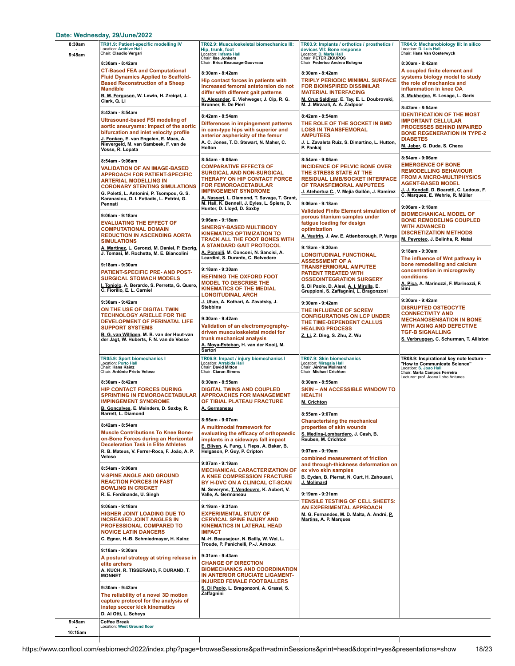### **Date: Wednesday, [29/June/2022](https://www.conftool.com/esbiomech2022/index.php?page=browseSessions&path=adminSessions&print=head&doprint=yes&form_date=2022-06-29&presentations=show)**

| 8:30am<br>9:45am  | TR01.9: Patient-specific modelling IV<br>Location: Archive Hall<br>Chair: Claudio Vergari<br>8:30am - 8:42am<br><b>CT-Based FEA and Computational</b><br><b>Fluid Dynamics Applied to Scaffold-</b><br><b>Based Reconstruction of a Sheep</b>            | TR02.9: Musculoskeletal biomechanics III:<br>Hip, trunk, foot<br>Location: Infante Hall<br>Chair: Ilse Jonkers<br>Chair: Erica Beaucage-Gauvreau<br>8:30am - 8:42am<br>Hip contact forces in patients with                                                                         | TR03.9: Implants / orthotics / prosthetics /<br>devices VII: Bone response<br>Location: D. Maria Hall<br>Chair: PETER ZIOUPOS<br>Chair: Federico Andrea Bologna<br>8:30am - 8:42am<br><b>TRIPLY PERIODIC MINIMAL SURFACE</b> | TR04.9: Mechanobiology III: In silico<br>Location: D. Luis Hall<br>Chair: Hans Van Oosterwyck<br>8:30am - 8:42am<br>A coupled finite element and<br>systems biology model to study<br>the role of mechanics and                                 |
|-------------------|----------------------------------------------------------------------------------------------------------------------------------------------------------------------------------------------------------------------------------------------------------|------------------------------------------------------------------------------------------------------------------------------------------------------------------------------------------------------------------------------------------------------------------------------------|------------------------------------------------------------------------------------------------------------------------------------------------------------------------------------------------------------------------------|-------------------------------------------------------------------------------------------------------------------------------------------------------------------------------------------------------------------------------------------------|
|                   | <b>Mandible</b><br>B. M. Ferguson, W. Lewin, H. Zreiqat, J.<br>Clark, Q. Li<br>8:42am - 8:54am                                                                                                                                                           | increased femoral antetorsion do not<br>differ with different gait patterns<br>N. Alexander, E. Viehweger, J. Cip, R. G.<br>Brunner, E. De Pieri<br>8:42am - 8:54am                                                                                                                | <b>FOR BIOINSPIRED DISSIMILAR</b><br><b>MATERIAL INTERFACING</b><br>M. Cruz Saldivar, E. Tay, E. L. Doubrovski,<br>M. J. Mirzaali, A. A. Zadpoor<br>8:42am - 8:54am                                                          | inflammation in knee OA<br>S. Mukherjee, R. Lesage, L. Geris<br>8:42am - 8:54am<br><b>IDENTIFICATION OF THE MOST</b>                                                                                                                            |
|                   | <b>Ultrasound-based FSI modeling of</b><br>aortic aneurysms: impact of the aortic<br>bifurcation and inlet velocity profile<br>J. Fonken, E. van Engelen, E. Maas, A.<br>Nievergeld, M. van Sambeek, F. van de<br>Vosse, R. Lopata                       | Differences in impingement patterns<br>in cam-type hips with superior and<br>anterior asphericity of the femur<br>A. C. Jones, T. D. Stewart, N. Maher, C.<br>Holton                                                                                                               | THE ROLE OF THE SOCKET IN BMD<br><b>LOSS IN TRANSFEMORAL</b><br><b>AMPUTEES</b><br>J. L. Zavaleta Ruiz, S. Dimartino, L. Hutton,<br>P. Pankaj                                                                                | <b>IMPORTANT CELLULAR</b><br><b>PROCESSES BEHIND IMPAIRED</b><br><b>BONE REGENERATION IN TYPE-2</b><br><b>DIABETES</b><br>M. Jaber, G. Duda, S. Checa                                                                                           |
|                   | 8:54am - 9:06am<br>VALIDATION OF AN IMAGE-BASED<br>APPROACH FOR PATIENT-SPECIFIC<br>ARTERIAL MODELLING IN<br><b>CORONARY STENTING SIMULATIONS</b><br>G. Poletti, L. Antonini, P. Tsompou, G. S.<br>Karanasiou, D. I. Fotiadis, L. Petrini, G.<br>Pennati | 8:54am - 9:06am<br><b>COMPARATIVE EFFECTS OF</b><br><b>SURGICAL AND NON-SURGICAL</b><br>THERAPY ON HIP CONTACT FORCE<br><b>FOR FEMOROACETABULAR</b><br><b>IMPINGEMENT SYNDROME</b><br>A. Nasseri, L. Diamond, T. Savage, T. Grant,<br>M. Hall, K. Bennell, J. Eyles, L. Spiers, D. | 8:54am - 9:06am<br><b>INCIDENCE OF PELVIC BONE OVER</b><br>THE STRESS STATE AT THE<br><b>RESIDUAL LIMB/SOCKET INTERFACE</b><br>OF TRANSFEMORAL AMPUTEES<br>J. Atehortua C., V. Mejía Gallón, J. Ramírez<br>9:06am - 9:18am   | 8:54am - 9:06am<br><b>EMERGENCE OF BONE</b><br><b>REMODELLING BEHAVIOUR</b><br><b>FROM A MICRO-MULTIPHYSICS</b><br><b>AGENT-BASED MODEL</b><br>J. J. Kendall, D. Boaretti, C. Ledoux, F.<br>C. Marques, E. Wehrle, R. Müller<br>9:06am - 9:18am |
|                   | 9:06am - 9:18am<br><b>EVALUATING THE EFFECT OF</b><br><b>COMPUTATIONAL DOMAIN</b><br><b>REDUCTION IN ASCENDING AORTA</b><br><b>SIMULATIONS</b>                                                                                                           | Hunter, D. Lloyd, D. Saxby<br>9:06am - 9:18am<br><b>SINERGY-BASED MULTIBODY</b><br><b>KINEMATICS OPTIMIZATION TO</b><br>TRACK ALL THE FOOT BONES WITH<br>A STANDARD GAIT PROTOCOL                                                                                                  | <b>Validated Finite Element simulation of</b><br>porous titanium samples under<br>fatigue loading for design<br>optimization<br>A. Vautrin, J. Aw, E. Attenborough, P. Varga                                                 | <b>BIOMECHANICAL MODEL OF</b><br><b>BONE REMODELING COUPLED</b><br><b>WITH ADVANCED</b><br><b>DISCRETIZATION METHODS</b><br>M. Peyroteo, J. Belinha, R. Natal                                                                                   |
|                   | A. Martinez, L. Geronzi, M. Daniel, P. Escrig,<br>J. Tomasi, M. Rochette, M. E. Biancolini<br>9:18am - 9:30am<br>PATIENT-SPECIFIC PRE- AND POST-                                                                                                         | A. Pompili, M. Conconi, N. Sancisi, A.<br>Leardini, S. Durante, C. Belvedere<br>9:18am - 9:30am                                                                                                                                                                                    | 9:18am - 9:30am<br><b>LONGITUDINAL FUNCTIONAL</b><br><b>ASSESSMENT OF A</b><br><b>TRANSFERMORAL AMPUTEE</b><br>PATIENT TREATED WITH                                                                                          | 9:18am - 9:30am<br>The influence of Wnt pathway in<br>bone remodelling and calcium<br>concentration in microgravity                                                                                                                             |
|                   | <b>SURGICAL STOMACH MODELS</b><br>I. Toniolo, A. Berardo, S. Perretta, G. Quero,<br>C. Fiorillo, E. L. Carniel                                                                                                                                           | <b>REFINING THE OXFORD FOOT</b><br><b>MODEL TO DESCRIBE THE</b><br><b>KINEMATICS OF THE MEDIAL</b><br><b>LONGITUDINAL ARCH</b><br>J. Uhan, A. Kothari, A. Zavatsky, J.                                                                                                             | <b>OSSEOINTEGRATION SURGERY</b><br>S. Di Paolo, D. Alesi, A. I. Mirulla, E.<br>Gruppioni, S. Zaffagnini, L. Bragonzoni                                                                                                       | conditions<br>A. Pica, A. Marinozzi, F. Marinozzi, F.<br><b>Bini</b><br>9:30am - 9:42am                                                                                                                                                         |
|                   | 9:30am - 9:42am<br>ON THE USE OF DIGITAL TWIN<br><b>TECHNOLOGY ARIELLE FOR THE</b><br>DEVELOPMENT OF PERINATAL LIFE<br><b>SUPPORT SYSTEMS</b><br>B. G. van Willigen, M. B. van der Hout-van<br>der Jagt, W. Huberts, F. N. van de Vosse                  | <b>Stebbins</b><br>9:30am - 9:42am<br>Validation of an electromyography-<br>driven musculoskeletal model for<br>trunk mechanical analysis<br>A. Moya-Esteban, H. van der Kooij, M.<br>Sartori                                                                                      | 9:30am - 9:42am<br>THE INFLUENCE OF SCREW<br><b>CONFIGURATIONS ON LCP UNDER</b><br>THE TIME-DEPENDENT CALLUS<br><b>HEALING PROCESS</b><br>Z. Li, Z. Ding, S. Zhu, Z. Wu                                                      | <b>DISRUPTED OSTEOCYTE</b><br><b>CONNECTIVITY AND</b><br><b>MECHANOSENSATION IN BONE</b><br><b>WITH AGING AND DEFECTIVE</b><br><b>TGF-B SIGNALLING</b><br>S. Verbruggen, C. Schurman, T. Alliston                                               |
|                   | TR05.9: Sport biomechanics I<br><b>Location: Porto Hall</b><br>Chair: Hans Kainz<br>Chair: António Prieto Veloso                                                                                                                                         | TR06.9: Impact / injury biomechanics I<br>Location: Arrabida Hall<br>Chair: David Mitton<br>Chair: Ciaran Simms                                                                                                                                                                    | TR07.9: Skin biomechanics<br>Location: Miragaia Hall<br>Chair: Jérôme Molimard<br>Chair: Michael Crichton                                                                                                                    | TR08.9: Inspirational key note lecture -<br>"How to Communicate Science"<br>Location: S. Joao Hall<br>Chair: Marta Campos Ferreira<br>Lecturer: prof. Joana Lobo Antunes                                                                        |
|                   | 8:30am - 8:42am<br><b>HIP CONTACT FORCES DURING</b><br><b>SPRINTING IN FEMOROACETABULAR</b><br><b>IMPINGEMENT SYNDROME</b><br>B. Goncalves, E. Meinders, D. Saxby, R.<br>Barrett, L. Diamond                                                             | 8:30am - 8:55am<br><b>DIGITAL TWINS AND COUPLED</b><br><b>APPROACHES FOR MANAGEMENT</b><br>OF TIBIAL PLATEAU FRACTURE<br>A. Germaneau                                                                                                                                              | 8:30am - 8:55am<br><b>SKIN - AN ACCESSIBLE WINDOW TO</b><br><b>HEALTH</b><br>M. Crichton<br>8:55am - 9:07am                                                                                                                  |                                                                                                                                                                                                                                                 |
|                   | 8:42am - 8:54am<br><b>Muscle Contributions To Knee Bone-</b><br>on-Bone Forces during an Horizontal<br><b>Deceleration Task in Elite Athletes</b>                                                                                                        | 8:55am - 9:07am<br>A multimodal framework for<br>evaluating the efficacy of orthopaedic<br>implants in a sideways fall impact<br>E. Bliven, A. Fung, I. Fleps, A. Baker, B.                                                                                                        | <b>Characterising the mechanical</b><br>properties of skin wounds<br>S. Medina-Lombardero, J. Cash, B.<br>Reuben, M. Crichton                                                                                                |                                                                                                                                                                                                                                                 |
|                   | R. B. Mateus, V. Ferrer-Roca, F. João, A. P.<br>Veloso<br>8:54am - 9:06am<br><b>V-SPINE ANGLE AND GROUND</b><br><b>REACTION FORCES IN FAST</b><br><b>BOWLING IN CRICKET</b>                                                                              | Helgason, P. Guy, P. Cripton<br>9:07am - 9:19am<br><b>MECHANICAL CARACTERIZATION OF</b><br>A KNEE COMPRESSION FRACTURE<br>BY H-DVC ON A CLINICAL CT-SCAN                                                                                                                           | 9:07am - 9:19am<br>combined measurement of friction<br>and through-thickness deformation on<br>ex vivo skin samples<br>B. Eydan, B. Pierrat, N. Curt, H. Zahouani,<br>J. Molimard                                            |                                                                                                                                                                                                                                                 |
|                   | R. E. Ferdinands, U. Singh<br>9:06am - 9:18am                                                                                                                                                                                                            | M. Severyns, T. Vendeuvre, K. Aubert, V.<br>Valle, A. Germaneau<br>9:19am - 9:31am                                                                                                                                                                                                 | 9:19am - 9:31am<br>TENSILE TESTING OF CELL SHEETS:<br><b>AN EXPERIMENTAL APPROACH</b>                                                                                                                                        |                                                                                                                                                                                                                                                 |
|                   | <b>HIGHER JOINT LOADING DUE TO</b><br><b>INCREASED JOINT ANGLES IN</b><br><b>PROFESSIONAL COMPARED TO</b><br><b>NOVICE LATIN DANCERS</b><br>C. Egner, H.-B. Schmiedmayer, H. Kainz                                                                       | <b>EXPERIMENTAL STUDY OF</b><br><b>CERVICAL SPINE INJURY AND</b><br><b>KINEMATICS IN LATERAL HEAD</b><br><b>IMPACT</b><br>M.-H. Beausejour, N. Bailly, W. Wei, L.<br>Troude, P. Panichelli, P.-J. Arnoux                                                                           | M. G. Fernandes, M. D. Malta, A. André, P.<br>Martins, A. P. Marques                                                                                                                                                         |                                                                                                                                                                                                                                                 |
|                   | 9:18am - 9:30am<br>A postural strategy at string release in<br>elite archers<br><u>A. KUCH,</u> R. TISSERAND, F. DURAND, T.<br><b>MONNET</b>                                                                                                             | 9:31am - 9:43am<br><b>CHANGE OF DIRECTION</b><br><b>BIOMECHANICS AND COORDINATION</b><br>IN ANTERIOR CRUCIATE LIGAMENT-<br><b>INJURED FEMALE FOOTBALLERS</b>                                                                                                                       |                                                                                                                                                                                                                              |                                                                                                                                                                                                                                                 |
|                   | 9:30am - 9:42am<br>The reliability of a novel 3D motion<br>capture protocol for the analysis of<br>instep soccer kick kinematics<br>D. Al Otti, L. Scheys                                                                                                | S. Di Paolo, L. Bragonzoni, A. Grassi, S.<br>Zaffagnini                                                                                                                                                                                                                            |                                                                                                                                                                                                                              |                                                                                                                                                                                                                                                 |
| 9:45am<br>10:15am | <b>Coffee Break</b><br>Location: West Ground floor                                                                                                                                                                                                       |                                                                                                                                                                                                                                                                                    |                                                                                                                                                                                                                              |                                                                                                                                                                                                                                                 |
|                   |                                                                                                                                                                                                                                                          |                                                                                                                                                                                                                                                                                    |                                                                                                                                                                                                                              |                                                                                                                                                                                                                                                 |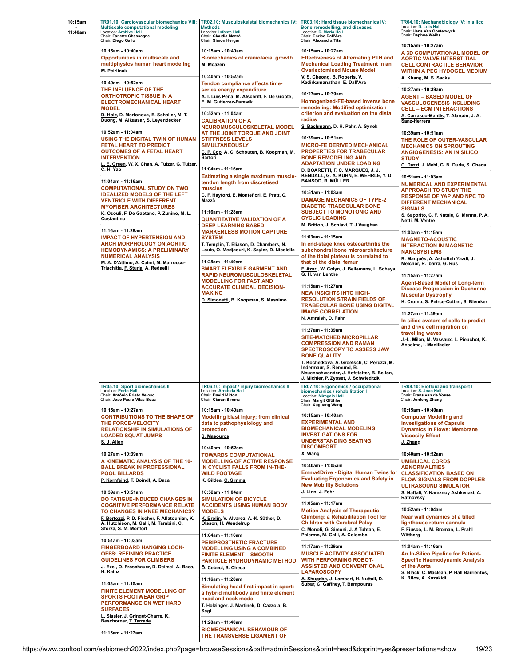| 10:15am<br>11:40am | <b>Multiscale computational modeling</b><br>Location: Archive Hall<br>Chair: Fanette Chassagne<br>Chair: Diego Gallo                                                                                   | TR01.10: Cardiovascular biomechanics VIII: TR02.10: Musculoskeletal biomechanics IV: TR03.10: Hard tissue biomechanics IV:<br><b>Methods</b><br>Location: Infante Hall<br>Chair: Claudia Mazzà<br>Chair: Simon Herger                                                                                                                                                                    | Bone remodelling, and diseases<br>Location: D. Maria Hall<br>Chair: Enrico Dall'Ara<br>Chair: Alexandra Tits                                                                                                                      | TR04.10: Mechanobiology IV: In silico<br>Location: D. Luis Hall<br>Chair: Hans Van Oosterwyck<br>Chair: Daphne Weihs                                                                    |
|--------------------|--------------------------------------------------------------------------------------------------------------------------------------------------------------------------------------------------------|------------------------------------------------------------------------------------------------------------------------------------------------------------------------------------------------------------------------------------------------------------------------------------------------------------------------------------------------------------------------------------------|-----------------------------------------------------------------------------------------------------------------------------------------------------------------------------------------------------------------------------------|-----------------------------------------------------------------------------------------------------------------------------------------------------------------------------------------|
|                    | 10:15am - 10:40am<br>Opportunities in multiscale and<br>multiphysics human heart modeling<br>M. Peirlinck<br>10:40am - 10:52am                                                                         | 10:15am - 10:40am<br><b>Biomechanics of craniofacial growth</b><br>M. Moazen<br>10:40am - 10:52am                                                                                                                                                                                                                                                                                        | 10:15am - 10:27am<br><b>Effectiveness of Alternating PTH and</b><br><b>Mechanical Loading Treatment in an</b><br><b>Ovariectomised Mouse Model</b><br>V. S. Cheong, B. Roberts, V.<br>Kadirkamanathan, E. Dall'Ara                | 10:15am - 10:27am<br>A 3D COMPUTATIONAL MODEL OF<br><b>AORTIC VALVE INTERSTITIAL</b><br><b>CELL CONTRACTILE BEHAVIOR</b><br><b>WITHIN A PEG HYDOGEL MEDIUM</b><br>A. Khang, M. S. Sacks |
|                    | THE INFLUENCE OF THE<br><b>ORTHOTROPIC TISSUE IN A</b><br><b>ELECTROMECHANICAL HEART</b><br><b>MODEL</b>                                                                                               | Tendon compliance affects time-<br>series energy expenditure<br>A. I. Luis Pena, M. Afschrift, F. De Groote,<br>E. M. Gutierrez-Farewik                                                                                                                                                                                                                                                  | 10:27am - 10:39am<br>Homogenized-FE-based inverse bone<br>remodeling: Modified optimization                                                                                                                                       | 10:27am - 10:39am<br><b>AGENT – BASED MODEL OF</b><br><b>VASCULOGENESIS INCLUDING</b><br><b>CELL – ECM INTERACTIONS</b>                                                                 |
|                    | D. Holz, D. Martonova, E. Schaller, M. T.<br>Duong, M. Alkassar, S. Leyendecker                                                                                                                        | 10:52am - 11:04am<br><b>CALIBRATION OF A</b><br>NEUROMUSCULOSKELETAL MODEL<br>AT THE JOINT TORQUE AND JOINT<br><b>STIFFNESS LEVELS</b><br><b>SIMULTANEOUSLY</b><br>C. P. Cop., A. C. Schouten, B. Koopman, M.<br>Sartori<br>11:04am - 11:16am<br>Estimating a single maximum muscle-<br>tendon length from discretised<br>muscles<br>C. F. Hayford, E. Montefiori, E. Pratt, C.<br>Mazzà | criterion and evaluation on the distal<br>radius<br>S. Bachmann, D. H. Pahr, A. Synek                                                                                                                                             | A. Carrasco-Mantis, T. Alarcón, J. A.<br>Sanz-Herrera                                                                                                                                   |
|                    | 10:52am - 11:04am<br>USING THE DIGITAL TWIN OF HUMAN<br>FETAL HEART TO PREDICT<br><b>OUTCOMES OF A FETAL HEART</b><br><b>INTERVENTION</b><br>. E. Green, W. X. Chan, A. Tulzer, G. Tulzer,<br>C.H. Yap |                                                                                                                                                                                                                                                                                                                                                                                          | 10:39am - 10:51am<br><b>MICRO-FE DERIVED MECHANICAL</b><br><b>PROPERTIES FOR TRABECULAR</b><br><b>BONE REMODELING AND</b><br><b>ADAPTATION UNDER LOADING</b>                                                                      | 10:39am - 10:51am<br>THE ROLE OF OUTER-VASCULAR<br><b>MECHANICS ON SPROUTING</b><br><b>ANGIOGENESIS: AN IN SILICO</b><br><b>STUDY</b><br>C. Dazzi, J. Mehl, G. N. Duda, S. Checa        |
|                    | 11:04am - 11:16am<br><b>COMPUTATIONAL STUDY ON TWO</b><br><b>IDEALIZED MODELS OF THE LEFT</b><br><b>VENTRICLE WITH DIFFERENT</b><br><b>MYOFIBER ARCHITECTURES</b>                                      |                                                                                                                                                                                                                                                                                                                                                                                          | D. BOARETTI, F. C. MARQUES, J. J.<br>KENDALL, G. A. KUHN, E. WEHRLE, Y. D.<br><b>BANSOD, R. MÜLLER</b><br>10:51am - 11:03am<br><b>DAMAGE MECHANICS OF TYPE-2</b><br><b>DIABETIC TRABECULAR BONE</b>                               | 10:51am - 11:03am<br><b>NUMERICAL AND EXPERIMENTAL</b><br><b>APPROACH TO STUDY THE</b><br><b>RESPONSE OF YAP AND NPC TO</b><br><b>DIFFERENT MECHANICAL</b><br><b>SIGNALS</b>            |
|                    | K. Osouli, F. De Gaetano, P. Zunino, M. L.<br>Costantino<br>11:16am - 11:28am                                                                                                                          | 11:16am - 11:28am<br><b>QUANTITATIVE VALIDATION OF A</b><br><b>DEEP LEARNING BASED</b>                                                                                                                                                                                                                                                                                                   | <b>SUBJECT TO MONOTONIC AND</b><br><b>CYCLIC LOADING</b><br>M. Britton, J. Schiavi, T. J Vaughan                                                                                                                                  | S. Saporito, C. F. Natale, C. Menna, P. A.<br>Netti, M. Ventre                                                                                                                          |
|                    | <b>IMPACT OF HYPERTENSION AND</b><br><b>ARCH MORPHOLOGY ON AORTIC</b><br><b>HEMODYNAMICS: A PRELIMINARY</b><br><b>NUMERICAL ANALYSIS</b><br>M. A. D'Attimo, A. Caimi, M. Marrocco-                     | <b>MARKERLESS MOTION CAPTURE</b><br><b>SYSTEM</b><br>T. Templin, T. Eliason, D. Chambers, N.<br>Louis, O. Medjaouri, K. Saylor, D. Nicolella<br>11:28am - 11:40am<br><b>SMART FLEXIBLE GARMENT AND</b><br><b>RAPID NEUROMUSCULOSKELETAL</b><br><b>MODELLING FOR FAST AND</b><br><b>ACCURATE CLINICAL DECISION-</b><br><b>MAKING</b><br>D. Simonetti, B. Koopman, S. Massimo              | 11:03am - 11:15am<br>In end-stage knee osteoarthritis the<br>subchondral bone microarchitecture<br>of the tibial plateau is correlated to<br>that of the distal femur                                                             | 11:03am - 11:15am<br><b>MAGNETO-ACOUSTIC</b><br><b>INTERACTION IN MAGNETIC</b><br><b>NANOSYSTEMS</b><br>R. Marqués, A. Ashofteh Yazdi, J.<br>Melchor, R. Ibarra, G. Rus                 |
|                    | Trischitta, F. Sturla, A. Redaelli                                                                                                                                                                     |                                                                                                                                                                                                                                                                                                                                                                                          | F. Azari, W. Colyn, J. Bellemans, L. Scheys,<br>G. H. van Lenthe<br>11:15am - 11:27am<br><b>NEW INSIGHTS INTO HIGH-</b><br><b>RESOLUTION STRAIN FIELDS OF</b><br><b>TRABECULAR BONE USING DIGITAL</b><br><b>IMAGE CORRELATION</b> | 11:15am - 11:27am<br><b>Agent-Based Model of Long-term</b><br><b>Disease Progression in Duchenne</b>                                                                                    |
|                    |                                                                                                                                                                                                        |                                                                                                                                                                                                                                                                                                                                                                                          |                                                                                                                                                                                                                                   | <b>Muscular Dystrophy</b><br>K. Crump, S. Peirce-Cottler, S. Blemker<br>11:27am - 11:39am                                                                                               |
|                    |                                                                                                                                                                                                        |                                                                                                                                                                                                                                                                                                                                                                                          | N. Amraish, D. Pahr<br>11:27am - 11:39am<br><b>SITE-MATCHED MICROPILLAR</b><br><b>COMPRESSION AND RAMAN</b><br><b>SPECTROSCOPY TO ASSESS JAW</b><br><b>BONE QUALITY</b><br>T. Kochetkova, A. Groetsch, C. Peruzzi, M.             | In silico avatars of cells to predict<br>and drive cell migration on<br>travelling waves<br>J.-L. Milan, M. Vassaux, L. Pieuchot, K.<br>Anselme, I. Manifacier                          |
|                    | TR05.10: Sport biomechanics II                                                                                                                                                                         | TR06.10: Impact / injury biomechanics II                                                                                                                                                                                                                                                                                                                                                 | Indermaur, S. Remund, B.<br>Neuenschwander, J. Hofstetter, B. Bellon,<br>J. Michler, P. Zysset, J. Schwiedrzik<br>TR07.10: Ergonomics / occupational                                                                              | TR08.10: Biofluid and transport I                                                                                                                                                       |
|                    | Location: Porto Hall<br>hair: António Prieto Veloso<br>Chair: Joao Paulo Vilas-Boas                                                                                                                    | Location: Arrabida Hall<br>hair: David Mitton<br>Chair: Ciaran Simms                                                                                                                                                                                                                                                                                                                     | biomechanics / rehabilitation I<br>Location: Miragaia Hall<br>Chair: Margit Gföhler<br>Chair: Xuguang Wang                                                                                                                        | Location: S. Joao Hall<br><b>Chair: Frans van de Voss</b><br>Chair: Junfeng Zhang                                                                                                       |
|                    | 10:15am - 10:27am<br><b>CONTRIBUTIONS TO THE SHAPE OF</b><br>THE FORCE-VELOCITY<br><b>RELATIONSHIP IN SIMULATIONS OF</b><br><b>LOADED SQUAT JUMPS</b><br>S. J. Allen                                   | 10:15am - 10:40am<br>Modelling blast injury; from clinical<br>data to pathophysiology and<br>protection<br>S. Masouros<br>10:40am - 10:52am                                                                                                                                                                                                                                              | 10:15am - 10:40am<br><b>EXPERIMENTAL AND</b><br><b>BIOMECHANICAL MODELING</b><br><b>INVESTIGATIONS FOR</b><br><b>UNDERSTANDING SEATING</b><br><b>DISCOMFORT</b>                                                                   | 10:15am - 10:40am<br><b>Computer Modelling and</b><br><b>Investigations of Capsule</b><br><b>Dynamics in Flows: Membrane</b><br><b>Viscosity Effect</b><br>J. Zhang                     |
|                    | 10:27am - 10:39am<br>A KINEMATIC ANALYSIS OF THE 10-<br><b>BALL BREAK IN PROFESSIONAL</b><br><b>POOL BILLARDS</b><br>P. Kornfeind, T. Boindl, A. Baca                                                  | <b>TOWARDS COMPUTATIONAL</b><br><b>MODELLING OF ACTIVE RESPONSE</b><br>IN CYCLIST FALLS FROM IN-THE-<br><b>WILD FOOTAGE</b><br>K. Gildea, C. Simms                                                                                                                                                                                                                                       | X. Wang<br>10:40am - 11:05am<br><b>Emma4Drive - Digital Human Twins for</b><br><b>Evaluating Ergonomics and Safety in</b><br><b>New Mobility Solutions</b>                                                                        | 10:40am - 10:52am<br><b>UMBILICAL CORDS</b><br><b>ABNORMALITIES</b><br><b>CLASSIFICATION BASED ON</b><br><b>FLOW SIGNALS FROM DOPPLER</b><br><b>ULTRASOUND SIMULATOR</b>                |
|                    | 10:39am - 10:51am<br>DO FATIGUE-INDUCED CHANGES IN<br><b>COGNITIVE PERFORMANCE RELATE</b>                                                                                                              | 10:52am - 11:04am<br><b>SIMULATION OF BICYCLE</b><br><b>ACCIDENTS USING HUMAN BODY</b>                                                                                                                                                                                                                                                                                                   | J. Linn, J. Fehr<br>11:05am - 11:17am                                                                                                                                                                                             | S. Naftali, Y. Nareznoy Ashkenazi, A.<br>Ratnovsky<br>10:52am - 11:04am                                                                                                                 |
|                    | TO CHANGES IN KNEE MECHANICS?<br>F. Bertozzi, P. D. Fischer, F. Aflatounian, K.<br>A. Hutchison, M. Galli, M. Tarabini, C.<br>Sforza, S. M. Monfort                                                    | <b>MODELS</b><br>K. Brolin, V. Alvarez, A.-K. Säther, D.<br>Olsson, H. Wendelrup<br>11:04am - 11:16am                                                                                                                                                                                                                                                                                    | <b>Motion Analysis of Therapeutic</b><br><b>Climbing: a Rehabilitation Tool for</b><br><b>Children with Cerebral Palsy</b><br>C. Monoli, G. Simoni, J. A Tuhtan, E.<br>Palermo, M. Galli, A. Colombo                              | Near wall dynamics of a tilted<br>lighthouse return cannula<br>F. Fiusco, L. M. Broman, L. Prahl<br>Wittberg                                                                            |
|                    | 10:51am - 11:03am<br><b>FINGERBOARD HANGING LOCK-</b><br><b>OFFS: REFINING PRACTICE</b><br><b>GUIDELINES FOR CLIMBERS</b><br>J. Exel, O. Froschauer, D. Deimel, A. Baca,<br>H. Kainz                   | PERIPROSTHETIC FRACTURE<br><b>MODELLING USING A COMBINED</b><br><b>FINITE ELEMENT - SMOOTH</b><br>PARTICLE HYDRODYNAMIC METHOD<br>Ö. Cebeci, S. Checa                                                                                                                                                                                                                                    | 11:17am - 11:29am<br><b>MUSCLE ACTIVITY ASSOCIATED</b><br><b>WITH PERFORMING ROBOT-</b><br><b>ASSISTED AND CONVENTIONAL</b><br><b>LAPAROSCOPY</b>                                                                                 | 11:04am - 11:16am<br>An In-Silico Pipeline for Patient-<br><b>Specific Haemodynamic Analysis</b><br>of the Aorta<br>S. Black, C. Maclean, P. Hall Barrientos,                           |
|                    | 11:03am - 11:15am<br><b>FINITE ELEMENT MODELLING OF</b><br><b>SPORTS FOOTWEAR GRIP</b><br>PERFORMANCE ON WET HARD<br><b>SURFACES</b><br>L. Sissler, J. Gringet-Charre, K.                              | 11:16am - 11:28am<br>Simulating head-first impact in sport:<br>a hybrid multibody and finite element<br>head and neck model<br>T. Holzinger, J. Martinek, D. Cazzola, B.<br>Sagl                                                                                                                                                                                                         | A. Shugaba, J. Lambert, H. Nuttall, D.<br>Subar, C. Gaffney, T. Bampouras                                                                                                                                                         | K. Ritos, A. Kazakidi                                                                                                                                                                   |
|                    | Beschorner, T. Tarrade<br>11:15am - 11:27am                                                                                                                                                            | 11:28am - 11:40am<br><b>BIOMECHANICAL BEHAVIOUR OF</b><br>THE TRANSVERSE LIGAMENT OF                                                                                                                                                                                                                                                                                                     |                                                                                                                                                                                                                                   |                                                                                                                                                                                         |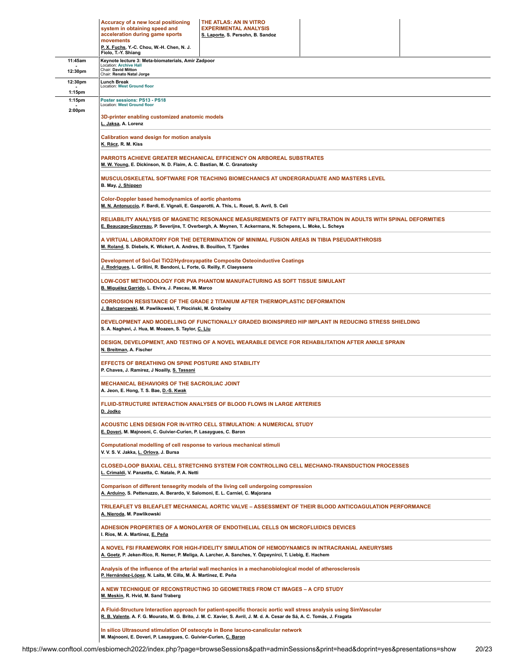|                    | Accuracy of a new local positioning<br>THE ATLAS: AN IN VITRO<br>system in obtaining speed and<br><b>EXPERIMENTAL ANALYSIS</b><br>acceleration during game sports<br>S. Laporte, S. Persohn, B. Sandoz<br>movements<br>P. X. Fuchs, Y.-C. Chou, W.-H. Chen, N. J. |  |  |  |  |  |
|--------------------|-------------------------------------------------------------------------------------------------------------------------------------------------------------------------------------------------------------------------------------------------------------------|--|--|--|--|--|
| 11:45am            | Fiolo, T.-Y. Shiang<br>Keynote lecture 3: Meta-biomaterials, Amir Zadpoor                                                                                                                                                                                         |  |  |  |  |  |
| 12:30pm            | <b>Location: Archive Hall</b><br>Chair: David Mitton                                                                                                                                                                                                              |  |  |  |  |  |
| 12:30pm            | Chair: Renato Natal Jorge<br>Lunch Break                                                                                                                                                                                                                          |  |  |  |  |  |
| 1:15 <sub>pm</sub> | Location: West Ground floor                                                                                                                                                                                                                                       |  |  |  |  |  |
| 1:15pm<br>2:00pm   | Poster sessions: PS13 - PS18<br>Location: West Ground floor                                                                                                                                                                                                       |  |  |  |  |  |
|                    | 3D-printer enabling customized anatomic models<br>L. Jaksa, A. Lorenz                                                                                                                                                                                             |  |  |  |  |  |
|                    | <b>Calibration wand design for motion analysis</b><br>K. Rácz, R. M. Kiss                                                                                                                                                                                         |  |  |  |  |  |
|                    | <b>PARROTS ACHIEVE GREATER MECHANICAL EFFICIENCY ON ARBOREAL SUBSTRATES</b><br>M. W. Young, E. Dickinson, N. D. Flaim, A. C. Bastian, M. C. Granatosky                                                                                                            |  |  |  |  |  |
|                    | MUSCULOSKELETAL SOFTWARE FOR TEACHING BIOMECHANICS AT UNDERGRADUATE AND MASTERS LEVEL<br>B. May, J. Shippen                                                                                                                                                       |  |  |  |  |  |
|                    | <b>Color-Doppler based hemodynamics of aortic phantoms</b><br>M. N. Antonuccio, F. Bardi, E. Vignali, E. Gasparotti, A. This, L. Rouet, S. Avril, S. Celi                                                                                                         |  |  |  |  |  |
|                    | RELIABILITY ANALYSIS OF MAGNETIC RESONANCE MEASUREMENTS OF FATTY INFILTRATION IN ADULTS WITH SPINAL DEFORMITIES<br>E. Beaucage-Gauvreau, P. Severijns, T. Overbergh, A. Meynen, T. Ackermans, N. Schepens, L. Moke, L. Scheys                                     |  |  |  |  |  |
|                    | A VIRTUAL LABORATORY FOR THE DETERMINATION OF MINIMAL FUSION AREAS IN TIBIA PSEUDARTHROSIS<br>M. Roland, S. Diebels, K. Wickert, A. Andres, B. Bouillon, T. Tjardes                                                                                               |  |  |  |  |  |
|                    | Development of Sol-Gel TiO2/Hydroxyapatite Composite Osteoinductive Coatings<br>J. Rodrigues, L. Grillini, R. Bendoni, L. Forte, G. Reilly, F. Claeyssens                                                                                                         |  |  |  |  |  |
|                    | LOW-COST METHODOLOGY FOR PVA PHANTOM MANUFACTURING AS SOFT TISSUE SIMULANT<br>B. Miguélez Garrido, L. Elvira, J. Pascau, M. Marco                                                                                                                                 |  |  |  |  |  |
|                    | <b>CORROSION RESISTANCE OF THE GRADE 2 TITANIUM AFTER THERMOPLASTIC DEFORMATION</b><br>J. Bańczerowski, M. Pawlikowski, T. Płociński, M. Grobelny                                                                                                                 |  |  |  |  |  |
|                    | DEVELOPMENT AND MODELLING OF FUNCTIONALLY GRADED BIOINSPIRED HIP IMPLANT IN REDUCING STRESS SHIELDING<br>S. A. Naghavi, J. Hua, M. Moazen, S. Taylor, C. Liu                                                                                                      |  |  |  |  |  |
|                    | DESIGN, DEVELOPMENT, AND TESTING OF A NOVEL WEARABLE DEVICE FOR REHABILITATION AFTER ANKLE SPRAIN<br>N. Breitman, A. Fischer                                                                                                                                      |  |  |  |  |  |
|                    | <b>EFFECTS OF BREATHING ON SPINE POSTURE AND STABILITY</b><br>P. Chaves, J. Ramirez, J Noailly, S. Tassani                                                                                                                                                        |  |  |  |  |  |
|                    | <b>MECHANICAL BEHAVIORS OF THE SACROILIAC JOINT</b><br>A. Jeon, E. Hong, T. S. Bae, D.-S. Kwak                                                                                                                                                                    |  |  |  |  |  |
|                    | <b>FLUID-STRUCTURE INTERACTION ANALYSES OF BLOOD FLOWS IN LARGE ARTERIES</b><br>D. Jodko                                                                                                                                                                          |  |  |  |  |  |
|                    | ACOUSTIC LENS DESIGN FOR IN-VITRO CELL STIMULATION: A NUMERICAL STUDY<br>E. Doveri, M. Majnooni, C. Guivier-Curien, P. Lasaygues, C. Baron                                                                                                                        |  |  |  |  |  |
|                    | Computational modelling of cell response to various mechanical stimuli<br>V. V. S. V. Jakka, L. Orlova, J. Bursa                                                                                                                                                  |  |  |  |  |  |
|                    | CLOSED-LOOP BIAXIAL CELL STRETCHING SYSTEM FOR CONTROLLING CELL MECHANO-TRANSDUCTION PROCESSES<br>L. Crimaldi, V. Panzetta, C. Natale, P. A. Netti                                                                                                                |  |  |  |  |  |
|                    | Comparison of different tensegrity models of the living cell undergoing compression<br>A. Arduino, S. Pettenuzzo, A. Berardo, V. Salomoni, E. L. Carniel, C. Majorana                                                                                             |  |  |  |  |  |
|                    | TRILEAFLET VS BILEAFLET MECHANICAL AORTIC VALVE - ASSESSMENT OF THEIR BLOOD ANTICOAGULATION PERFORMANCE<br>A. Nieroda, M. Pawlikowski                                                                                                                             |  |  |  |  |  |
|                    | ADHESION PROPERTIES OF A MONOLAYER OF ENDOTHELIAL CELLS ON MICROFLUIDICS DEVICES<br>I. Ríos, M. A. Martínez, E. Peña                                                                                                                                              |  |  |  |  |  |
|                    | A NOVEL FSI FRAMEWORK FOR HIGH-FIDELITY SIMULATION OF HEMODYNAMICS IN INTRACRANIAL ANEURYSMS<br>A. Goetz, P. Jeken-Rico, R. Nemer, P. Meliga, A. Larcher, A. Sanches, Y. Özpeynirci, T. Liebig, E. Hachem                                                         |  |  |  |  |  |
|                    | Analysis of the influence of the arterial wall mechanics in a mechanobiological model of atherosclerosis<br>P. Hernández-López, N. Laita, M. Cilla, M. Á. Martínez, E. Peña                                                                                       |  |  |  |  |  |
|                    | A NEW TECHNIQUE OF RECONSTRUCTING 3D GEOMETRIES FROM CT IMAGES - A CFD STUDY<br>M. Meskin, R. Hvid, M. Sand Traberg                                                                                                                                               |  |  |  |  |  |
|                    | A Fluid-Structure Interaction approach for patient-specific thoracic aortic wall stress analysis using SimVascular<br>R. B. Valente, A. F. G. Mourato, M. G. Brito, J. M. C. Xavier, S. Avril, J. M. d. A. Cesar de Sá, A. C. Tomás, J. Fragata                   |  |  |  |  |  |
|                    | In silico Ultrasound stimulation Of osteocyte in Bone lacuno-canalicular network<br>M. Majnooni, E. Doveri, P. Lasaygues, C. Guivier-Curien, C. Baron                                                                                                             |  |  |  |  |  |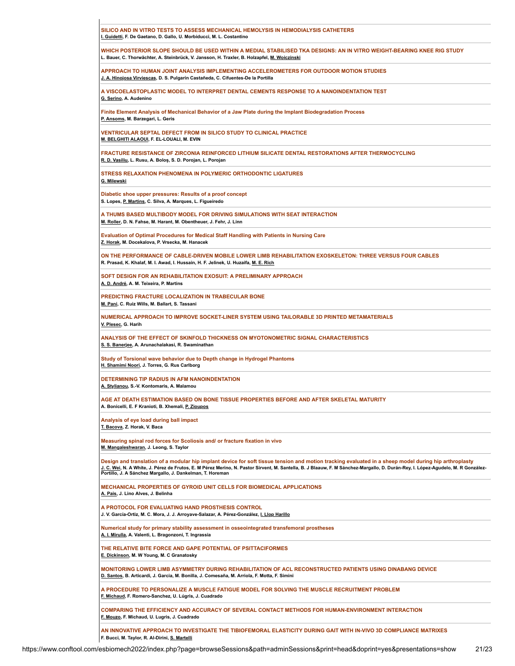| SILICO AND IN VITRO TESTS TO ASSESS MECHANICAL HEMOLYSIS IN HEMODIALYSIS CATHETERS<br>I. Guidetti, F. De Gaetano, D. Gallo, U. Morbiducci, M. L. Costantino                                                                                                                                                                                                                                            |
|--------------------------------------------------------------------------------------------------------------------------------------------------------------------------------------------------------------------------------------------------------------------------------------------------------------------------------------------------------------------------------------------------------|
| WHICH POSTERIOR SLOPE SHOULD BE USED WITHIN A MEDIAL STABILISED TKA DESIGNS: AN IN VITRO WEIGHT-BEARING KNEE RIG STUDY<br>L. Bauer, C. Thorwächter, A. Steinbrück, V. Jansson, H. Traxler, B. Holzapfel, M. Woiczinski                                                                                                                                                                                 |
| APPROACH TO HUMAN JOINT ANALYSIS IMPLEMENTING ACCELEROMETERS FOR OUTDOOR MOTION STUDIES<br>J. A. Hinojosa Virviescas, D. S. Pulgarín Castañeda, C. Cifuentes-De la Portilla                                                                                                                                                                                                                            |
| A VISCOELASTOPLASTIC MODEL TO INTERPRET DENTAL CEMENTS RESPONSE TO A NANOINDENTATION TEST<br>G. Serino, A. Audenino                                                                                                                                                                                                                                                                                    |
| Finite Element Analysis of Mechanical Behavior of a Jaw Plate during the Implant Biodegradation Process<br>P. Ansoms, M. Barzegari, L. Geris                                                                                                                                                                                                                                                           |
| <b>VENTRICULAR SEPTAL DEFECT FROM IN SILICO STUDY TO CLINICAL PRACTICE</b><br>M. BELGHITI ALAOUI, F. EL-LOUALI, M. EVIN                                                                                                                                                                                                                                                                                |
| FRACTURE RESISTANCE OF ZIRCONIA REINFORCED LITHIUM SILICATE DENTAL RESTORATIONS AFTER THERMOCYCLING<br>R. D. Vasiliu, L. Rusu, A. Boloș, S. D. Porojan, L. Porojan                                                                                                                                                                                                                                     |
| <b>STRESS RELAXATION PHENOMENA IN POLYMERIC ORTHODONTIC LIGATURES</b><br>G. Milewski                                                                                                                                                                                                                                                                                                                   |
| Diabetic shoe upper pressures: Results of a proof concept<br>S. Lopes, P. Martins, C. Silva, A. Marques, L. Figueiredo                                                                                                                                                                                                                                                                                 |
| A THUMS BASED MULTIBODY MODEL FOR DRIVING SIMULATIONS WITH SEAT INTERACTION<br>M. Roller, D. N. Fahse, M. Harant, M. Obentheuer, J. Fehr, J. Linn                                                                                                                                                                                                                                                      |
| Evaluation of Optimal Procedures for Medical Staff Handling with Patients in Nursing Care<br>Z. Horak, M. Docekalova, P. Vrsecka, M. Hanacek                                                                                                                                                                                                                                                           |
| ON THE PERFORMANCE OF CABLE-DRIVEN MOBILE LOWER LIMB REHABILITATION EXOSKELETON: THREE VERSUS FOUR CABLES<br>R. Prasad, K. Khalaf, M. I. Awad, I. Hussain, H. F. Jelinek, U. Huzaifa, M. E. Rich                                                                                                                                                                                                       |
| SOFT DESIGN FOR AN REHABILITATION EXOSUIT: A PRELIMINARY APPROACH<br>A. D. André, A. M. Teixeira, P. Martins                                                                                                                                                                                                                                                                                           |
| PREDICTING FRACTURE LOCALIZATION IN TRABECULAR BONE<br>M. Pani, C. Ruiz Wills, M. Ballart, S. Tassani                                                                                                                                                                                                                                                                                                  |
| NUMERICAL APPROACH TO IMPROVE SOCKET-LINER SYSTEM USING TAILORABLE 3D PRINTED METAMATERIALS<br>V. Plesec, G. Harih                                                                                                                                                                                                                                                                                     |
| ANALYSIS OF THE EFFECT OF SKINFOLD THICKNESS ON MYOTONOMETRIC SIGNAL CHARACTERISTICS<br>S. S. Banerjee, A. Arunachalakasi, R. Swaminathan                                                                                                                                                                                                                                                              |
| Study of Torsional wave behavior due to Depth change in Hydrogel Phantoms<br>H. Shamimi Noori, J. Torres, G. Rus Carlborg                                                                                                                                                                                                                                                                              |
| DETERMINING TIP RADIUS IN AFM NANOINDENTATION<br>A. Stylianou, S.-V. Kontomaris, A. Malamou                                                                                                                                                                                                                                                                                                            |
| AGE AT DEATH ESTIMATION BASED ON BONE TISSUE PROPERTIES BEFORE AND AFTER SKELETAL MATURITY<br>A. Bonicelli, E. F Kranioti, B. Xhemali, P. Zioupos                                                                                                                                                                                                                                                      |
| Analysis of eye load during ball impact<br>T. Bacova, Z. Horak, V. Baca                                                                                                                                                                                                                                                                                                                                |
| Measuring spinal rod forces for Scoliosis and/ or fracture fixation in vivo<br>M. Mangaleshwaran, J. Leong, S. Taylor                                                                                                                                                                                                                                                                                  |
| Design and translation of a modular hip implant device for soft tissue tension and motion tracking evaluated in a sheep model during hip arthroplasty<br>J. C. Wei, N. A White, J. Pérez de Frutos, E. M Pérez Merino, N. Pastor Sirvent, M. Santella, B. J Blaauw, F. M Sánchez-Margallo, D. Durán-Rey, I. López-Agudelo, M. R González-<br>Portillo, J. A Sánchez Margallo, J. Dankelman, T. Horeman |
| <b>MECHANICAL PROPERTIES OF GYROID UNIT CELLS FOR BIOMEDICAL APPLICATIONS</b><br>A. Pais, J. Lino Alves, J. Belinha                                                                                                                                                                                                                                                                                    |
| A PROTOCOL FOR EVALUATING HAND PROSTHESIS CONTROL<br>J. V. García-Ortiz, M. C. Mora, J. J. Arroyave-Salazar, A. Pérez-González, I. Llop Harillo                                                                                                                                                                                                                                                        |
| Numerical study for primary stability assessment in osseointegrated transfemoral prostheses<br>A. I. Mirulla, A. Valenti, L. Bragonzoni, T. Ingrassia                                                                                                                                                                                                                                                  |
| THE RELATIVE BITE FORCE AND GAPE POTENTIAL OF PSITTACIFORMES<br>E. Dickinson, M. W Young, M. C Granatosky                                                                                                                                                                                                                                                                                              |
| MONITORING LOWER LIMB ASYMMETRY DURING REHABILITATION OF ACL RECONSTRUCTED PATIENTS USING DINABANG DEVICE<br>D. Santos, B. Articardi, J. Garcia, M. Bonilla, J. Comesaña, M. Arriola, F. Motta, F. Simini                                                                                                                                                                                              |
| A PROCEDURE TO PERSONALIZE A MUSCLE FATIGUE MODEL FOR SOLVING THE MUSCLE RECRUITMENT PROBLEM<br>F. Michaud, F. Romero-Sanchez, U. Lúgris, J. Cuadrado                                                                                                                                                                                                                                                  |
| COMPARING THE EFFICIENCY AND ACCURACY OF SEVERAL CONTACT METHODS FOR HUMAN-ENVIRONMENT INTERACTION<br>F. Mouzo, F. Michaud, U. Lugris, J. Cuadrado                                                                                                                                                                                                                                                     |
| AN INNOVATIVE APPROACH TO INVESTIGATE THE TIBIOFEMORAL ELASTICITY DURING GAIT WITH IN-VIVO 3D COMPLIANCE MATRIXES<br>F. Bucci, M. Taylor, R. Al-Dirini, S. Martelli                                                                                                                                                                                                                                    |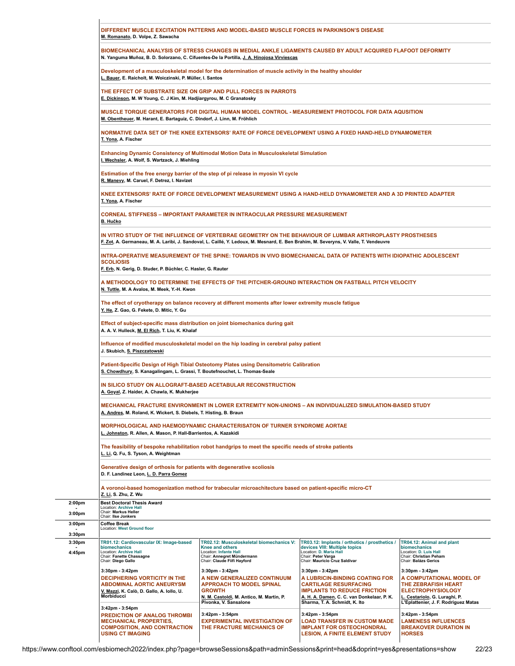|                                          | DIFFERENT MUSCLE EXCITATION PATTERNS AND MODEL-BASED MUSCLE FORCES IN PARKINSON'S DISEASE<br>M. Romanato, D. Volpe, Z. Sawacha                                                                             |                                                                                                                                                                         |                                                                                                                                                                                                        |                                                                                                                                                                         |  |  |  |
|------------------------------------------|------------------------------------------------------------------------------------------------------------------------------------------------------------------------------------------------------------|-------------------------------------------------------------------------------------------------------------------------------------------------------------------------|--------------------------------------------------------------------------------------------------------------------------------------------------------------------------------------------------------|-------------------------------------------------------------------------------------------------------------------------------------------------------------------------|--|--|--|
|                                          | BIOMECHANICAL ANALYSIS OF STRESS CHANGES IN MEDIAL ANKLE LIGAMENTS CAUSED BY ADULT ACQUIRED FLAFOOT DEFORMITY<br>N. Yanguma Muñoz, B. D. Solorzano, C. Cifuentes-De la Portilla, J. A. Hinojosa Virviescas |                                                                                                                                                                         |                                                                                                                                                                                                        |                                                                                                                                                                         |  |  |  |
|                                          | Development of a musculoskeletal model for the determination of muscle activity in the healthy shoulder<br>L. Bauer, E. Raicholt, M. Woiczinski, P. Müller, I. Santos                                      |                                                                                                                                                                         |                                                                                                                                                                                                        |                                                                                                                                                                         |  |  |  |
|                                          | E. Dickinson, M. W Young, C. J Kim, M. Hadjiargyrou, M. C Granatosky                                                                                                                                       | THE EFFECT OF SUBSTRATE SIZE ON GRIP AND PULL FORCES IN PARROTS                                                                                                         |                                                                                                                                                                                                        |                                                                                                                                                                         |  |  |  |
|                                          | MUSCLE TORQUE GENERATORS FOR DIGITAL HUMAN MODEL CONTROL - MEASUREMENT PROTOCOL FOR DATA AQUSITION<br>M. Obentheuer, M. Harant, E. Bartaguiz, C. Dindorf, J. Linn, M. Fröhlich                             |                                                                                                                                                                         |                                                                                                                                                                                                        |                                                                                                                                                                         |  |  |  |
|                                          | NORMATIVE DATA SET OF THE KNEE EXTENSORS' RATE OF FORCE DEVELOPMENT USING A FIXED HAND-HELD DYNAMOMETER<br>T. Yona, A. Fischer                                                                             |                                                                                                                                                                         |                                                                                                                                                                                                        |                                                                                                                                                                         |  |  |  |
|                                          | I. Wechsler, A. Wolf, S. Wartzack, J. Miehling                                                                                                                                                             | Enhancing Dynamic Consistency of Multimodal Motion Data in Musculoskeletal Simulation                                                                                   |                                                                                                                                                                                                        |                                                                                                                                                                         |  |  |  |
|                                          | R. Manevy, M. Caruel, F. Detrez, I. Navizet                                                                                                                                                                | Estimation of the free energy barrier of the step of pi release in myosin VI cycle                                                                                      |                                                                                                                                                                                                        |                                                                                                                                                                         |  |  |  |
|                                          | T. Yona, A. Fischer                                                                                                                                                                                        |                                                                                                                                                                         | KNEE EXTENSORS' RATE OF FORCE DEVELOPMENT MEASUREMENT USING A HAND-HELD DYNAMOMETER AND A 3D PRINTED ADAPTER                                                                                           |                                                                                                                                                                         |  |  |  |
| <b>B. Hučko</b>                          |                                                                                                                                                                                                            | <b>CORNEAL STIFFNESS – IMPORTANT PARAMETER IN INTRAOCULAR PRESSURE MEASUREMENT</b>                                                                                      |                                                                                                                                                                                                        |                                                                                                                                                                         |  |  |  |
|                                          |                                                                                                                                                                                                            | <u>F. Zot</u> , A. Germaneau, M. A. Laribi, J. Sandoval, L. Caillé, Y. Ledoux, M. Mesnard, E. Ben Brahim, M. Severyns, V. Valle, T. Vendeuvre                           | IN VITRO STUDY OF THE INFLUENCE OF VERTEBRAE GEOMETRY ON THE BEHAVIOUR OF LUMBAR ARTHROPLASTY PROSTHESES                                                                                               |                                                                                                                                                                         |  |  |  |
|                                          | <b>SCOLIOSIS</b><br>F. Erb, N. Gerig, D. Studer, P. Büchler, C. Hasler, G. Rauter                                                                                                                          |                                                                                                                                                                         | INTRA-OPERATIVE MEASUREMENT OF THE SPINE: TOWARDS IN VIVO BIOMECHANICAL DATA OF PATIENTS WITH IDIOPATHIC ADOLESCENT                                                                                    |                                                                                                                                                                         |  |  |  |
|                                          | N. Tuttle, M. A Avalos, M. Meek, Y.-H. Kwon                                                                                                                                                                |                                                                                                                                                                         | A METHODOLOGY TO DETERMINE THE EFFECTS OF THE PITCHER-GROUND INTERACTION ON FASTBALL PITCH VELOCITY                                                                                                    |                                                                                                                                                                         |  |  |  |
|                                          | Y. He, Z. Gao, G. Fekete, D. Mitic, Y. Gu                                                                                                                                                                  | The effect of cryotherapy on balance recovery at different moments after lower extremity muscle fatigue                                                                 |                                                                                                                                                                                                        |                                                                                                                                                                         |  |  |  |
|                                          | A. A. V. Hulleck, M. El Rich, T. Liu, K. Khalaf                                                                                                                                                            | Effect of subject-specific mass distribution on joint biomechanics during gait                                                                                          |                                                                                                                                                                                                        |                                                                                                                                                                         |  |  |  |
|                                          | Influence of modified musculoskeletal model on the hip loading in cerebral palsy patient<br>J. Skubich, S. Piszczatowski                                                                                   |                                                                                                                                                                         |                                                                                                                                                                                                        |                                                                                                                                                                         |  |  |  |
|                                          | S. Chowdhury, S. Kanagalingam, L. Grassi, T. Boutefnouchet, L. Thomas-Seale                                                                                                                                | Patient-Specific Design of High Tibial Osteotomy Plates using Densitometric Calibration                                                                                 |                                                                                                                                                                                                        |                                                                                                                                                                         |  |  |  |
|                                          | A. Goyal, Z. Haider, A. Chawla, K. Mukherjee                                                                                                                                                               | IN SILICO STUDY ON ALLOGRAFT-BASED ACETABULAR RECONSTRUCTION                                                                                                            |                                                                                                                                                                                                        |                                                                                                                                                                         |  |  |  |
|                                          | MECHANICAL FRACTURE ENVIRONMENT IN LOWER EXTREMITY NON-UNIONS – AN INDIVIDUALIZED SIMULATION-BASED STUDY<br>A. Andres, M. Roland, K. Wickert, S. Diebels, T. Histing, B. Braun                             |                                                                                                                                                                         |                                                                                                                                                                                                        |                                                                                                                                                                         |  |  |  |
|                                          | L. Johnston, R. Allen, A. Mason, P. Hall-Barrientos, A. Kazakidi                                                                                                                                           | MORPHOLOGICAL AND HAEMODYNAMIC CHARACTERISATON OF TURNER SYNDROME AORTAE                                                                                                |                                                                                                                                                                                                        |                                                                                                                                                                         |  |  |  |
|                                          | L. Li, Q. Fu, S. Tyson, A. Weightman                                                                                                                                                                       | The feasibility of bespoke rehabilitation robot handgrips to meet the specific needs of stroke patients                                                                 |                                                                                                                                                                                                        |                                                                                                                                                                         |  |  |  |
|                                          | Generative design of orthosis for patients with degenerative scoliosis<br>D. F. Landinez Leon, L. D. Parra Gomez                                                                                           |                                                                                                                                                                         |                                                                                                                                                                                                        |                                                                                                                                                                         |  |  |  |
|                                          | Z. Li. S. Zhu. Z. Wu                                                                                                                                                                                       | A voronoi-based homogenization method for trabecular microachitecture based on patient-specific micro-CT                                                                |                                                                                                                                                                                                        |                                                                                                                                                                         |  |  |  |
| 2:00pm<br>3:00 <sub>pm</sub>             | <b>Best Doctoral Thesis Award</b><br><b>Location: Archive Hall</b><br>Chair: Markus Heller<br>Chair: Ilse Jonkers                                                                                          |                                                                                                                                                                         |                                                                                                                                                                                                        |                                                                                                                                                                         |  |  |  |
| 3:00 <sub>pm</sub><br>3:30 <sub>pm</sub> | <b>Coffee Break</b><br>Location: West Ground floor                                                                                                                                                         |                                                                                                                                                                         |                                                                                                                                                                                                        |                                                                                                                                                                         |  |  |  |
| 3:30 <sub>pm</sub><br>4:45pm             | TR01.12: Cardiovascular IX: Image-based<br>biomechanics<br><b>Location: Archive Hall</b><br>Chair: Fanette Chassagne<br>Chair: Diego Gallo                                                                 | TR02.12: Musculoskeletal biomechanics V:<br><b>Knee and others</b><br>Location: Infante Hall<br>Chair: Annegret Mündermann<br>Chair: Claude Fiifi Hayford               | TR03.12: Implants / orthotics / prosthetics<br>devices VIII: Multiple topics<br>Location: D. Maria Hall<br>Chair: Peter Varga<br>Chair: Mauricio Cruz Saldivar                                         | TR04.12: Animal and plant<br>biomechanics<br>Location: D. Luis Hall<br>Chair: Christian Peham<br>Chair: Balázs Gerics                                                   |  |  |  |
|                                          | 3:30pm - 3:42pm<br><b>DECIPHERING VORTICITY IN THE</b><br><b>ABDOMINAL AORTIC ANEURYSM</b><br>V. Mazzi, K. Calò, D. Gallo, A. Iollo, U.<br>Morbiducci                                                      | 3:30pm - 3:42pm<br>A NEW GENERALIZED CONTINUUM<br><b>APPROACH TO MODEL SPINAL</b><br><b>GROWTH</b><br>N. M. Castoldi, M. Antico, M. Martin, P.<br>Pivonka, V. Sansalone | 3:30pm - 3:42pm<br>A LUBRICIN-BINDING COATING FOR<br><b>CARTILAGE RESURFACING</b><br><b>IMPLANTS TO REDUCE FRICTION</b><br>A. H. A. Damen, C. C. van Donkelaar, P. K.<br>Sharma, T. A. Schmidt, K. Ito | 3:30pm - 3:42pm<br>A COMPUTATIONAL MODEL OF<br>THE ZEBRAFISH HEART<br><b>ELECTROPHYSIOLOGY</b><br>L. Cestariolo, G. Luraghi, P.<br>L'Eplattenier, J. F. Rodriguez Matas |  |  |  |
|                                          | 3:42pm - 3:54pm<br><b>PREDICTION OF ANALOG THROMBI</b><br><b>MECHANICAL PROPERTIES,</b><br><b>COMPOSITION, AND CONTRACTION</b><br><b>USING CT IMAGING</b>                                                  | 3:42pm - 3:54pm<br><b>EXPERIMENTAL INVESTIGATION OF</b><br>THE FRACTURE MECHANICS OF                                                                                    | 3:42pm - 3:54pm<br>LOAD TRANSFER IN CUSTOM MADE<br><b>IMPLANT FOR OSTEOCHONDRAL</b><br><b>LESION, A FINITE ELEMENT STUDY</b>                                                                           | 3:42pm - 3:54pm<br><b>LAMENESS INFLUENCES</b><br><b>BREAKOVER DURATION IN</b><br><b>HORSES</b>                                                                          |  |  |  |